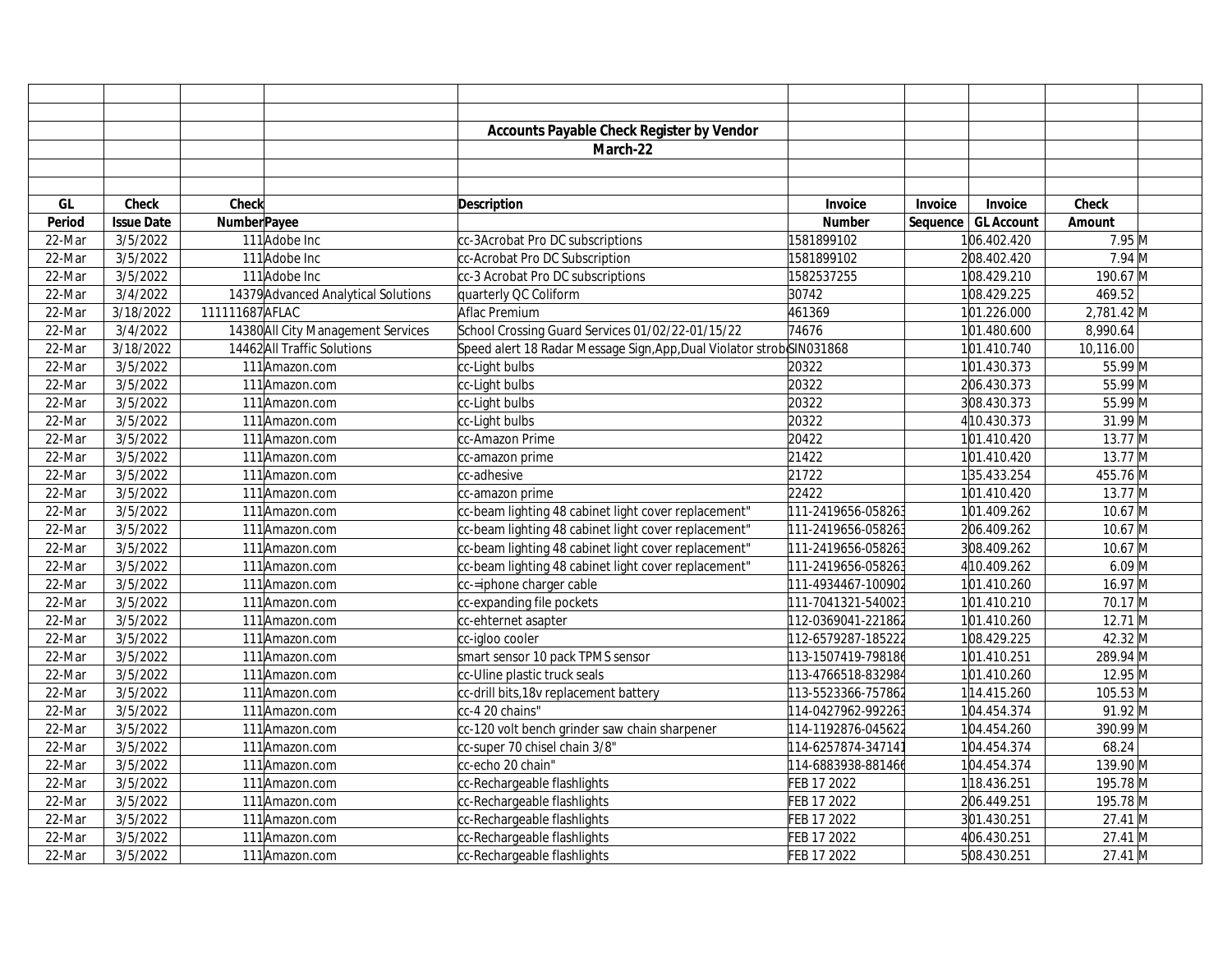|        |                   |                                     | <b>Accounts Payable Check Register by Vendor</b>                      |                    |         |                       |                               |  |
|--------|-------------------|-------------------------------------|-----------------------------------------------------------------------|--------------------|---------|-----------------------|-------------------------------|--|
|        |                   |                                     | March-22                                                              |                    |         |                       |                               |  |
|        |                   |                                     |                                                                       |                    |         |                       |                               |  |
|        |                   |                                     |                                                                       |                    |         |                       |                               |  |
| GL     | Check             | Check                               | <b>Description</b>                                                    | Invoice            | Invoice | <b>Invoice</b>        | Check                         |  |
| Period | <b>Issue Date</b> | Number Payee                        |                                                                       | Number             |         | Sequence   GL Account | Amount                        |  |
| 22-Mar | 3/5/2022          | 111 Adobe Inc                       | cc-3Acrobat Pro DC subscriptions                                      | 1581899102         |         | 106.402.420           | $7.95$ M                      |  |
| 22-Mar | 3/5/2022          | 111 Adobe Inc                       | cc-Acrobat Pro DC Subscription                                        | 1581899102         |         | 208.402.420           | $7.94 \text{ M}$              |  |
| 22-Mar | 3/5/2022          | 111 Adobe Inc                       | cc-3 Acrobat Pro DC subscriptions                                     | 1582537255         |         | 108.429.210           | 190.67 M                      |  |
| 22-Mar | 3/4/2022          | 14379 Advanced Analytical Solutions | quarterly QC Coliform                                                 | 30742              |         | 108.429.225           | 469.52                        |  |
| 22-Mar | 3/18/2022         | 111111687 AFLAC                     | Aflac Premium                                                         | 461369             |         | 101.226.000           | 2,781.42 M                    |  |
| 22-Mar | 3/4/2022          | 14380 All City Management Services  | School Crossing Guard Services 01/02/22-01/15/22                      | 74676              |         | 101.480.600           | 8,990.64                      |  |
| 22-Mar | 3/18/2022         | 14462 All Traffic Solutions         | Speed alert 18 Radar Message Sign, App, Dual Violator strob SIN031868 |                    |         | 101.410.740           | 10,116.00                     |  |
| 22-Mar | 3/5/2022          | 111 Amazon.com                      | cc-Light bulbs                                                        | 20322              |         | 101.430.373           | 55.99 M                       |  |
| 22-Mar | 3/5/2022          | 111 Amazon.com                      | cc-Light bulbs                                                        | 20322              |         | 206.430.373           | 55.99 M                       |  |
| 22-Mar | 3/5/2022          | 111 Amazon.com                      | cc-Light bulbs                                                        | 20322              |         | 308.430.373           | 55.99 M                       |  |
| 22-Mar | 3/5/2022          | 111 Amazon.com                      | cc-Light bulbs                                                        | 20322              |         | 4 10.430.373          | 31.99 M                       |  |
| 22-Mar | 3/5/2022          | 111 Amazon.com                      | cc-Amazon Prime                                                       | 20422              |         | 101.410.420           | 13.77 M                       |  |
| 22-Mar | 3/5/2022          | 111 Amazon.com                      | cc-amazon prime                                                       | 21422              |         | 101.410.420           | $13.77 \overline{\mathrm{M}}$ |  |
| 22-Mar | 3/5/2022          | 111 Amazon.com                      | cc-adhesive                                                           | 21722              |         | 135.433.254           | 455.76 M                      |  |
| 22-Mar | 3/5/2022          | 111 Amazon.com                      | cc-amazon prime                                                       | 22422              |         | 101.410.420           | $13.77 \overline{\mathrm{M}}$ |  |
| 22-Mar | 3/5/2022          | 111 Amazon.com                      | cc-beam lighting 48 cabinet light cover replacement"                  | 111-2419656-058263 |         | 101.409.262           | $10.67$ M                     |  |
| 22-Mar | 3/5/2022          | 111 Amazon.com                      | cc-beam lighting 48 cabinet light cover replacement"                  | 111-2419656-058263 |         | 206.409.262           | $10.67$ M                     |  |
| 22-Mar | 3/5/2022          | 111 Amazon.com                      | cc-beam lighting 48 cabinet light cover replacement"                  | 111-2419656-058263 |         | 308.409.262           | $10.67$ M                     |  |
| 22-Mar | 3/5/2022          | 111 Amazon.com                      | cc-beam lighting 48 cabinet light cover replacement"                  | 111-2419656-058263 |         | 410.409.262           | $6.09$ M                      |  |
| 22-Mar | 3/5/2022          | 111 Amazon.com                      | cc-=iphone charger cable                                              | 111-4934467-100902 |         | 101.410.260           | 16.97 M                       |  |
| 22-Mar | 3/5/2022          | 111 Amazon.com                      | cc-expanding file pockets                                             | 111-7041321-540023 |         | 101.410.210           | 70.17 M                       |  |
| 22-Mar | 3/5/2022          | 111 Amazon.com                      | cc-ehternet asapter                                                   | 112-0369041-221862 |         | 101.410.260           | $12.71 \, M$                  |  |
| 22-Mar | 3/5/2022          | 111 Amazon.com                      | cc-igloo cooler                                                       | 112-6579287-185222 |         | 108.429.225           | 42.32 M                       |  |
| 22-Mar | 3/5/2022          | 111 Amazon.com                      | smart sensor 10 pack TPMS sensor                                      | 113-1507419-798186 |         | 101.410.251           | 289.94 M                      |  |
| 22-Mar | 3/5/2022          | 111 Amazon.com                      | cc-Uline plastic truck seals                                          | 113-4766518-832984 |         | 101.410.260           | $12.95$ M                     |  |
| 22-Mar | 3/5/2022          | 111 Amazon.com                      | cc-drill bits, 18v replacement battery                                | 113-5523366-757862 |         | 114.415.260           | 105.53 M                      |  |
| 22-Mar | 3/5/2022          | 111 Amazon.com                      | cc-4 20 chains"                                                       | 114-0427962-992263 |         | 104.454.374           | 91.92 M                       |  |
| 22-Mar | 3/5/2022          | 111 Amazon.com                      | cc-120 volt bench grinder saw chain sharpener                         | 114-1192876-045622 |         | 104.454.260           | 390.99 M                      |  |
| 22-Mar | 3/5/2022          | 111 Amazon.com                      | cc-super 70 chisel chain 3/8"                                         | 114-6257874-347141 |         | 104.454.374           | 68.24                         |  |
| 22-Mar | 3/5/2022          | 111 Amazon.com                      | cc-echo 20 chain"                                                     | 114-6883938-881466 |         | 104.454.374           | 139.90 M                      |  |
| 22-Mar | 3/5/2022          | 111 Amazon.com                      | cc-Rechargeable flashlights                                           | FEB 17 2022        |         | 118.436.251           | 195.78 M                      |  |
| 22-Mar | 3/5/2022          | 111 Amazon.com                      | cc-Rechargeable flashlights                                           | FEB 17 2022        |         | 206.449.251           | 195.78 M                      |  |
| 22-Mar | 3/5/2022          | 111 Amazon.com                      | cc-Rechargeable flashlights                                           | FEB 17 2022        |         | 301.430.251           | 27.41 M                       |  |
| 22-Mar | 3/5/2022          | 111 Amazon.com                      | cc-Rechargeable flashlights                                           | FEB 17 2022        |         | 406.430.251           | 27.41 M                       |  |
| 22-Mar | 3/5/2022          | 111 Amazon.com                      | cc-Rechargeable flashlights                                           | FEB 17 2022        |         | 508.430.251           | 27.41 M                       |  |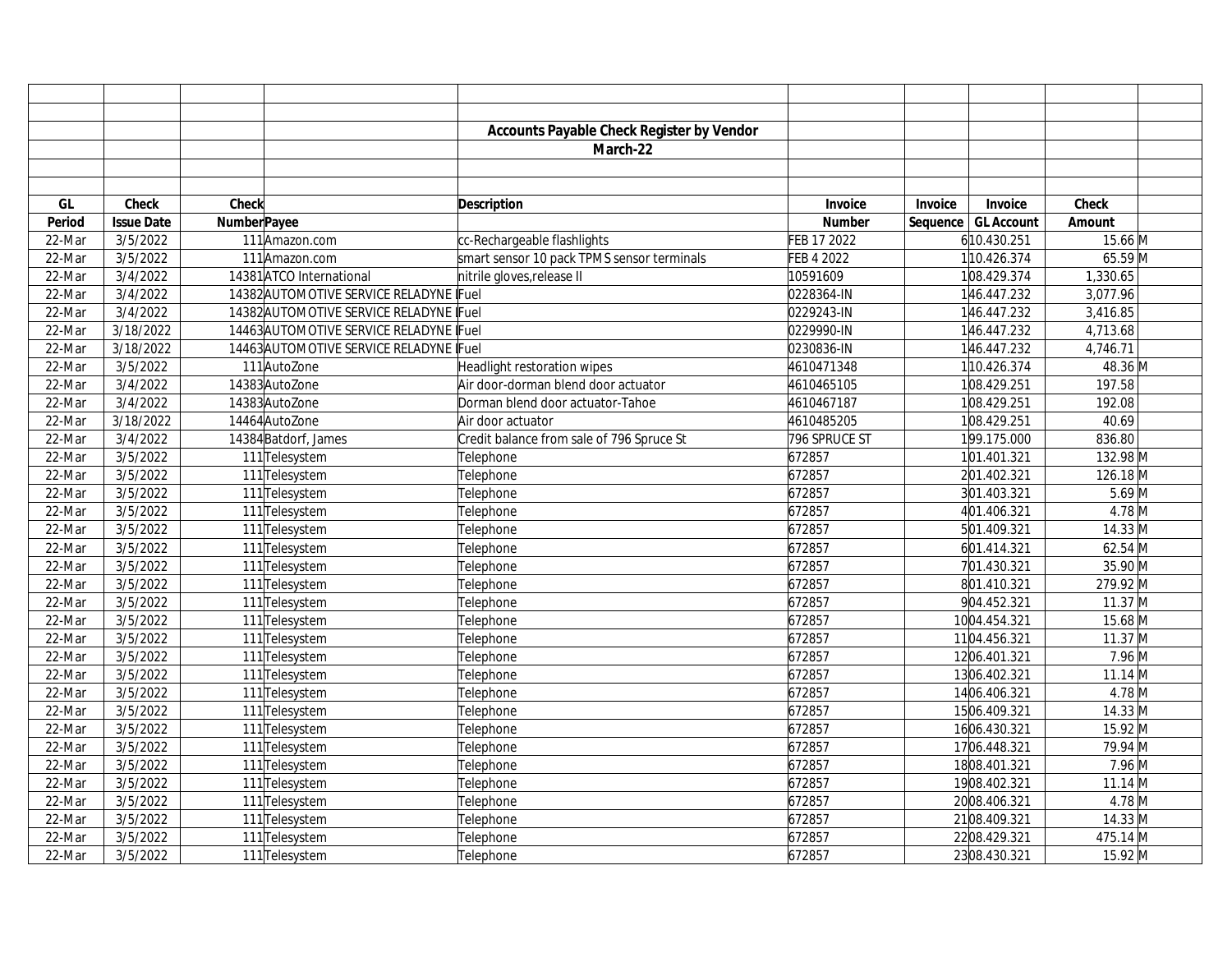|        |                   |                     |                                        | <b>Accounts Payable Check Register by Vendor</b> |               |          |                   |                   |  |
|--------|-------------------|---------------------|----------------------------------------|--------------------------------------------------|---------------|----------|-------------------|-------------------|--|
|        |                   |                     |                                        | March-22                                         |               |          |                   |                   |  |
|        |                   |                     |                                        |                                                  |               |          |                   |                   |  |
|        |                   |                     |                                        |                                                  |               |          |                   |                   |  |
| GL     | Check             | Check               |                                        | <b>Description</b>                               | Invoice       | Invoice  | Invoice           | Check             |  |
| Period | <b>Issue Date</b> | <b>Number Payee</b> |                                        |                                                  | <b>Number</b> | Sequence | <b>GL Account</b> | Amount            |  |
| 22-Mar | 3/5/2022          |                     | 111 Amazon.com                         | cc-Rechargeable flashlights                      | FEB 17 2022   |          | 610.430.251       | 15.66 M           |  |
| 22-Mar | 3/5/2022          |                     | 111 Amazon.com                         | smart sensor 10 pack TPMS sensor terminals       | FEB 4 2022    |          | 110.426.374       | 65.59 M           |  |
| 22-Mar | 3/4/2022          |                     | 14381 ATCO International               | nitrile gloves, release II                       | 10591609      |          | 108.429.374       | 1,330.65          |  |
| 22-Mar | 3/4/2022          |                     | 14382 AUTOMOTIVE SERVICE RELADYNE Fuel |                                                  | 0228364-IN    |          | 146.447.232       | 3,077.96          |  |
| 22-Mar | 3/4/2022          |                     | 14382 AUTOMOTIVE SERVICE RELADYNE Fuel |                                                  | 0229243-IN    |          | 146.447.232       | 3,416.85          |  |
| 22-Mar | 3/18/2022         |                     | 14463 AUTOMOTIVE SERVICE RELADYNE Fuel |                                                  | 0229990-IN    |          | 146.447.232       | 4,713.68          |  |
| 22-Mar | 3/18/2022         |                     | 14463 AUTOMOTIVE SERVICE RELADYNE Fuel |                                                  | 0230836-IN    |          | 146.447.232       | 4,746.71          |  |
| 22-Mar | 3/5/2022          |                     | 111 AutoZone                           | Headlight restoration wipes                      | 4610471348    |          | 110.426.374       | 48.36 M           |  |
| 22-Mar | 3/4/2022          |                     | 14383 AutoZone                         | Air door-dorman blend door actuator              | 4610465105    |          | 108.429.251       | 197.58            |  |
| 22-Mar | 3/4/2022          |                     | 14383 AutoZone                         | Dorman blend door actuator-Tahoe                 | 4610467187    |          | 108.429.251       | 192.08            |  |
| 22-Mar | 3/18/2022         |                     | 14464 AutoZone                         | Air door actuator                                | 4610485205    |          | 108.429.251       | 40.69             |  |
| 22-Mar | 3/4/2022          |                     | 14384 Batdorf, James                   | Credit balance from sale of 796 Spruce St        | 796 SPRUCE ST |          | 199.175.000       | 836.80            |  |
| 22-Mar | 3/5/2022          |                     | 111 Telesystem                         | Telephone                                        | 672857        |          | 101.401.321       | 132.98 M          |  |
| 22-Mar | 3/5/2022          |                     | 111 Telesystem                         | Telephone                                        | 672857        |          | 201.402.321       | 126.18 M          |  |
| 22-Mar | 3/5/2022          |                     | 111 Telesystem                         | Telephone                                        | 672857        |          | 301.403.321       | $5.69$ M          |  |
| 22-Mar | 3/5/2022          |                     | 111 Telesystem                         | Telephone                                        | 672857        |          | 401.406.321       | $4.78$ M          |  |
| 22-Mar | 3/5/2022          |                     | 111 Telesystem                         | Telephone                                        | 672857        |          | 501.409.321       | $14.33 \text{ M}$ |  |
| 22-Mar | 3/5/2022          |                     | 111 Telesystem                         | Telephone                                        | 672857        |          | 601.414.321       | $62.54$ M         |  |
| 22-Mar | 3/5/2022          |                     | 111 Telesystem                         | Telephone                                        | 672857        |          | 701.430.321       | 35.90 M           |  |
| 22-Mar | 3/5/2022          |                     | 111 Telesystem                         | Telephone                                        | 672857        |          | 801.410.321       | 279.92 M          |  |
| 22-Mar | 3/5/2022          |                     | 111 Telesystem                         | Telephone                                        | 672857        |          | 904.452.321       | $11.37$ M         |  |
| 22-Mar | 3/5/2022          |                     | 111 Telesystem                         | Telephone                                        | 672857        |          | 1004.454.321      | 15.68 M           |  |
| 22-Mar | 3/5/2022          |                     | 111 Telesystem                         | Telephone                                        | 672857        |          | 1104.456.321      | $11.37$ M         |  |
| 22-Mar | 3/5/2022          |                     | 111 Telesystem                         | Telephone                                        | 672857        |          | 1206.401.321      | $7.96$ M          |  |
| 22-Mar | 3/5/2022          |                     | 111 Telesystem                         | Telephone                                        | 672857        |          | 1306.402.321      | $11.14 \, M$      |  |
| 22-Mar | 3/5/2022          |                     | 111 Telesystem                         | Telephone                                        | 672857        |          | 1406.406.321      | $4.78$ M          |  |
| 22-Mar | 3/5/2022          |                     | 111 Telesystem                         | Telephone                                        | 672857        |          | 1506.409.321      | $14.33$ M         |  |
| 22-Mar | 3/5/2022          |                     | 111 Telesystem                         | Telephone                                        | 672857        |          | 1606.430.321      | 15.92 M           |  |
| 22-Mar | 3/5/2022          |                     | 111 Telesystem                         | Telephone                                        | 672857        |          | 1706.448.321      | 79.94 M           |  |
| 22-Mar | 3/5/2022          |                     | 111 Telesystem                         | Telephone                                        | 672857        |          | 1808.401.321      | $7.96$ M          |  |
| 22-Mar | 3/5/2022          |                     | 111 Telesystem                         | Telephone                                        | 672857        |          | 1908.402.321      | $11.14 \, M$      |  |
| 22-Mar | 3/5/2022          |                     | 111 Telesystem                         | Telephone                                        | 672857        |          | 2008.406.321      | $4.78$ M          |  |
| 22-Mar | 3/5/2022          |                     | 111 Telesystem                         | Telephone                                        | 672857        |          | 2108.409.321      | $14.33$ M         |  |
| 22-Mar | 3/5/2022          |                     | 111 Telesystem                         | Telephone                                        | 672857        |          | 2208.429.321      | 475.14 M          |  |
| 22-Mar | 3/5/2022          |                     | 111 Telesystem                         | Telephone                                        | 672857        |          | 2308.430.321      | 15.92 M           |  |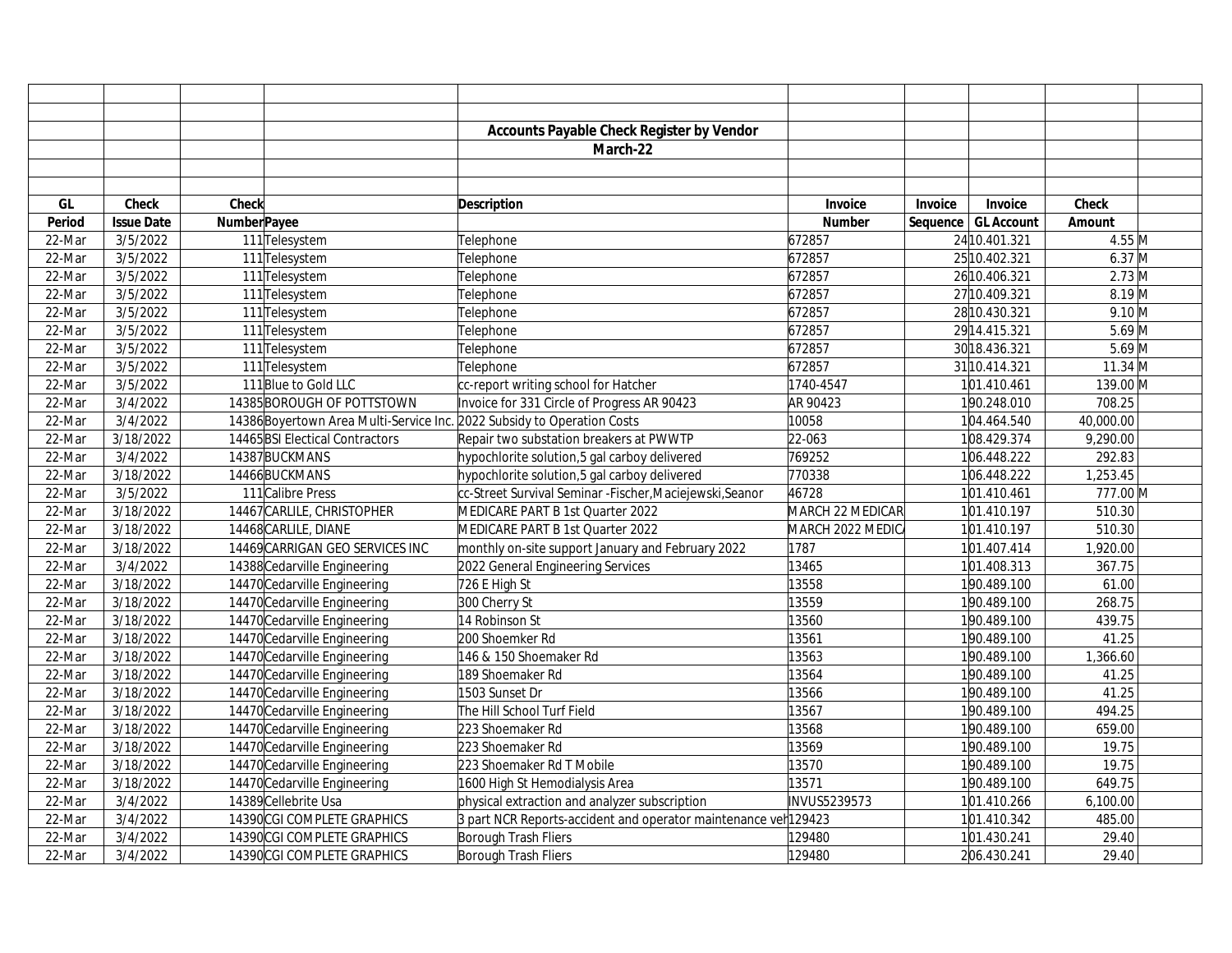|        |                   |                                                                         | <b>Accounts Payable Check Register by Vendor</b>                |                  |         |                       |              |  |
|--------|-------------------|-------------------------------------------------------------------------|-----------------------------------------------------------------|------------------|---------|-----------------------|--------------|--|
|        |                   |                                                                         | March-22                                                        |                  |         |                       |              |  |
|        |                   |                                                                         |                                                                 |                  |         |                       |              |  |
|        |                   |                                                                         |                                                                 |                  |         |                       |              |  |
| GL     | Check             | Check                                                                   | <b>Description</b>                                              | Invoice          | Invoice | Invoice               | Check        |  |
| Period | <b>Issue Date</b> | Number Payee                                                            |                                                                 | <b>Number</b>    |         | Sequence   GL Account | Amount       |  |
| 22-Mar | 3/5/2022          | 111 Telesystem                                                          | Telephone                                                       | 672857           |         | 24 10.401.321         | $4.55$ M     |  |
| 22-Mar | 3/5/2022          | 111 Telesystem                                                          | Telephone                                                       | 672857           |         | 25 10.402.321         | $6.37$ M     |  |
| 22-Mar | 3/5/2022          | 111 Telesystem                                                          | Telephone                                                       | 672857           |         | 26 10.406.321         | $2.73$ M     |  |
| 22-Mar | 3/5/2022          | 111 Telesystem                                                          | Telephone                                                       | 672857           |         | 27 10.409.321         | $8.19$ M     |  |
| 22-Mar | 3/5/2022          | 111 Telesystem                                                          | Telephone                                                       | 672857           |         | 28 10.430.321         | $9.10 \, M$  |  |
| 22-Mar | 3/5/2022          | 111 Telesystem                                                          | Telephone                                                       | 672857           |         | 29 14.415.321         | $5.69$ M     |  |
| 22-Mar | 3/5/2022          | 111 Telesystem                                                          | Telephone                                                       | 672857           |         | 30 18.436.321         | $5.69$ M     |  |
| 22-Mar | 3/5/2022          | 111 Telesystem                                                          | Telephone                                                       | 672857           |         | 31 10.414.321         | $11.34 \, M$ |  |
| 22-Mar | 3/5/2022          | 111 Blue to Gold LLC                                                    | cc-report writing school for Hatcher                            | 1740-4547        |         | 101.410.461           | 139.00 M     |  |
| 22-Mar | 3/4/2022          | 14385 BOROUGH OF POTTSTOWN                                              | Invoice for 331 Circle of Progress AR 90423                     | AR 90423         |         | 190.248.010           | 708.25       |  |
| 22-Mar | 3/4/2022          | 14386 Boyertown Area Multi-Service Inc. 2022 Subsidy to Operation Costs |                                                                 | 10058            |         | 104.464.540           | 40,000.00    |  |
| 22-Mar | 3/18/2022         | 14465 BSI Electical Contractors                                         | Repair two substation breakers at PWWTP                         | 22-063           |         | 108.429.374           | 9,290.00     |  |
| 22-Mar | 3/4/2022          | 14387BUCKMANS                                                           | hypochlorite solution,5 gal carboy delivered                    | 769252           |         | 106.448.222           | 292.83       |  |
| 22-Mar | 3/18/2022         | 14466BUCKMANS                                                           | hypochlorite solution,5 gal carboy delivered                    | 770338           |         | 106.448.222           | 1,253.45     |  |
| 22-Mar | 3/5/2022          | 111 Calibre Press                                                       | cc-Street Survival Seminar -Fischer, Maciejewski, Seanor        | 46728            |         | 101.410.461           | 777.00 M     |  |
| 22-Mar | 3/18/2022         | 14467 CARLILE, CHRISTOPHER                                              | MEDICARE PART B 1st Quarter 2022                                | MARCH 22 MEDICAR |         | 101.410.197           | 510.30       |  |
| 22-Mar | 3/18/2022         | 14468 CARLILE, DIANE                                                    | MEDICARE PART B 1st Quarter 2022                                | MARCH 2022 MEDIC |         | 101.410.197           | 510.30       |  |
| 22-Mar | 3/18/2022         | 14469 CARRIGAN GEO SERVICES INC                                         | monthly on-site support January and February 2022               | 1787             |         | 101.407.414           | 1,920.00     |  |
| 22-Mar | 3/4/2022          | 14388 Cedarville Engineering                                            | 2022 General Engineering Services                               | 13465            |         | 101.408.313           | 367.75       |  |
| 22-Mar | 3/18/2022         | 14470 Cedarville Engineering                                            | 726 E High St                                                   | 13558            |         | 190.489.100           | 61.00        |  |
| 22-Mar | 3/18/2022         | 14470 Cedarville Engineering                                            | 300 Cherry St                                                   | 13559            |         | 190.489.100           | 268.75       |  |
| 22-Mar | 3/18/2022         | 14470 Cedarville Engineering                                            | 14 Robinson St                                                  | 13560            |         | 190.489.100           | 439.75       |  |
| 22-Mar | 3/18/2022         | 14470 Cedarville Engineering                                            | 200 Shoemker Rd                                                 | 13561            |         | 190.489.100           | 41.25        |  |
| 22-Mar | 3/18/2022         | 14470 Cedarville Engineering                                            | 146 & 150 Shoemaker Rd                                          | 13563            |         | 190.489.100           | 1,366.60     |  |
| 22-Mar | 3/18/2022         | 14470 Cedarville Engineering                                            | 189 Shoemaker Rd                                                | 13564            |         | 190.489.100           | 41.25        |  |
| 22-Mar | 3/18/2022         | 14470 Cedarville Engineering                                            | 1503 Sunset Dr                                                  | 13566            |         | 190.489.100           | 41.25        |  |
| 22-Mar | 3/18/2022         | 14470 Cedarville Engineering                                            | The Hill School Turf Field                                      | 13567            |         | 190.489.100           | 494.25       |  |
| 22-Mar | 3/18/2022         | 14470 Cedarville Engineering                                            | 223 Shoemaker Rd                                                | 13568            |         | 190.489.100           | 659.00       |  |
| 22-Mar | 3/18/2022         | 14470 Cedarville Engineering                                            | 223 Shoemaker Rd                                                | 13569            |         | 190.489.100           | 19.75        |  |
| 22-Mar | 3/18/2022         | 14470 Cedarville Engineering                                            | 223 Shoemaker Rd T Mobile                                       | 13570            |         | 190.489.100           | 19.75        |  |
| 22-Mar | 3/18/2022         | 14470 Cedarville Engineering                                            | 1600 High St Hemodialysis Area                                  | 13571            |         | 190.489.100           | 649.75       |  |
| 22-Mar | 3/4/2022          | 14389 Cellebrite Usa                                                    | physical extraction and analyzer subscription                   | INVUS5239573     |         | 101.410.266           | 6,100.00     |  |
| 22-Mar | 3/4/2022          | 14390 CGI COMPLETE GRAPHICS                                             | 3 part NCR Reports-accident and operator maintenance ver 129423 |                  |         | 101.410.342           | 485.00       |  |
| 22-Mar | 3/4/2022          | 14390 CGI COMPLETE GRAPHICS                                             | Borough Trash Fliers                                            | 129480           |         | 101.430.241           | 29.40        |  |
| 22-Mar | 3/4/2022          | 14390 CGI COMPLETE GRAPHICS                                             | Borough Trash Fliers                                            | 129480           |         | 206.430.241           | 29.40        |  |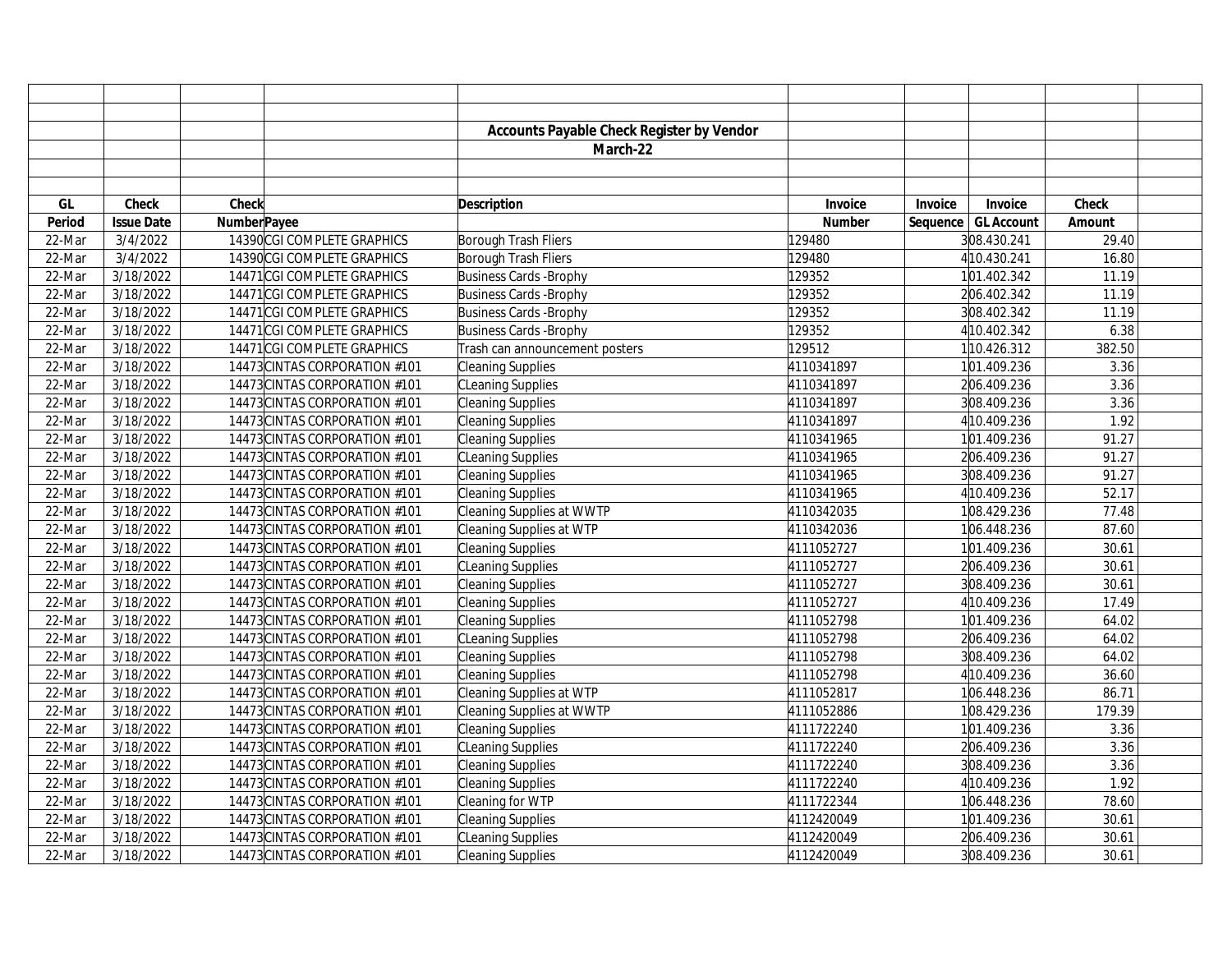|        |                   |                     |                               | Accounts Payable Check Register by Vendor |               |         |                       |              |  |
|--------|-------------------|---------------------|-------------------------------|-------------------------------------------|---------------|---------|-----------------------|--------------|--|
|        |                   |                     |                               | March-22                                  |               |         |                       |              |  |
|        |                   |                     |                               |                                           |               |         |                       |              |  |
|        |                   |                     |                               |                                           |               |         |                       |              |  |
| GL     | Check             | Check               |                               | <b>Description</b>                        | Invoice       | Invoice | Invoice               | <b>Check</b> |  |
| Period | <b>Issue Date</b> | <b>Number</b> Payee |                               |                                           | <b>Number</b> |         | Sequence   GL Account | Amount       |  |
| 22-Mar | 3/4/2022          |                     | 14390 CGI COMPLETE GRAPHICS   | Borough Trash Fliers                      | 129480        |         | 308.430.241           | 29.40        |  |
| 22-Mar | 3/4/2022          |                     | 14390 CGI COMPLETE GRAPHICS   | Borough Trash Fliers                      | 129480        |         | 410.430.241           | 16.80        |  |
| 22-Mar | 3/18/2022         |                     | 14471 CGI COMPLETE GRAPHICS   | Business Cards - Brophy                   | 129352        |         | 101.402.342           | 11.19        |  |
| 22-Mar | 3/18/2022         |                     | 14471 CGI COMPLETE GRAPHICS   | Business Cards - Brophy                   | 129352        |         | 206.402.342           | 11.19        |  |
| 22-Mar | 3/18/2022         |                     | 14471 CGI COMPLETE GRAPHICS   | Business Cards - Brophy                   | 129352        |         | 308.402.342           | 11.19        |  |
| 22-Mar | 3/18/2022         |                     | 14471 CGI COMPLETE GRAPHICS   | Business Cards - Brophy                   | 129352        |         | 410.402.342           | 6.38         |  |
| 22-Mar | 3/18/2022         |                     | 14471 CGI COMPLETE GRAPHICS   | Trash can announcement posters            | 129512        |         | 110.426.312           | 382.50       |  |
| 22-Mar | 3/18/2022         |                     | 14473 CINTAS CORPORATION #101 | <b>Cleaning Supplies</b>                  | 4110341897    |         | 101.409.236           | 3.36         |  |
| 22-Mar | 3/18/2022         |                     | 14473 CINTAS CORPORATION #101 | CLeaning Supplies                         | 4110341897    |         | 206.409.236           | 3.36         |  |
| 22-Mar | 3/18/2022         |                     | 14473 CINTAS CORPORATION #101 | <b>Cleaning Supplies</b>                  | 4110341897    |         | 308.409.236           | 3.36         |  |
| 22-Mar | 3/18/2022         |                     | 14473 CINTAS CORPORATION #101 | <b>Cleaning Supplies</b>                  | 4110341897    |         | 410.409.236           | 1.92         |  |
| 22-Mar | 3/18/2022         |                     | 14473 CINTAS CORPORATION #101 | Cleaning Supplies                         | 4110341965    |         | 101.409.236           | 91.27        |  |
| 22-Mar | 3/18/2022         |                     | 14473 CINTAS CORPORATION #101 | <b>CLeaning Supplies</b>                  | 4110341965    |         | 206.409.236           | 91.27        |  |
| 22-Mar | 3/18/2022         |                     | 14473 CINTAS CORPORATION #101 | <b>Cleaning Supplies</b>                  | 4110341965    |         | 308.409.236           | 91.27        |  |
| 22-Mar | 3/18/2022         |                     | 14473 CINTAS CORPORATION #101 | <b>Cleaning Supplies</b>                  | 4110341965    |         | 410.409.236           | 52.17        |  |
| 22-Mar | 3/18/2022         |                     | 14473 CINTAS CORPORATION #101 | Cleaning Supplies at WWTP                 | 4110342035    |         | 108.429.236           | 77.48        |  |
| 22-Mar | 3/18/2022         |                     | 14473 CINTAS CORPORATION #101 | Cleaning Supplies at WTP                  | 4110342036    |         | 106.448.236           | 87.60        |  |
| 22-Mar | 3/18/2022         |                     | 14473 CINTAS CORPORATION #101 | Cleaning Supplies                         | 4111052727    |         | 101.409.236           | 30.61        |  |
| 22-Mar | 3/18/2022         |                     | 14473 CINTAS CORPORATION #101 | CLeaning Supplies                         | 4111052727    |         | 206.409.236           | 30.61        |  |
| 22-Mar | 3/18/2022         |                     | 14473 CINTAS CORPORATION #101 | <b>Cleaning Supplies</b>                  | 4111052727    |         | 308.409.236           | 30.61        |  |
| 22-Mar | 3/18/2022         |                     | 14473 CINTAS CORPORATION #101 | <b>Cleaning Supplies</b>                  | 4111052727    |         | 410.409.236           | 17.49        |  |
| 22-Mar | 3/18/2022         |                     | 14473 CINTAS CORPORATION #101 | <b>Cleaning Supplies</b>                  | 4111052798    |         | 101.409.236           | 64.02        |  |
| 22-Mar | 3/18/2022         |                     | 14473 CINTAS CORPORATION #101 | CLeaning Supplies                         | 4111052798    |         | 206.409.236           | 64.02        |  |
| 22-Mar | 3/18/2022         |                     | 14473 CINTAS CORPORATION #101 | <b>Cleaning Supplies</b>                  | 4111052798    |         | 308.409.236           | 64.02        |  |
| 22-Mar | 3/18/2022         |                     | 14473 CINTAS CORPORATION #101 | <b>Cleaning Supplies</b>                  | 4111052798    |         | 410.409.236           | 36.60        |  |
| 22-Mar | 3/18/2022         |                     | 14473 CINTAS CORPORATION #101 | Cleaning Supplies at WTP                  | 4111052817    |         | 106.448.236           | 86.71        |  |
| 22-Mar | 3/18/2022         |                     | 14473 CINTAS CORPORATION #101 | Cleaning Supplies at WWTP                 | 4111052886    |         | 108.429.236           | 179.39       |  |
| 22-Mar | 3/18/2022         |                     | 14473 CINTAS CORPORATION #101 | <b>Cleaning Supplies</b>                  | 4111722240    |         | 101.409.236           | 3.36         |  |
| 22-Mar | 3/18/2022         |                     | 14473 CINTAS CORPORATION #101 | <b>CLeaning Supplies</b>                  | 4111722240    |         | 206.409.236           | 3.36         |  |
| 22-Mar | 3/18/2022         |                     | 14473 CINTAS CORPORATION #101 | <b>Cleaning Supplies</b>                  | 4111722240    |         | 308.409.236           | 3.36         |  |
| 22-Mar | 3/18/2022         |                     | 14473 CINTAS CORPORATION #101 | <b>Cleaning Supplies</b>                  | 4111722240    |         | 410.409.236           | 1.92         |  |
| 22-Mar | 3/18/2022         |                     | 14473 CINTAS CORPORATION #101 | Cleaning for WTP                          | 4111722344    |         | 106.448.236           | 78.60        |  |
| 22-Mar | 3/18/2022         |                     | 14473 CINTAS CORPORATION #101 | <b>Cleaning Supplies</b>                  | 4112420049    |         | 101.409.236           | 30.61        |  |
| 22-Mar | 3/18/2022         |                     | 14473 CINTAS CORPORATION #101 | <b>CLeaning Supplies</b>                  | 4112420049    |         | 206.409.236           | 30.61        |  |
| 22-Mar | 3/18/2022         |                     | 14473 CINTAS CORPORATION #101 | <b>Cleaning Supplies</b>                  | 4112420049    |         | 308.409.236           | 30.61        |  |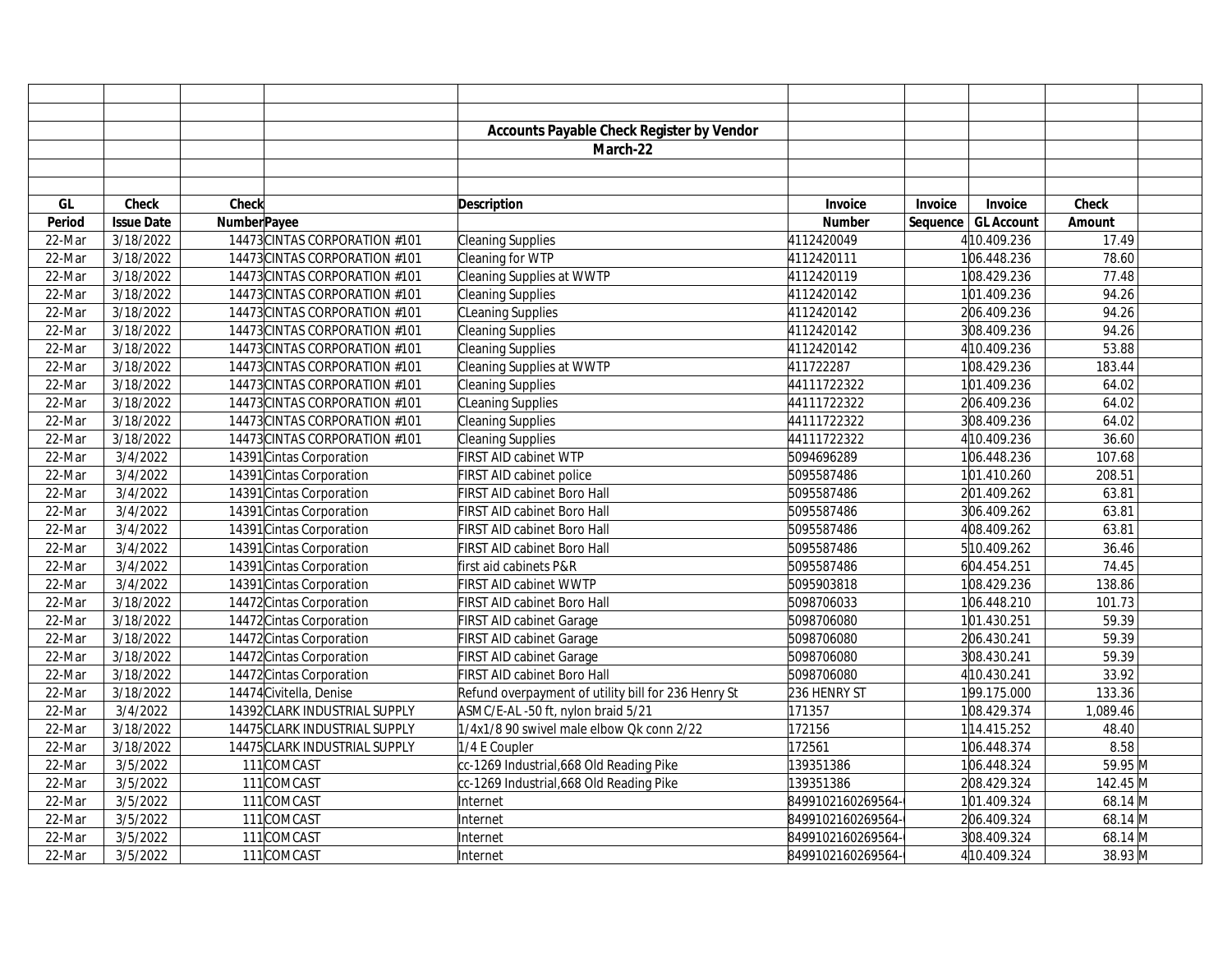|        |                   |                     |                               | <b>Accounts Payable Check Register by Vendor</b>    |                   |         |                       |              |  |
|--------|-------------------|---------------------|-------------------------------|-----------------------------------------------------|-------------------|---------|-----------------------|--------------|--|
|        |                   |                     |                               | March-22                                            |                   |         |                       |              |  |
|        |                   |                     |                               |                                                     |                   |         |                       |              |  |
|        |                   |                     |                               |                                                     |                   |         |                       |              |  |
| GL     | Check             | Check               |                               | <b>Description</b>                                  | Invoice           | Invoice | <b>Invoice</b>        | <b>Check</b> |  |
| Period | <b>Issue Date</b> | <b>Number Payee</b> |                               |                                                     | Number            |         | Sequence   GL Account | Amount       |  |
| 22-Mar | 3/18/2022         |                     | 14473 CINTAS CORPORATION #101 | <b>Cleaning Supplies</b>                            | 4112420049        |         | 410.409.236           | 17.49        |  |
| 22-Mar | 3/18/2022         |                     | 14473 CINTAS CORPORATION #101 | Cleaning for WTP                                    | 4112420111        |         | 106.448.236           | 78.60        |  |
| 22-Mar | 3/18/2022         |                     | 14473 CINTAS CORPORATION #101 | Cleaning Supplies at WWTP                           | 4112420119        |         | 108.429.236           | 77.48        |  |
| 22-Mar | 3/18/2022         |                     | 14473 CINTAS CORPORATION #101 | <b>Cleaning Supplies</b>                            | 4112420142        |         | 101.409.236           | 94.26        |  |
| 22-Mar | 3/18/2022         |                     | 14473 CINTAS CORPORATION #101 | CLeaning Supplies                                   | 4112420142        |         | 206.409.236           | 94.26        |  |
| 22-Mar | 3/18/2022         |                     | 14473 CINTAS CORPORATION #101 | <b>Cleaning Supplies</b>                            | 4112420142        |         | 308.409.236           | 94.26        |  |
| 22-Mar | 3/18/2022         |                     | 14473 CINTAS CORPORATION #101 | <b>Cleaning Supplies</b>                            | 4112420142        |         | 410.409.236           | 53.88        |  |
| 22-Mar | 3/18/2022         |                     | 14473 CINTAS CORPORATION #101 | Cleaning Supplies at WWTP                           | 411722287         |         | 108.429.236           | 183.44       |  |
| 22-Mar | 3/18/2022         |                     | 14473 CINTAS CORPORATION #101 | <b>Cleaning Supplies</b>                            | 44111722322       |         | 101.409.236           | 64.02        |  |
| 22-Mar | 3/18/2022         |                     | 14473 CINTAS CORPORATION #101 | CLeaning Supplies                                   | 44111722322       |         | 206.409.236           | 64.02        |  |
| 22-Mar | 3/18/2022         |                     | 14473 CINTAS CORPORATION #101 | <b>Cleaning Supplies</b>                            | 44111722322       |         | 308.409.236           | 64.02        |  |
| 22-Mar | 3/18/2022         |                     | 14473 CINTAS CORPORATION #101 | <b>Cleaning Supplies</b>                            | 44111722322       |         | 410.409.236           | 36.60        |  |
| 22-Mar | 3/4/2022          |                     | 14391 Cintas Corporation      | FIRST AID cabinet WTP                               | 5094696289        |         | 106.448.236           | 107.68       |  |
| 22-Mar | 3/4/2022          |                     | 14391 Cintas Corporation      | FIRST AID cabinet police                            | 5095587486        |         | 101.410.260           | 208.51       |  |
| 22-Mar | 3/4/2022          |                     | 14391 Cintas Corporation      | FIRST AID cabinet Boro Hall                         | 5095587486        |         | 201.409.262           | 63.81        |  |
| 22-Mar | 3/4/2022          |                     | 14391 Cintas Corporation      | FIRST AID cabinet Boro Hall                         | 5095587486        |         | 306.409.262           | 63.81        |  |
| 22-Mar | 3/4/2022          |                     | 14391 Cintas Corporation      | FIRST AID cabinet Boro Hall                         | 5095587486        |         | 408.409.262           | 63.81        |  |
| 22-Mar | 3/4/2022          |                     | 14391 Cintas Corporation      | FIRST AID cabinet Boro Hall                         | 5095587486        |         | 510.409.262           | 36.46        |  |
| 22-Mar | 3/4/2022          |                     | 14391 Cintas Corporation      | first aid cabinets P&R                              | 5095587486        |         | 604.454.251           | 74.45        |  |
| 22-Mar | 3/4/2022          |                     | 14391 Cintas Corporation      | FIRST AID cabinet WWTP                              | 5095903818        |         | 108.429.236           | 138.86       |  |
| 22-Mar | 3/18/2022         |                     | 14472 Cintas Corporation      | FIRST AID cabinet Boro Hall                         | 5098706033        |         | 106.448.210           | 101.73       |  |
| 22-Mar | 3/18/2022         |                     | 14472 Cintas Corporation      | FIRST AID cabinet Garage                            | 5098706080        |         | 101.430.251           | 59.39        |  |
| 22-Mar | 3/18/2022         |                     | 14472 Cintas Corporation      | FIRST AID cabinet Garage                            | 5098706080        |         | 206.430.241           | 59.39        |  |
| 22-Mar | 3/18/2022         |                     | 14472 Cintas Corporation      | FIRST AID cabinet Garage                            | 5098706080        |         | 308.430.241           | 59.39        |  |
| 22-Mar | 3/18/2022         |                     | 14472 Cintas Corporation      | FIRST AID cabinet Boro Hall                         | 5098706080        |         | 410.430.241           | 33.92        |  |
| 22-Mar | 3/18/2022         |                     | 14474 Civitella, Denise       | Refund overpayment of utility bill for 236 Henry St | 236 HENRY ST      |         | 199.175.000           | 133.36       |  |
| 22-Mar | 3/4/2022          |                     | 14392 CLARK INDUSTRIAL SUPPLY | ASMC/E-AL-50 ft, nylon braid 5/21                   | 171357            |         | 108.429.374           | 1,089.46     |  |
| 22-Mar | 3/18/2022         |                     | 14475 CLARK INDUSTRIAL SUPPLY | 1/4x1/8 90 swivel male elbow Qk conn 2/22           | 172156            |         | 114.415.252           | 48.40        |  |
| 22-Mar | 3/18/2022         |                     | 14475 CLARK INDUSTRIAL SUPPLY | 1/4 E Coupler                                       | 172561            |         | 106.448.374           | 8.58         |  |
| 22-Mar | 3/5/2022          |                     | 111COMCAST                    | cc-1269 Industrial, 668 Old Reading Pike            | 139351386         |         | 106.448.324           | 59.95 M      |  |
| 22-Mar | 3/5/2022          |                     | 111COMCAST                    | cc-1269 Industrial, 668 Old Reading Pike            | 139351386         |         | 208.429.324           | 142.45 M     |  |
| 22-Mar | 3/5/2022          |                     | 111COMCAST                    | Internet                                            | 8499102160269564  |         | 101.409.324           | 68.14 M      |  |
| 22-Mar | 3/5/2022          |                     | 111COMCAST                    | Internet                                            | 8499102160269564  |         | 206.409.324           | 68.14 M      |  |
| 22-Mar | 3/5/2022          |                     | 111COMCAST                    | Internet                                            | 8499102160269564  |         | 308.409.324           | 68.14 M      |  |
| 22-Mar | 3/5/2022          |                     | 111COMCAST                    | Internet                                            | 8499102160269564- |         | 410.409.324           | 38.93 M      |  |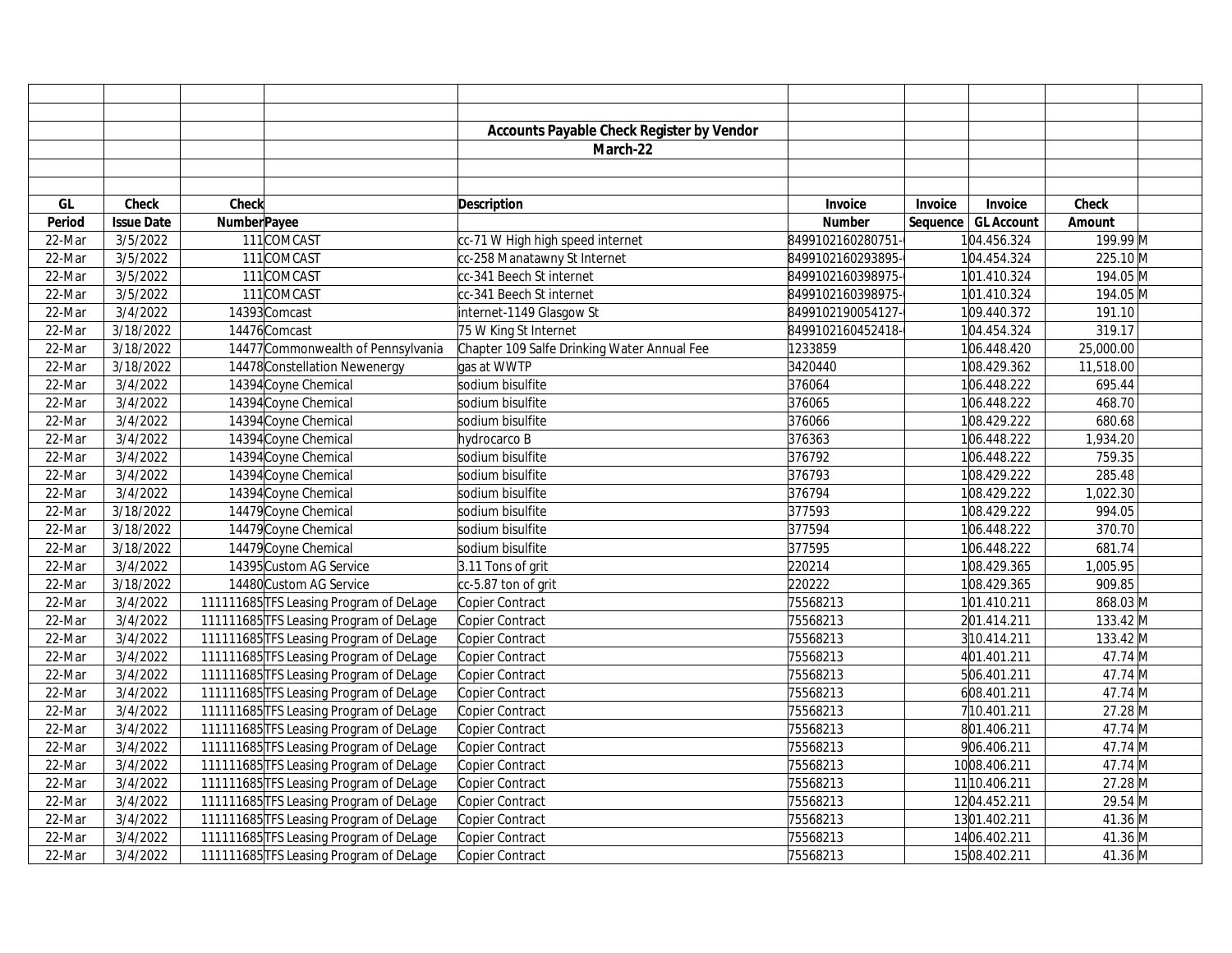|        |                   |                                         | <b>Accounts Payable Check Register by Vendor</b> |                   |         |                       |           |  |
|--------|-------------------|-----------------------------------------|--------------------------------------------------|-------------------|---------|-----------------------|-----------|--|
|        |                   |                                         | March-22                                         |                   |         |                       |           |  |
|        |                   |                                         |                                                  |                   |         |                       |           |  |
|        |                   |                                         |                                                  |                   |         |                       |           |  |
| GL     | Check             | Check                                   | <b>Description</b>                               | Invoice           | Invoice | Invoice               | Check     |  |
| Period | <b>Issue Date</b> | <b>NumberPayee</b>                      |                                                  | <b>Number</b>     |         | Sequence   GL Account | Amount    |  |
| 22-Mar | 3/5/2022          | 111COMCAST                              | cc-71 W High high speed internet                 | 8499102160280751  |         | 104.456.324           | 199.99 M  |  |
| 22-Mar | 3/5/2022          | 111COMCAST                              | cc-258 Manatawny St Internet                     | 8499102160293895  |         | 104.454.324           | 225.10 M  |  |
| 22-Mar | 3/5/2022          | 111COMCAST                              | cc-341 Beech St internet                         | 8499102160398975  |         | 101.410.324           | 194.05 M  |  |
| 22-Mar | 3/5/2022          | 111COMCAST                              | cc-341 Beech St internet                         | 8499102160398975- |         | 101.410.324           | 194.05 M  |  |
| 22-Mar | 3/4/2022          | 14393 Comcast                           | internet-1149 Glasgow St                         | 8499102190054127- |         | 109.440.372           | 191.10    |  |
| 22-Mar | 3/18/2022         | 14476Comcast                            | 75 W King St Internet                            | 8499102160452418- |         | 104.454.324           | 319.17    |  |
| 22-Mar | 3/18/2022         | 14477 Commonwealth of Pennsylvania      | Chapter 109 Salfe Drinking Water Annual Fee      | 1233859           |         | 106.448.420           | 25,000.00 |  |
| 22-Mar | 3/18/2022         | 14478 Constellation Newenergy           | gas at WWTP                                      | 3420440           |         | 108.429.362           | 11,518.00 |  |
| 22-Mar | 3/4/2022          | 14394 Coyne Chemical                    | sodium bisulfite                                 | 376064            |         | 106.448.222           | 695.44    |  |
| 22-Mar | 3/4/2022          | 14394 Coyne Chemical                    | sodium bisulfite                                 | 376065            |         | 106.448.222           | 468.70    |  |
| 22-Mar | 3/4/2022          | 14394 Coyne Chemical                    | sodium bisulfite                                 | 376066            |         | 108.429.222           | 680.68    |  |
| 22-Mar | 3/4/2022          | 14394 Coyne Chemical                    | hydrocarco B                                     | 376363            |         | 106.448.222           | 1,934.20  |  |
| 22-Mar | 3/4/2022          | 14394 Coyne Chemical                    | sodium bisulfite                                 | 376792            |         | 106.448.222           | 759.35    |  |
| 22-Mar | 3/4/2022          | 14394 Coyne Chemical                    | sodium bisulfite                                 | 376793            |         | 108.429.222           | 285.48    |  |
| 22-Mar | 3/4/2022          | 14394 Coyne Chemical                    | sodium bisulfite                                 | 376794            |         | 108.429.222           | 1,022.30  |  |
| 22-Mar | 3/18/2022         | 14479 Coyne Chemical                    | sodium bisulfite                                 | 377593            |         | 108.429.222           | 994.05    |  |
| 22-Mar | 3/18/2022         | 14479 Coyne Chemical                    | sodium bisulfite                                 | 377594            |         | 106.448.222           | 370.70    |  |
| 22-Mar | 3/18/2022         | 14479 Coyne Chemical                    | sodium bisulfite                                 | 377595            |         | 106.448.222           | 681.74    |  |
| 22-Mar | 3/4/2022          | 14395 Custom AG Service                 | 3.11 Tons of grit                                | 220214            |         | 108.429.365           | 1,005.95  |  |
| 22-Mar | 3/18/2022         | 14480 Custom AG Service                 | cc-5.87 ton of grit                              | 220222            |         | 108.429.365           | 909.85    |  |
| 22-Mar | 3/4/2022          | 111111685 TFS Leasing Program of DeLage | Copier Contract                                  | 75568213          |         | 101.410.211           | 868.03 M  |  |
| 22-Mar | 3/4/2022          | 111111685 TFS Leasing Program of DeLage | Copier Contract                                  | 75568213          |         | 201.414.211           | 133.42 M  |  |
| 22-Mar | 3/4/2022          | 111111685 TFS Leasing Program of DeLage | Copier Contract                                  | 75568213          |         | 310.414.211           | 133.42 M  |  |
| 22-Mar | 3/4/2022          | 111111685 TFS Leasing Program of DeLage | Copier Contract                                  | 75568213          |         | 401.401.211           | 47.74 M   |  |
| 22-Mar | 3/4/2022          | 111111685 TFS Leasing Program of DeLage | Copier Contract                                  | 75568213          |         | 506.401.211           | 47.74 M   |  |
| 22-Mar | 3/4/2022          | 111111685 TFS Leasing Program of DeLage | Copier Contract                                  | 75568213          |         | 608.401.211           | 47.74 M   |  |
| 22-Mar | 3/4/2022          | 111111685 TFS Leasing Program of DeLage | Copier Contract                                  | 75568213          |         | 710.401.211           | 27.28 M   |  |
| 22-Mar | 3/4/2022          | 111111685 TFS Leasing Program of DeLage | Copier Contract                                  | 75568213          |         | 801.406.211           | 47.74 M   |  |
| 22-Mar | 3/4/2022          | 111111685 TFS Leasing Program of DeLage | Copier Contract                                  | 75568213          |         | 906.406.211           | 47.74 M   |  |
| 22-Mar | 3/4/2022          | 111111685 TFS Leasing Program of DeLage | Copier Contract                                  | 75568213          |         | 1008.406.211          | 47.74 M   |  |
| 22-Mar | 3/4/2022          | 111111685 TFS Leasing Program of DeLage | Copier Contract                                  | 75568213          |         | 11 10.406.211         | 27.28 M   |  |
| 22-Mar | 3/4/2022          | 111111685 TFS Leasing Program of DeLage | Copier Contract                                  | 75568213          |         | 1204.452.211          | 29.54 M   |  |
| 22-Mar | 3/4/2022          | 111111685 TFS Leasing Program of DeLage | Copier Contract                                  | 75568213          |         | 1301.402.211          | 41.36 M   |  |
| 22-Mar | 3/4/2022          | 111111685 TFS Leasing Program of DeLage | Copier Contract                                  | 75568213          |         | 1406.402.211          | 41.36 M   |  |
| 22-Mar | 3/4/2022          | 111111685 TFS Leasing Program of DeLage | Copier Contract                                  | 75568213          |         | 1508.402.211          | 41.36 M   |  |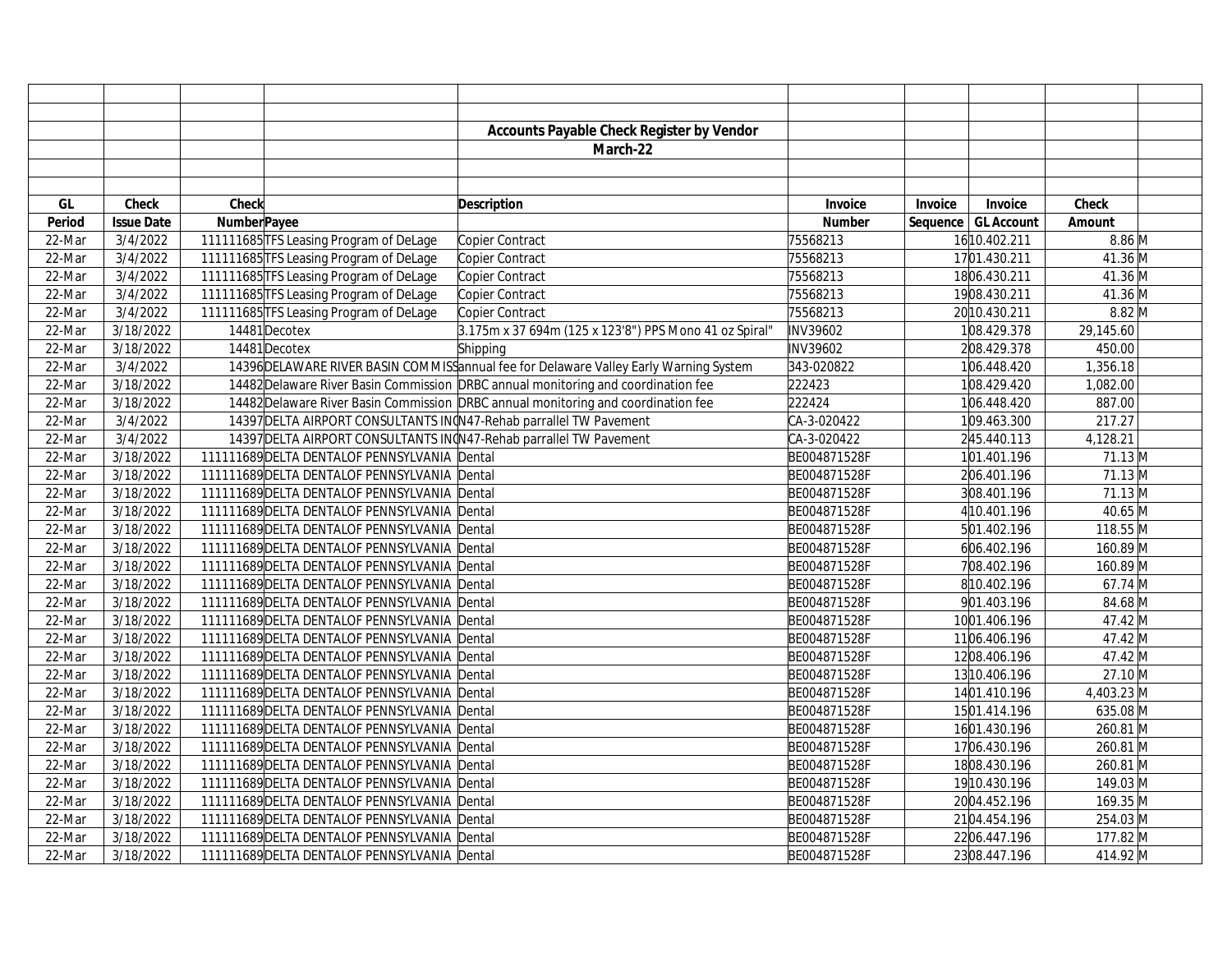|        |                   |                     | Accounts Payable Check Register by Vendor                                              |               |         |                       |                   |  |
|--------|-------------------|---------------------|----------------------------------------------------------------------------------------|---------------|---------|-----------------------|-------------------|--|
|        |                   |                     | March-22                                                                               |               |         |                       |                   |  |
|        |                   |                     |                                                                                        |               |         |                       |                   |  |
|        |                   |                     |                                                                                        |               |         |                       |                   |  |
| GL     | Check             | Check               | <b>Description</b>                                                                     | Invoice       | Invoice | <b>Invoice</b>        | <b>Check</b>      |  |
| Period | <b>Issue Date</b> | <b>Number</b> Payee |                                                                                        | <b>Number</b> |         | Sequence   GL Account | Amount            |  |
| 22-Mar | 3/4/2022          |                     | 111111685 TFS Leasing Program of DeLage<br>Copier Contract                             | 75568213      |         | 16 10.402.211         | $8.86$ M          |  |
| 22-Mar | 3/4/2022          |                     | 111111685 TFS Leasing Program of DeLage<br>Copier Contract                             | 75568213      |         | 1701.430.211          | 41.36 M           |  |
| 22-Mar | 3/4/2022          |                     | 111111685 TFS Leasing Program of DeLage<br>Copier Contract                             | 75568213      |         | 1806.430.211          | 41.36 M           |  |
| 22-Mar | 3/4/2022          |                     | 111111685 TFS Leasing Program of DeLage<br>Copier Contract                             | 75568213      |         | 1908.430.211          | 41.36 M           |  |
| 22-Mar | 3/4/2022          |                     | 111111685 TFS Leasing Program of DeLage<br>Copier Contract                             | 75568213      |         | 20 10.430.211         | $8.82$ M          |  |
| 22-Mar | 3/18/2022         |                     | 14481Decotex<br>3.175m x 37 694m (125 x 123'8") PPS Mono 41 oz Spiral"                 | INV39602      |         | 108.429.378           | 29,145.60         |  |
| 22-Mar | 3/18/2022         |                     | 14481Decotex<br>Shipping                                                               | INV39602      |         | 208.429.378           | 450.00            |  |
| 22-Mar | 3/4/2022          |                     | 14396 DELAWARE RIVER BASIN COMMISS annual fee for Delaware Valley Early Warning System | 343-020822    |         | 106.448.420           | 1,356.18          |  |
| 22-Mar | 3/18/2022         |                     | 14482 Delaware River Basin Commission DRBC annual monitoring and coordination fee      | 222423        |         | 108.429.420           | 1,082.00          |  |
| 22-Mar | 3/18/2022         |                     | 14482 Delaware River Basin Commission DRBC annual monitoring and coordination fee      | 222424        |         | 106.448.420           | 887.00            |  |
| 22-Mar | 3/4/2022          |                     | 14397 DELTA AIRPORT CONSULTANTS IN CN47-Rehab parrallel TW Pavement                    | CA-3-020422   |         | 109.463.300           | 217.27            |  |
| 22-Mar | 3/4/2022          |                     | 14397 DELTA AIRPORT CONSULTANTS IN CN47-Rehab parrallel TW Pavement                    | CA-3-020422   |         | 245.440.113           | 4,128.21          |  |
| 22-Mar | 3/18/2022         |                     | 111111689 DELTA DENTALOF PENNSYLVANIA Dental                                           | BE004871528F  |         | 101.401.196           | 71.13 M           |  |
| 22-Mar | 3/18/2022         |                     | 111111689 DELTA DENTALOF PENNSYLVANIA Dental                                           | BE004871528F  |         | 206.401.196           | $71.13 \text{ M}$ |  |
| 22-Mar | 3/18/2022         |                     | 111111689 DELTA DENTALOF PENNSYLVANIA Dental                                           | BE004871528F  |         | 308.401.196           | 71.13 M           |  |
| 22-Mar | 3/18/2022         |                     | 111111689 DELTA DENTALOF PENNSYLVANIA Dental                                           | BE004871528F  |         | 410.401.196           | 40.65 M           |  |
| 22-Mar | 3/18/2022         |                     | 111111689 DELTA DENTALOF PENNSYLVANIA Dental                                           | BE004871528F  |         | 501.402.196           | 118.55 M          |  |
| 22-Mar | 3/18/2022         |                     | 111111689 DELTA DENTALOF PENNSYLVANIA Dental                                           | BE004871528F  |         | 606.402.196           | 160.89 M          |  |
| 22-Mar | 3/18/2022         |                     | 111111689 DELTA DENTALOF PENNSYLVANIA Dental                                           | BE004871528F  |         | 708.402.196           | 160.89 M          |  |
| 22-Mar | 3/18/2022         |                     | 111111689 DELTA DENTALOF PENNSYLVANIA Dental                                           | BE004871528F  |         | 810.402.196           | 67.74 M           |  |
| 22-Mar | 3/18/2022         |                     | 111111689 DELTA DENTALOF PENNSYLVANIA Dental                                           | BE004871528F  |         | 901.403.196           | 84.68 M           |  |
| 22-Mar | 3/18/2022         |                     | 111111689 DELTA DENTALOF PENNSYLVANIA Dental                                           | BE004871528F  |         | 1001.406.196          | 47.42 M           |  |
| 22-Mar | 3/18/2022         |                     | 111111689 DELTA DENTALOF PENNSYLVANIA Dental                                           | BE004871528F  |         | 1106.406.196          | 47.42 M           |  |
| 22-Mar | 3/18/2022         |                     | 111111689 DELTA DENTALOF PENNSYLVANIA Dental                                           | BE004871528F  |         | 1208.406.196          | 47.42 M           |  |
| 22-Mar | 3/18/2022         |                     | 111111689 DELTA DENTALOF PENNSYLVANIA Dental                                           | BE004871528F  |         | 13 10.406.196         | 27.10 M           |  |
| 22-Mar | 3/18/2022         |                     | 111111689 DELTA DENTALOF PENNSYLVANIA Dental                                           | BE004871528F  |         | 1401.410.196          | 4,403.23 M        |  |
| 22-Mar | 3/18/2022         |                     | 111111689 DELTA DENTALOF PENNSYLVANIA Dental                                           | BE004871528F  |         | 1501.414.196          | 635.08 M          |  |
| 22-Mar | 3/18/2022         |                     | 111111689 DELTA DENTALOF PENNSYLVANIA Dental                                           | BE004871528F  |         | 1601.430.196          | 260.81 M          |  |
| 22-Mar | 3/18/2022         |                     | 111111689 DELTA DENTALOF PENNSYLVANIA Dental                                           | BE004871528F  |         | 1706.430.196          | 260.81 M          |  |
| 22-Mar | 3/18/2022         |                     | 111111689 DELTA DENTALOF PENNSYLVANIA Dental                                           | BE004871528F  |         | 1808.430.196          | 260.81 M          |  |
| 22-Mar | 3/18/2022         |                     | 111111689 DELTA DENTALOF PENNSYLVANIA Dental                                           | BE004871528F  |         | 19 10.430.196         | 149.03 M          |  |
| 22-Mar | 3/18/2022         |                     | 111111689 DELTA DENTALOF PENNSYLVANIA Dental                                           | BE004871528F  |         | 2004.452.196          | 169.35 M          |  |
| 22-Mar | 3/18/2022         |                     | 111111689 DELTA DENTALOF PENNSYLVANIA Dental                                           | BE004871528F  |         | 2104.454.196          | 254.03 M          |  |
| 22-Mar | 3/18/2022         |                     | 111111689 DELTA DENTALOF PENNSYLVANIA Dental                                           | BE004871528F  |         | 2206.447.196          | 177.82 M          |  |
| 22-Mar | 3/18/2022         |                     | 111111689 DELTA DENTALOF PENNSYLVANIA Dental                                           | BE004871528F  |         | 2308.447.196          | 414.92 M          |  |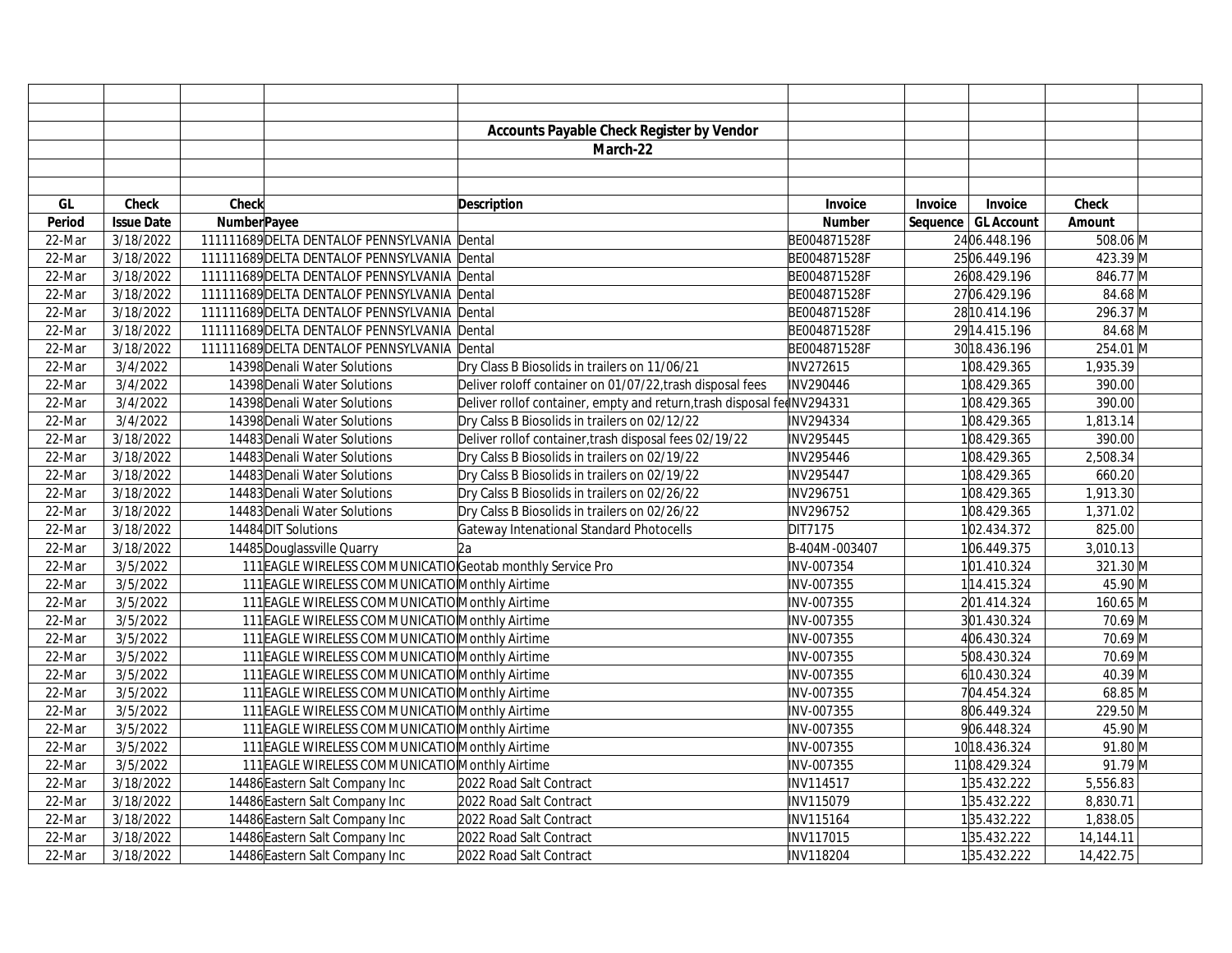|        |                   |                     |                                                            | <b>Accounts Payable Check Register by Vendor</b>                        |               |         |                       |              |  |
|--------|-------------------|---------------------|------------------------------------------------------------|-------------------------------------------------------------------------|---------------|---------|-----------------------|--------------|--|
|        |                   |                     |                                                            | March-22                                                                |               |         |                       |              |  |
|        |                   |                     |                                                            |                                                                         |               |         |                       |              |  |
|        |                   |                     |                                                            |                                                                         |               |         |                       |              |  |
| GL     | Check             | Check               |                                                            | <b>Description</b>                                                      | Invoice       | Invoice | <b>Invoice</b>        | <b>Check</b> |  |
| Period | <b>Issue Date</b> | <b>Number</b> Payee |                                                            |                                                                         | <b>Number</b> |         | Sequence   GL Account | Amount       |  |
| 22-Mar | 3/18/2022         |                     | 111111689 DELTA DENTALOF PENNSYLVANIA Dental               |                                                                         | BE004871528F  |         | 2406.448.196          | 508.06 M     |  |
| 22-Mar | 3/18/2022         |                     | 111111689 DELTA DENTALOF PENNSYLVANIA Dental               |                                                                         | BE004871528F  |         | 2506.449.196          | 423.39 M     |  |
| 22-Mar | 3/18/2022         |                     | 111111689 DELTA DENTALOF PENNSYLVANIA Dental               |                                                                         | BE004871528F  |         | 2608.429.196          | 846.77 M     |  |
| 22-Mar | 3/18/2022         |                     | 111111689 DELTA DENTALOF PENNSYLVANIA Dental               |                                                                         | BE004871528F  |         | 2706.429.196          | 84.68 M      |  |
| 22-Mar | 3/18/2022         |                     | 111111689 DELTA DENTALOF PENNSYLVANIA Dental               |                                                                         | BE004871528F  |         | 28 10.414.196         | 296.37 M     |  |
| 22-Mar | 3/18/2022         |                     | 111111689 DELTA DENTALOF PENNSYLVANIA Dental               |                                                                         | BE004871528F  |         | 29 14.415.196         | 84.68 M      |  |
| 22-Mar | 3/18/2022         |                     | 111111689 DELTA DENTALOF PENNSYLVANIA Dental               |                                                                         | BE004871528F  |         | 30 18.436.196         | 254.01 M     |  |
| 22-Mar | 3/4/2022          |                     | 14398 Denali Water Solutions                               | Dry Class B Biosolids in trailers on 11/06/21                           | INV272615     |         | 108.429.365           | 1,935.39     |  |
| 22-Mar | 3/4/2022          |                     | 14398 Denali Water Solutions                               | Deliver roloff container on 01/07/22, trash disposal fees               | INV290446     |         | 108.429.365           | 390.00       |  |
| 22-Mar | 3/4/2022          |                     | 14398 Denali Water Solutions                               | Deliver rollof container, empty and return, trash disposal fed NV294331 |               |         | 108.429.365           | 390.00       |  |
| 22-Mar | 3/4/2022          |                     | 14398 Denali Water Solutions                               | Dry Calss B Biosolids in trailers on 02/12/22                           | INV294334     |         | 108.429.365           | 1,813.14     |  |
| 22-Mar | 3/18/2022         |                     | 14483 Denali Water Solutions                               | Deliver rollof container, trash disposal fees 02/19/22                  | INV295445     |         | 108.429.365           | 390.00       |  |
| 22-Mar | 3/18/2022         |                     | 14483 Denali Water Solutions                               | Dry Calss B Biosolids in trailers on 02/19/22                           | INV295446     |         | 108.429.365           | 2,508.34     |  |
| 22-Mar | 3/18/2022         |                     | 14483 Denali Water Solutions                               | Dry Calss B Biosolids in trailers on 02/19/22                           | INV295447     |         | 108.429.365           | 660.20       |  |
| 22-Mar | 3/18/2022         |                     | 14483 Denali Water Solutions                               | Dry Calss B Biosolids in trailers on 02/26/22                           | INV296751     |         | 108.429.365           | 1,913.30     |  |
| 22-Mar | 3/18/2022         |                     | 14483 Denali Water Solutions                               | Dry Calss B Biosolids in trailers on 02/26/22                           | INV296752     |         | 108.429.365           | 1,371.02     |  |
| 22-Mar | 3/18/2022         |                     | 14484 DIT Solutions                                        | Gateway Intenational Standard Photocells                                | DIT7175       |         | 102.434.372           | 825.00       |  |
| 22-Mar | 3/18/2022         |                     | 2a<br>14485 Douglassville Quarry                           |                                                                         | B-404M-003407 |         | 106.449.375           | 3,010.13     |  |
| 22-Mar | 3/5/2022          |                     | 111 EAGLE WIRELESS COMMUNICATIO Geotab monthly Service Pro |                                                                         | INV-007354    |         | 101.410.324           | 321.30 M     |  |
| 22-Mar | 3/5/2022          |                     | 111 EAGLE WIRELESS COMMUNICATIO Monthly Airtime            |                                                                         | INV-007355    |         | 114.415.324           | 45.90 M      |  |
| 22-Mar | 3/5/2022          |                     | 111 EAGLE WIRELESS COMMUNICATIO Monthly Airtime            |                                                                         | INV-007355    |         | 201.414.324           | 160.65 M     |  |
| 22-Mar | 3/5/2022          |                     | 111 EAGLE WIRELESS COMMUNICATIO Monthly Airtime            |                                                                         | INV-007355    |         | 301.430.324           | 70.69 M      |  |
| 22-Mar | 3/5/2022          |                     | 111 EAGLE WIRELESS COMMUNICATIO Monthly Airtime            |                                                                         | INV-007355    |         | 406.430.324           | 70.69 M      |  |
| 22-Mar | 3/5/2022          |                     | 111 EAGLE WIRELESS COMMUNICATIO Monthly Airtime            |                                                                         | INV-007355    |         | 508.430.324           | 70.69 M      |  |
| 22-Mar | 3/5/2022          |                     | 111 EAGLE WIRELESS COMMUNICATIO Monthly Airtime            |                                                                         | INV-007355    |         | 610.430.324           | 40.39 M      |  |
| 22-Mar | 3/5/2022          |                     | 111 EAGLE WIRELESS COMMUNICATIO Monthly Airtime            |                                                                         | INV-007355    |         | 704.454.324           | 68.85 M      |  |
| 22-Mar | 3/5/2022          |                     | 111 EAGLE WIRELESS COMMUNICATIO Monthly Airtime            |                                                                         | INV-007355    |         | 806.449.324           | 229.50 M     |  |
| 22-Mar | 3/5/2022          |                     | 111 EAGLE WIRELESS COMMUNICATIO Monthly Airtime            |                                                                         | INV-007355    |         | 906.448.324           | 45.90 M      |  |
| 22-Mar | 3/5/2022          |                     | 111 EAGLE WIRELESS COMMUNICATIO Monthly Airtime            |                                                                         | INV-007355    |         | 10 18.436.324         | 91.80 M      |  |
| 22-Mar | 3/5/2022          |                     | 111 EAGLE WIRELESS COMMUNICATIO Monthly Airtime            |                                                                         | INV-007355    |         | 1108.429.324          | 91.79 M      |  |
| 22-Mar | 3/18/2022         |                     | 14486 Eastern Salt Company Inc                             | 2022 Road Salt Contract                                                 | INV114517     |         | 135.432.222           | 5,556.83     |  |
| 22-Mar | 3/18/2022         |                     | 14486 Eastern Salt Company Inc                             | 2022 Road Salt Contract                                                 | INV115079     |         | 135.432.222           | 8,830.71     |  |
| 22-Mar | 3/18/2022         |                     | 14486 Eastern Salt Company Inc                             | 2022 Road Salt Contract                                                 | INV115164     |         | 135.432.222           | 1,838.05     |  |
| 22-Mar | 3/18/2022         |                     | 14486 Eastern Salt Company Inc                             | 2022 Road Salt Contract                                                 | INV117015     |         | 135.432.222           | 14,144.11    |  |
| 22-Mar | 3/18/2022         |                     | 14486 Eastern Salt Company Inc                             | 2022 Road Salt Contract                                                 | INV118204     |         | 135.432.222           | 14,422.75    |  |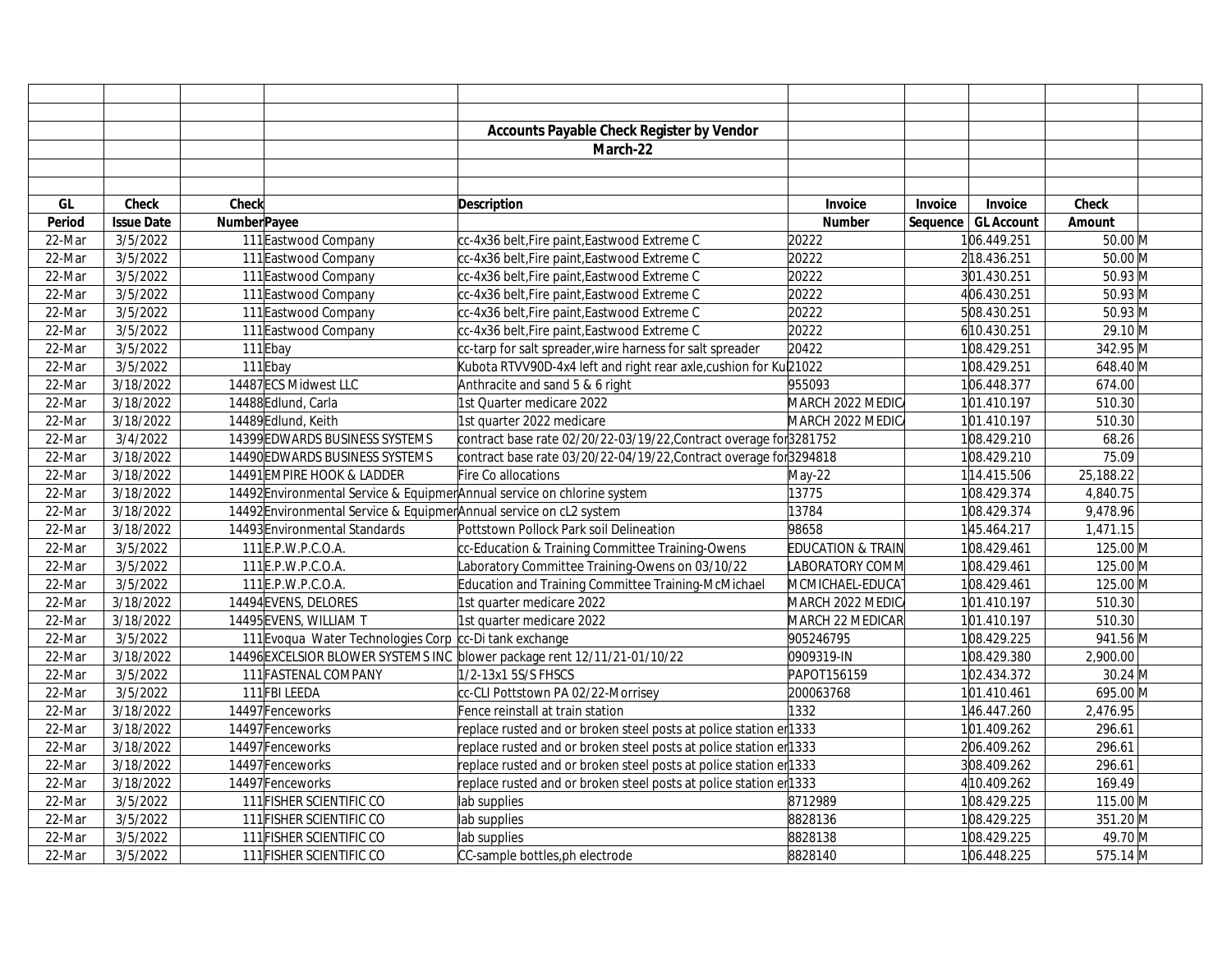|        |                   |                                                                          | <b>Accounts Payable Check Register by Vendor</b>                         |                              |         |                     |           |  |
|--------|-------------------|--------------------------------------------------------------------------|--------------------------------------------------------------------------|------------------------------|---------|---------------------|-----------|--|
|        |                   |                                                                          | March-22                                                                 |                              |         |                     |           |  |
|        |                   |                                                                          |                                                                          |                              |         |                     |           |  |
|        |                   |                                                                          |                                                                          |                              |         |                     |           |  |
| GL     | Check             | Check                                                                    | <b>Description</b>                                                       | <b>Invoice</b>               | Invoice | Invoice             | Check     |  |
| Period | <b>Issue Date</b> | Number Payee                                                             |                                                                          | <b>Number</b>                |         | Sequence GL Account | Amount    |  |
| 22-Mar | 3/5/2022          | 111 Eastwood Company                                                     | cc-4x36 belt, Fire paint, Eastwood Extreme C                             | 20222                        |         | 106.449.251         | 50.00 M   |  |
| 22-Mar | 3/5/2022          | 111 Eastwood Company                                                     | cc-4x36 belt, Fire paint, Eastwood Extreme C                             | 20222                        |         | 218.436.251         | 50.00 M   |  |
| 22-Mar | 3/5/2022          | 111 Eastwood Company                                                     | cc-4x36 belt, Fire paint, Eastwood Extreme C                             | 20222                        |         | 301.430.251         | $50.93$ M |  |
| 22-Mar | 3/5/2022          | 111 Eastwood Company                                                     | cc-4x36 belt, Fire paint, Eastwood Extreme C                             | 20222                        |         | 406.430.251         | $50.93$ M |  |
| 22-Mar | 3/5/2022          | 111 Eastwood Company                                                     | cc-4x36 belt, Fire paint, Eastwood Extreme C                             | 20222                        |         | 508.430.251         | 50.93 M   |  |
| 22-Mar | 3/5/2022          | 111 Eastwood Company                                                     | cc-4x36 belt, Fire paint, Eastwood Extreme C                             | 20222                        |         | 610.430.251         | 29.10 M   |  |
| 22-Mar | 3/5/2022          | 111Ebay                                                                  | cc-tarp for salt spreader, wire harness for salt spreader                | 20422                        |         | 108.429.251         | 342.95 M  |  |
| 22-Mar | 3/5/2022          | 111Ebay                                                                  | Kubota RTVV90D-4x4 left and right rear axle, cushion for Ku21022         |                              |         | 108.429.251         | 648.40 M  |  |
| 22-Mar | 3/18/2022         | 14487 ECS Midwest LLC                                                    | Anthracite and sand 5 & 6 right                                          | 955093                       |         | 106.448.377         | 674.00    |  |
| 22-Mar | 3/18/2022         | 14488 Edlund, Carla                                                      | 1st Quarter medicare 2022                                                | MARCH 2022 MEDIC             |         | 101.410.197         | 510.30    |  |
| 22-Mar | 3/18/2022         | 14489 Edlund, Keith                                                      | 1st quarter 2022 medicare                                                | MARCH 2022 MEDIC             |         | 101.410.197         | 510.30    |  |
| 22-Mar | 3/4/2022          | 14399 EDWARDS BUSINESS SYSTEMS                                           | contract base rate 02/20/22-03/19/22, Contract overage for 3281752       |                              |         | 108.429.210         | 68.26     |  |
| 22-Mar | 3/18/2022         | 14490 EDWARDS BUSINESS SYSTEMS                                           | contract base rate 03/20/22-04/19/22, Contract overage for 3294818       |                              |         | 108.429.210         | 75.09     |  |
| 22-Mar | 3/18/2022         | 14491 EMPIRE HOOK & LADDER                                               | Fire Co allocations                                                      | May-22                       |         | 114.415.506         | 25,188.22 |  |
| 22-Mar | 3/18/2022         | 14492 Environmental Service & Equipmer Annual service on chlorine system |                                                                          | 13775                        |         | 108.429.374         | 4,840.75  |  |
| 22-Mar | 3/18/2022         | 14492 Environmental Service & Equipmer Annual service on cL2 system      |                                                                          | 13784                        |         | 108.429.374         | 9,478.96  |  |
| 22-Mar | 3/18/2022         | 14493 Environmental Standards                                            | Pottstown Pollock Park soil Delineation                                  | 98658                        |         | 145.464.217         | 1,471.15  |  |
| 22-Mar | 3/5/2022          | 111 E.P.W.P.C.O.A.                                                       | cc-Education & Training Committee Training-Owens                         | <b>EDUCATION &amp; TRAIN</b> |         | 108.429.461         | 125.00 M  |  |
| 22-Mar | 3/5/2022          | 111E.P.W.P.C.O.A.                                                        | Laboratory Committee Training-Owens on 03/10/22                          | LABORATORY COMM              |         | 108.429.461         | 125.00 M  |  |
| 22-Mar | 3/5/2022          | 111E.P.W.P.C.O.A.                                                        | Education and Training Committee Training-McMichael                      | MCMICHAEL-EDUCA <sup>®</sup> |         | 108.429.461         | 125.00 M  |  |
| 22-Mar | 3/18/2022         | 14494 EVENS, DELORES                                                     | 1st quarter medicare 2022                                                | MARCH 2022 MEDIC             |         | 101.410.197         | 510.30    |  |
| 22-Mar | 3/18/2022         | 14495 EVENS, WILLIAM T                                                   | 1st quarter medicare 2022                                                | MARCH 22 MEDICAR             |         | 101.410.197         | 510.30    |  |
| 22-Mar | 3/5/2022          | 111 Evoqua Water Technologies Corp cc-Di tank exchange                   |                                                                          | 905246795                    |         | 108.429.225         | 941.56 M  |  |
| 22-Mar | 3/18/2022         |                                                                          | 14496 EXCELSIOR BLOWER SYSTEMS INC blower package rent 12/11/21-01/10/22 | 0909319-IN                   |         | 108.429.380         | 2,900.00  |  |
| 22-Mar | 3/5/2022          | 111 FASTENAL COMPANY                                                     | 1/2-13x1 5S/S FHSCS                                                      | PAPOT156159                  |         | 102.434.372         | $30.24$ M |  |
| 22-Mar | 3/5/2022          | 111FBI LEEDA                                                             | cc-CLI Pottstown PA 02/22-Morrisey                                       | 200063768                    |         | 101.410.461         | 695.00 M  |  |
| 22-Mar | 3/18/2022         | 14497 Fenceworks                                                         | Fence reinstall at train station                                         | 1332                         |         | 146.447.260         | 2,476.95  |  |
| 22-Mar | 3/18/2022         | 14497 Fenceworks                                                         | replace rusted and or broken steel posts at police station er 1333       |                              |         | 101.409.262         | 296.61    |  |
| 22-Mar | 3/18/2022         | 14497 Fenceworks                                                         | replace rusted and or broken steel posts at police station er 1333       |                              |         | 206.409.262         | 296.61    |  |
| 22-Mar | 3/18/2022         | 14497 Fenceworks                                                         | replace rusted and or broken steel posts at police station er 1333       |                              |         | 308.409.262         | 296.61    |  |
| 22-Mar | 3/18/2022         | 14497 Fenceworks                                                         | replace rusted and or broken steel posts at police station er 1333       |                              |         | 410.409.262         | 169.49    |  |
| 22-Mar | 3/5/2022          | 111 FISHER SCIENTIFIC CO                                                 | lab supplies                                                             | 8712989                      |         | 108.429.225         | 115.00 M  |  |
| 22-Mar | 3/5/2022          | 111 FISHER SCIENTIFIC CO                                                 | lab supplies                                                             | 8828136                      |         | 108.429.225         | 351.20 M  |  |
| 22-Mar | 3/5/2022          | 111 FISHER SCIENTIFIC CO                                                 | lab supplies                                                             | 8828138                      |         | 108.429.225         | 49.70 M   |  |
| 22-Mar | 3/5/2022          | 111 FISHER SCIENTIFIC CO                                                 | CC-sample bottles, ph electrode                                          | 8828140                      |         | 106.448.225         | 575.14 M  |  |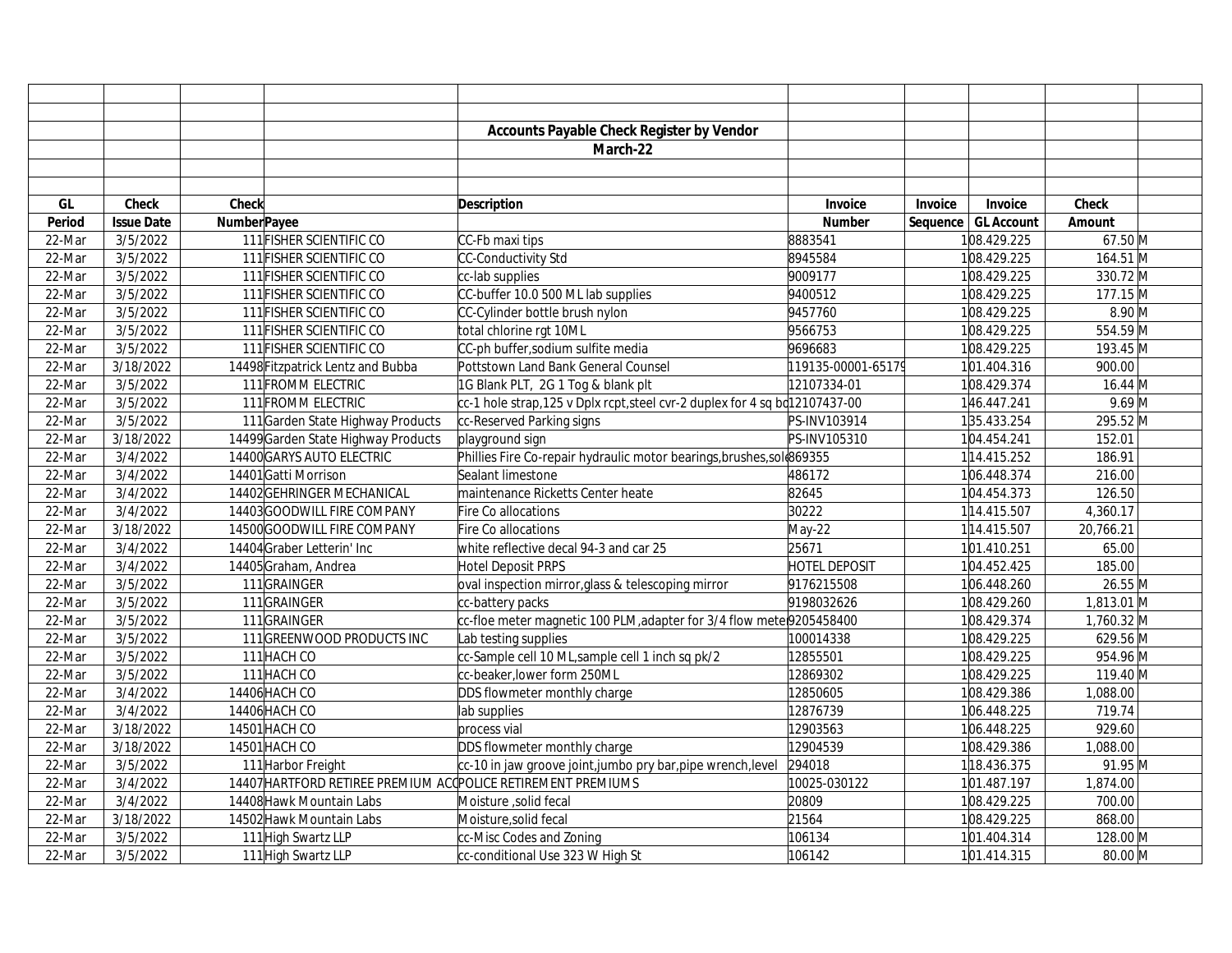|        |                   |                    |                                     | <b>Accounts Payable Check Register by Vendor</b>                            |                      |         |                       |              |  |
|--------|-------------------|--------------------|-------------------------------------|-----------------------------------------------------------------------------|----------------------|---------|-----------------------|--------------|--|
|        |                   |                    |                                     | March-22                                                                    |                      |         |                       |              |  |
|        |                   |                    |                                     |                                                                             |                      |         |                       |              |  |
|        |                   |                    |                                     |                                                                             |                      |         |                       |              |  |
| GL     | Check             | Check              |                                     | <b>Description</b>                                                          | Invoice              | Invoice | Invoice               | Check        |  |
| Period | <b>Issue Date</b> | <b>NumberPayee</b> |                                     |                                                                             | <b>Number</b>        |         | Sequence   GL Account | Amount       |  |
| 22-Mar | 3/5/2022          |                    | 111 FISHER SCIENTIFIC CO            | CC-Fb maxi tips                                                             | 8883541              |         | 108.429.225           | 67.50 M      |  |
| 22-Mar | 3/5/2022          |                    | 111 FISHER SCIENTIFIC CO            | CC-Conductivity Std                                                         | 8945584              |         | 108.429.225           | 164.51 M     |  |
| 22-Mar | 3/5/2022          |                    | 111 FISHER SCIENTIFIC CO            | cc-lab supplies                                                             | 9009177              |         | 108.429.225           | 330.72 M     |  |
| 22-Mar | 3/5/2022          |                    | 111 FISHER SCIENTIFIC CO            | CC-buffer 10.0 500 ML lab supplies                                          | 9400512              |         | 108.429.225           | 177.15 M     |  |
| 22-Mar | 3/5/2022          |                    | 111 FISHER SCIENTIFIC CO            | CC-Cylinder bottle brush nylon                                              | 9457760              |         | 108.429.225           | $8.90$ M     |  |
| 22-Mar | 3/5/2022          |                    | 111 FISHER SCIENTIFIC CO            | total chlorine rgt 10ML                                                     | 9566753              |         | 108.429.225           | 554.59 M     |  |
| 22-Mar | 3/5/2022          |                    | 111 FISHER SCIENTIFIC CO            | CC-ph buffer, sodium sulfite media                                          | 9696683              |         | 108.429.225           | 193.45 M     |  |
| 22-Mar | 3/18/2022         |                    | 14498 Fitzpatrick Lentz and Bubba   | Pottstown Land Bank General Counsel                                         | 119135-00001-65179   |         | 101.404.316           | 900.00       |  |
| 22-Mar | 3/5/2022          |                    | 111 FROMM ELECTRIC                  | 1G Blank PLT, 2G 1 Tog & blank plt                                          | 12107334-01          |         | 108.429.374           | $16.44$ M    |  |
| 22-Mar | 3/5/2022          |                    | 111 FROMM ELECTRIC                  | cc-1 hole strap, 125 v Dplx rcpt, steel cvr-2 duplex for 4 sq bq12107437-00 |                      |         | 146.447.241           | $9.69$ M     |  |
| 22-Mar | 3/5/2022          |                    | 111 Garden State Highway Products   | cc-Reserved Parking signs                                                   | PS-INV103914         |         | 135.433.254           | 295.52 M     |  |
| 22-Mar | 3/18/2022         |                    | 14499 Garden State Highway Products | playground sign                                                             | PS-INV105310         |         | 104.454.241           | 152.01       |  |
| 22-Mar | 3/4/2022          |                    | 14400 GARYS AUTO ELECTRIC           | Phillies Fire Co-repair hydraulic motor bearings, brushes, sol 869355       |                      |         | 114.415.252           | 186.91       |  |
| 22-Mar | 3/4/2022          |                    | 14401Gatti Morrison                 | Sealant limestone                                                           | 486172               |         | 106.448.374           | 216.00       |  |
| 22-Mar | 3/4/2022          |                    | 14402 GEHRINGER MECHANICAL          | maintenance Ricketts Center heate                                           | 82645                |         | 104.454.373           | 126.50       |  |
| 22-Mar | 3/4/2022          |                    | 14403 GOODWILL FIRE COMPANY         | Fire Co allocations                                                         | 30222                |         | 114.415.507           | 4,360.17     |  |
| 22-Mar | 3/18/2022         |                    | 14500GOODWILL FIRE COMPANY          | Fire Co allocations                                                         | May-22               |         | 114.415.507           | 20,766.21    |  |
| 22-Mar | 3/4/2022          |                    | 14404 Graber Letterin' Inc          | white reflective decal 94-3 and car 25                                      | 25671                |         | 101.410.251           | 65.00        |  |
| 22-Mar | 3/4/2022          |                    | 14405Graham, Andrea                 | Hotel Deposit PRPS                                                          | <b>HOTEL DEPOSIT</b> |         | 104.452.425           | 185.00       |  |
| 22-Mar | 3/5/2022          |                    | 111GRAINGER                         | oval inspection mirror, glass & telescoping mirror                          | 9176215508           |         | 106.448.260           | 26.55 M      |  |
| 22-Mar | 3/5/2022          |                    | 111GRAINGER                         | cc-battery packs                                                            | 9198032626           |         | 108.429.260           | $1,813.01$ M |  |
| 22-Mar | 3/5/2022          |                    | 111GRAINGER                         | cc-floe meter magnetic 100 PLM, adapter for 3/4 flow mete 9205458400        |                      |         | 108.429.374           | $1,760.32$ M |  |
| 22-Mar | 3/5/2022          |                    | 111 GREENWOOD PRODUCTS INC          | Lab testing supplies                                                        | 100014338            |         | 108.429.225           | 629.56 M     |  |
| 22-Mar | 3/5/2022          |                    | 111 HACH CO                         | cc-Sample cell 10 ML, sample cell 1 inch sq pk/2                            | 12855501             |         | 108.429.225           | 954.96 M     |  |
| 22-Mar | 3/5/2022          |                    | 111 HACH CO                         | cc-beaker, lower form 250ML                                                 | 12869302             |         | 108.429.225           | 119.40 M     |  |
| 22-Mar | 3/4/2022          |                    | 14406 HACH CO                       | DDS flowmeter monthly charge                                                | 12850605             |         | 108.429.386           | 1,088.00     |  |
| 22-Mar | 3/4/2022          |                    | 14406 HACH CO                       | lab supplies                                                                | 12876739             |         | 106.448.225           | 719.74       |  |
| 22-Mar | 3/18/2022         |                    | 14501 HACH CO                       | process vial                                                                | 12903563             |         | 106.448.225           | 929.60       |  |
| 22-Mar | 3/18/2022         |                    | 14501 HACH CO                       | DDS flowmeter monthly charge                                                | 12904539             |         | 108.429.386           | 1,088.00     |  |
| 22-Mar | 3/5/2022          |                    | 111 Harbor Freight                  | cc-10 in jaw groove joint, jumbo pry bar, pipe wrench, level                | 294018               |         | 118.436.375           | 91.95 M      |  |
| 22-Mar | 3/4/2022          |                    |                                     | 14407 HARTFORD RETIREE PREMIUM ACC POLICE RETIREMENT PREMIUMS               | 10025-030122         |         | 101.487.197           | 1,874.00     |  |
| 22-Mar | 3/4/2022          |                    | 14408 Hawk Mountain Labs            | Moisture , solid fecal                                                      | 20809                |         | 108.429.225           | 700.00       |  |
| 22-Mar | 3/18/2022         |                    | 14502 Hawk Mountain Labs            | Moisture, solid fecal                                                       | 21564                |         | 108.429.225           | 868.00       |  |
| 22-Mar | 3/5/2022          |                    | 111 High Swartz LLP                 | cc-Misc Codes and Zoning                                                    | 106134               |         | 101.404.314           | 128.00 M     |  |
| 22-Mar | 3/5/2022          |                    | 111 High Swartz LLP                 | cc-conditional Use 323 W High St                                            | 106142               |         | 101.414.315           | 80.00 M      |  |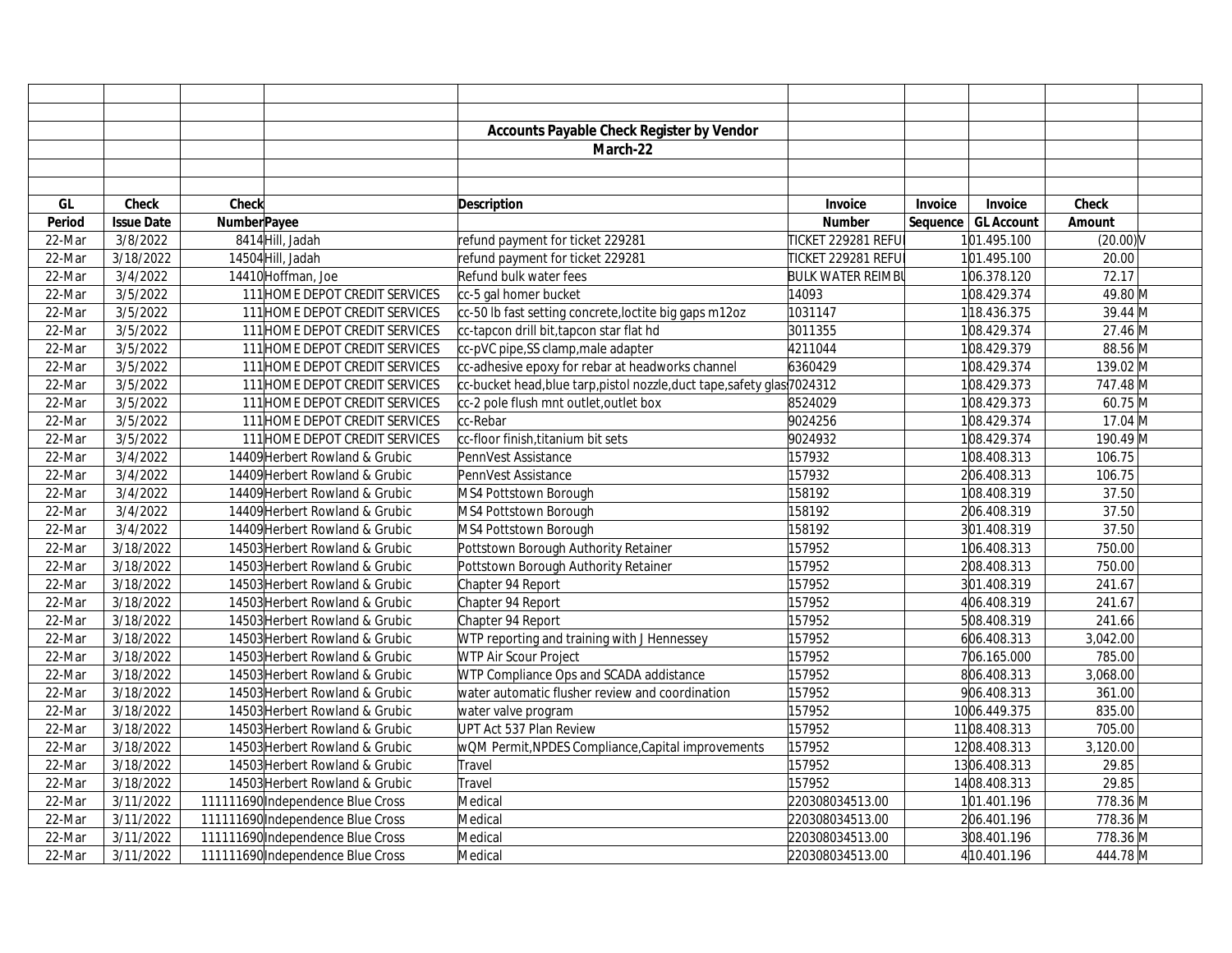|        |                   |                    |                                   | Accounts Payable Check Register by Vendor                                |                          |         |                       |              |  |
|--------|-------------------|--------------------|-----------------------------------|--------------------------------------------------------------------------|--------------------------|---------|-----------------------|--------------|--|
|        |                   |                    |                                   | March-22                                                                 |                          |         |                       |              |  |
|        |                   |                    |                                   |                                                                          |                          |         |                       |              |  |
|        |                   |                    |                                   |                                                                          |                          |         |                       |              |  |
| GL     | Check             | Check              |                                   | <b>Description</b>                                                       | Invoice                  | Invoice | Invoice               | Check        |  |
| Period | <b>Issue Date</b> | <b>NumberPayee</b> |                                   |                                                                          | <b>Number</b>            |         | Sequence   GL Account | Amount       |  |
| 22-Mar | 3/8/2022          |                    | 8414 Hill, Jadah                  | refund payment for ticket 229281                                         | TICKET 229281 REFU       |         | 101.495.100           | $(20.00)$ V  |  |
| 22-Mar | 3/18/2022         |                    | 14504 Hill, Jadah                 | refund payment for ticket 229281                                         | TICKET 229281 REFU       |         | 101.495.100           | 20.00        |  |
| 22-Mar | 3/4/2022          |                    | 14410 Hoffman, Joe                | Refund bulk water fees                                                   | <b>BULK WATER REIMBI</b> |         | 106.378.120           | 72.17        |  |
| 22-Mar | 3/5/2022          |                    | 111 HOME DEPOT CREDIT SERVICES    | cc-5 gal homer bucket                                                    | 14093                    |         | 108.429.374           | 49.80 M      |  |
| 22-Mar | 3/5/2022          |                    | 111 HOME DEPOT CREDIT SERVICES    | cc-50 lb fast setting concrete, loctite big gaps m12oz                   | 1031147                  |         | 118.436.375           | 39.44 M      |  |
| 22-Mar | 3/5/2022          |                    | 111 HOME DEPOT CREDIT SERVICES    | cc-tapcon drill bit, tapcon star flat hd                                 | 3011355                  |         | 108.429.374           | 27.46 M      |  |
| 22-Mar | 3/5/2022          |                    | 111 HOME DEPOT CREDIT SERVICES    | cc-pVC pipe, SS clamp, male adapter                                      | 4211044                  |         | 108.429.379           | 88.56 M      |  |
| 22-Mar | 3/5/2022          |                    | 111 HOME DEPOT CREDIT SERVICES    | cc-adhesive epoxy for rebar at headworks channel                         | 6360429                  |         | 108.429.374           | 139.02 M     |  |
| 22-Mar | 3/5/2022          |                    | 111 HOME DEPOT CREDIT SERVICES    | cc-bucket head, blue tarp, pistol nozzle, duct tape, safety glas 7024312 |                          |         | 108.429.373           | 747.48 M     |  |
| 22-Mar | 3/5/2022          |                    | 111 HOME DEPOT CREDIT SERVICES    | cc-2 pole flush mnt outlet, outlet box                                   | 8524029                  |         | 108.429.373           | 60.75 M      |  |
| 22-Mar | 3/5/2022          |                    | 111 HOME DEPOT CREDIT SERVICES    | cc-Rebar                                                                 | 9024256                  |         | 108.429.374           | $17.04 \, M$ |  |
| 22-Mar | 3/5/2022          |                    | 111 HOME DEPOT CREDIT SERVICES    | cc-floor finish, titanium bit sets                                       | 9024932                  |         | 108.429.374           | 190.49 M     |  |
| 22-Mar | 3/4/2022          |                    | 14409 Herbert Rowland & Grubic    | PennVest Assistance                                                      | 157932                   |         | 108.408.313           | 106.75       |  |
| 22-Mar | 3/4/2022          |                    | 14409 Herbert Rowland & Grubic    | PennVest Assistance                                                      | 157932                   |         | 206.408.313           | 106.75       |  |
| 22-Mar | 3/4/2022          |                    | 14409 Herbert Rowland & Grubic    | MS4 Pottstown Borough                                                    | 158192                   |         | 108.408.319           | 37.50        |  |
| 22-Mar | 3/4/2022          |                    | 14409 Herbert Rowland & Grubic    | MS4 Pottstown Borough                                                    | 158192                   |         | 206.408.319           | 37.50        |  |
| 22-Mar | 3/4/2022          |                    | 14409 Herbert Rowland & Grubic    | MS4 Pottstown Borough                                                    | 158192                   |         | 301.408.319           | 37.50        |  |
| 22-Mar | 3/18/2022         |                    | 14503 Herbert Rowland & Grubic    | Pottstown Borough Authority Retainer                                     | 157952                   |         | 106.408.313           | 750.00       |  |
| 22-Mar | 3/18/2022         |                    | 14503 Herbert Rowland & Grubic    | Pottstown Borough Authority Retainer                                     | 157952                   |         | 208.408.313           | 750.00       |  |
| 22-Mar | 3/18/2022         |                    | 14503 Herbert Rowland & Grubic    | Chapter 94 Report                                                        | 157952                   |         | 301.408.319           | 241.67       |  |
| 22-Mar | 3/18/2022         |                    | 14503 Herbert Rowland & Grubic    | Chapter 94 Report                                                        | 157952                   |         | 406.408.319           | 241.67       |  |
| 22-Mar | 3/18/2022         |                    | 14503 Herbert Rowland & Grubic    | Chapter 94 Report                                                        | 157952                   |         | 508.408.319           | 241.66       |  |
| 22-Mar | 3/18/2022         |                    | 14503 Herbert Rowland & Grubic    | WTP reporting and training with J Hennessey                              | 157952                   |         | 606.408.313           | 3,042.00     |  |
| 22-Mar | 3/18/2022         |                    | 14503 Herbert Rowland & Grubic    | WTP Air Scour Project                                                    | 157952                   |         | 706.165.000           | 785.00       |  |
| 22-Mar | 3/18/2022         |                    | 14503 Herbert Rowland & Grubic    | WTP Compliance Ops and SCADA addistance                                  | 157952                   |         | 806.408.313           | 3,068.00     |  |
| 22-Mar | 3/18/2022         |                    | 14503 Herbert Rowland & Grubic    | water automatic flusher review and coordination                          | 157952                   |         | 906.408.313           | 361.00       |  |
| 22-Mar | 3/18/2022         |                    | 14503 Herbert Rowland & Grubic    | water valve program                                                      | 157952                   |         | 1006.449.375          | 835.00       |  |
| 22-Mar | 3/18/2022         |                    | 14503 Herbert Rowland & Grubic    | UPT Act 537 Plan Review                                                  | 157952                   |         | 1108.408.313          | 705.00       |  |
| 22-Mar | 3/18/2022         |                    | 14503 Herbert Rowland & Grubic    | wQM Permit, NPDES Compliance, Capital improvements                       | 157952                   |         | 1208.408.313          | 3,120.00     |  |
| 22-Mar | 3/18/2022         |                    | 14503 Herbert Rowland & Grubic    | Travel                                                                   | 157952                   |         | 1306.408.313          | 29.85        |  |
| 22-Mar | 3/18/2022         |                    | 14503 Herbert Rowland & Grubic    | Travel                                                                   | 157952                   |         | 1408.408.313          | 29.85        |  |
| 22-Mar | 3/11/2022         |                    | 111111690 Independence Blue Cross | Medical                                                                  | 220308034513.00          |         | 101.401.196           | 778.36 M     |  |
| 22-Mar | 3/11/2022         |                    | 111111690 Independence Blue Cross | Medical                                                                  | 220308034513.00          |         | 206.401.196           | 778.36 M     |  |
| 22-Mar | 3/11/2022         |                    | 111111690 Independence Blue Cross | Medical                                                                  | 220308034513.00          |         | 308.401.196           | 778.36 M     |  |
| 22-Mar | 3/11/2022         |                    | 111111690 Independence Blue Cross | Medical                                                                  | 220308034513.00          |         | 410.401.196           | 444.78 M     |  |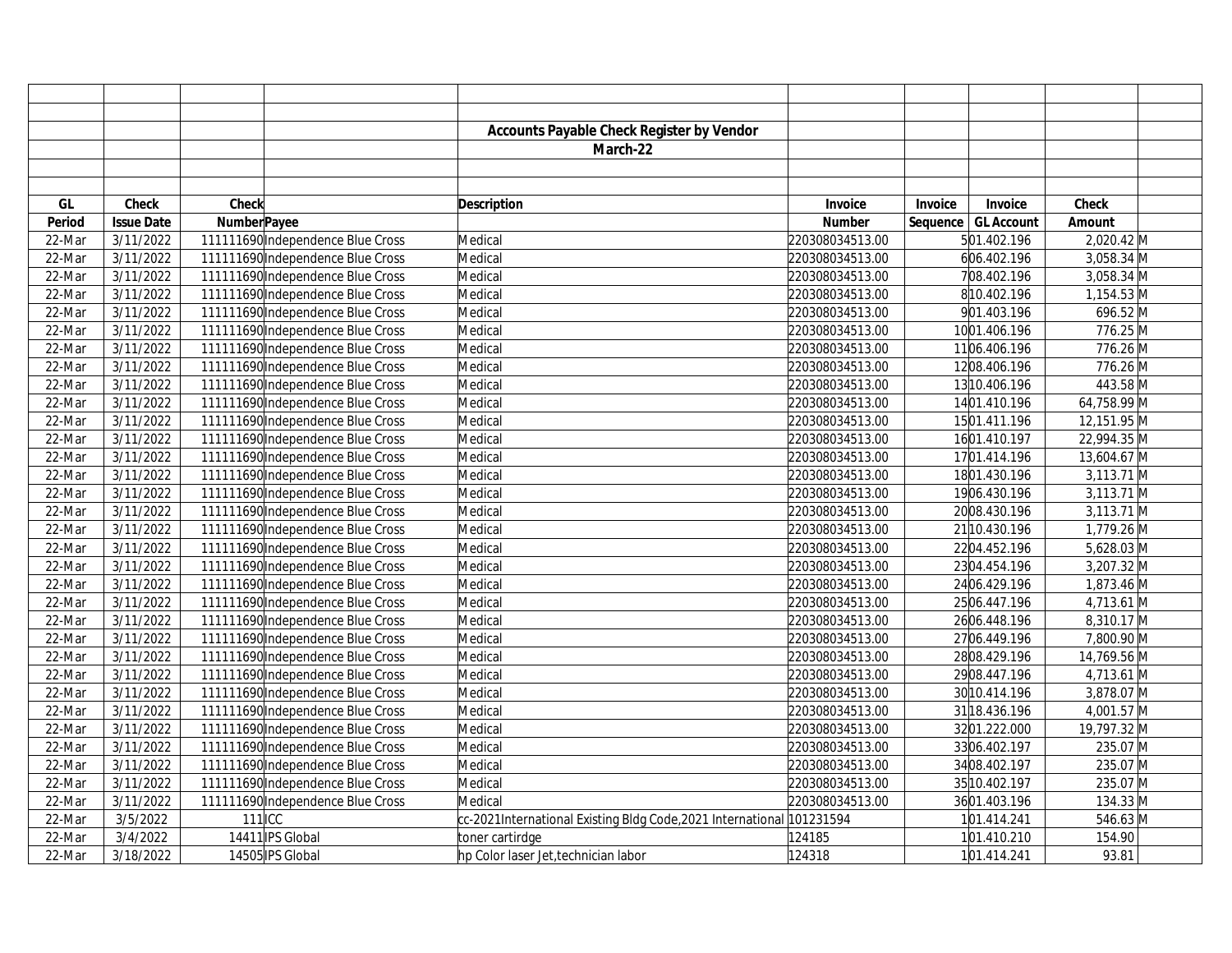|        |                   |                    |                                   | <b>Accounts Payable Check Register by Vendor</b>                     |                 |         |                       |              |  |
|--------|-------------------|--------------------|-----------------------------------|----------------------------------------------------------------------|-----------------|---------|-----------------------|--------------|--|
|        |                   |                    |                                   | March-22                                                             |                 |         |                       |              |  |
|        |                   |                    |                                   |                                                                      |                 |         |                       |              |  |
|        |                   |                    |                                   |                                                                      |                 |         |                       |              |  |
| GL     | Check             | Check              |                                   | <b>Description</b>                                                   | Invoice         | Invoice | Invoice               | Check        |  |
| Period | <b>Issue Date</b> | <b>NumberPayee</b> |                                   |                                                                      | <b>Number</b>   |         | Sequence   GL Account | Amount       |  |
| 22-Mar | 3/11/2022         |                    | 111111690 Independence Blue Cross | Medical                                                              | 220308034513.00 |         | 501.402.196           | 2,020.42 M   |  |
| 22-Mar | 3/11/2022         |                    | 111111690 Independence Blue Cross | Medical                                                              | 220308034513.00 |         | 606.402.196           | 3,058.34 M   |  |
| 22-Mar | 3/11/2022         |                    | 111111690 Independence Blue Cross | Medical                                                              | 220308034513.00 |         | 708.402.196           | 3,058.34 M   |  |
| 22-Mar | 3/11/2022         |                    | 111111690 Independence Blue Cross | Medical                                                              | 220308034513.00 |         | 810.402.196           | $1,154.53$ M |  |
| 22-Mar | 3/11/2022         |                    | 111111690 Independence Blue Cross | Medical                                                              | 220308034513.00 |         | 901.403.196           | 696.52 M     |  |
| 22-Mar | 3/11/2022         |                    | 111111690 Independence Blue Cross | Medical                                                              | 220308034513.00 |         | 1001.406.196          | 776.25 M     |  |
| 22-Mar | 3/11/2022         |                    | 111111690 Independence Blue Cross | Medical                                                              | 220308034513.00 |         | 1106.406.196          | 776.26 M     |  |
| 22-Mar | 3/11/2022         |                    | 111111690 Independence Blue Cross | Medical                                                              | 220308034513.00 |         | 1208.406.196          | 776.26 M     |  |
| 22-Mar | 3/11/2022         |                    | 111111690 Independence Blue Cross | Medical                                                              | 220308034513.00 |         | 13 10.406.196         | 443.58 M     |  |
| 22-Mar | 3/11/2022         |                    | 111111690 Independence Blue Cross | Medical                                                              | 220308034513.00 |         | 1401.410.196          | 64,758.99 M  |  |
| 22-Mar | 3/11/2022         |                    | 111111690 Independence Blue Cross | Medical                                                              | 220308034513.00 |         | 1501.411.196          | 12,151.95 M  |  |
| 22-Mar | 3/11/2022         |                    | 111111690 Independence Blue Cross | Medical                                                              | 220308034513.00 |         | 1601.410.197          | 22,994.35 M  |  |
| 22-Mar | 3/11/2022         |                    | 111111690 Independence Blue Cross | Medical                                                              | 220308034513.00 |         | 1701.414.196          | 13,604.67 M  |  |
| 22-Mar | 3/11/2022         |                    | 111111690 Independence Blue Cross | Medical                                                              | 220308034513.00 |         | 1801.430.196          | $3,113.71$ M |  |
| 22-Mar | 3/11/2022         |                    | 111111690 Independence Blue Cross | Medical                                                              | 220308034513.00 |         | 1906.430.196          | $3,113.71$ M |  |
| 22-Mar | 3/11/2022         |                    | 111111690 Independence Blue Cross | Medical                                                              | 220308034513.00 |         | 2008.430.196          | 3,113.71 M   |  |
| 22-Mar | 3/11/2022         |                    | 111111690 Independence Blue Cross | Medical                                                              | 220308034513.00 |         | 21 10.430.196         | 1,779.26 M   |  |
| 22-Mar | 3/11/2022         |                    | 111111690 Independence Blue Cross | Medical                                                              | 220308034513.00 |         | 2204.452.196          | 5,628.03 M   |  |
| 22-Mar | 3/11/2022         |                    | 111111690 Independence Blue Cross | Medical                                                              | 220308034513.00 |         | 2304.454.196          | 3,207.32 M   |  |
| 22-Mar | 3/11/2022         |                    | 111111690 Independence Blue Cross | Medical                                                              | 220308034513.00 |         | 2406.429.196          | 1,873.46 M   |  |
| 22-Mar | 3/11/2022         |                    | 111111690 Independence Blue Cross | Medical                                                              | 220308034513.00 |         | 2506.447.196          | 4,713.61 M   |  |
| 22-Mar | 3/11/2022         |                    | 111111690 Independence Blue Cross | Medical                                                              | 220308034513.00 |         | 2606.448.196          | 8,310.17 M   |  |
| 22-Mar | 3/11/2022         |                    | 111111690 Independence Blue Cross | Medical                                                              | 220308034513.00 |         | 2706.449.196          | 7,800.90 M   |  |
| 22-Mar | 3/11/2022         |                    | 111111690 Independence Blue Cross | Medical                                                              | 220308034513.00 |         | 2808.429.196          | 14,769.56 M  |  |
| 22-Mar | 3/11/2022         |                    | 111111690 Independence Blue Cross | Medical                                                              | 220308034513.00 |         | 2908.447.196          | 4,713.61 M   |  |
| 22-Mar | 3/11/2022         |                    | 111111690 Independence Blue Cross | Medical                                                              | 220308034513.00 |         | 30 10.414.196         | 3,878.07 M   |  |
| 22-Mar | 3/11/2022         |                    | 111111690 Independence Blue Cross | Medical                                                              | 220308034513.00 |         | 31 18.436.196         | 4,001.57 M   |  |
| 22-Mar | 3/11/2022         |                    | 111111690 Independence Blue Cross | Medical                                                              | 220308034513.00 |         | 3201.222.000          | 19,797.32 M  |  |
| 22-Mar | 3/11/2022         |                    | 111111690 Independence Blue Cross | Medical                                                              | 220308034513.00 |         | 3306.402.197          | 235.07 M     |  |
| 22-Mar | 3/11/2022         |                    | 111111690 Independence Blue Cross | Medical                                                              | 220308034513.00 |         | 3408.402.197          | 235.07 M     |  |
| 22-Mar | 3/11/2022         |                    | 111111690 Independence Blue Cross | Medical                                                              | 220308034513.00 |         | 35 10.402.197         | 235.07 M     |  |
| 22-Mar | 3/11/2022         |                    | 111111690 Independence Blue Cross | Medical                                                              | 220308034513.00 |         | 3601.403.196          | 134.33 M     |  |
| 22-Mar | 3/5/2022          | $111$ $ICC$        |                                   | cc-2021International Existing Bldg Code,2021 International 101231594 |                 |         | 101.414.241           | 546.63 M     |  |
| 22-Mar | 3/4/2022          |                    | 14411 PS Global                   | toner cartirdge                                                      | 124185          |         | 101.410.210           | 154.90       |  |
| 22-Mar | 3/18/2022         |                    | 14505 PS Global                   | hp Color laser Jet, technician labor                                 | 124318          |         | 101.414.241           | 93.81        |  |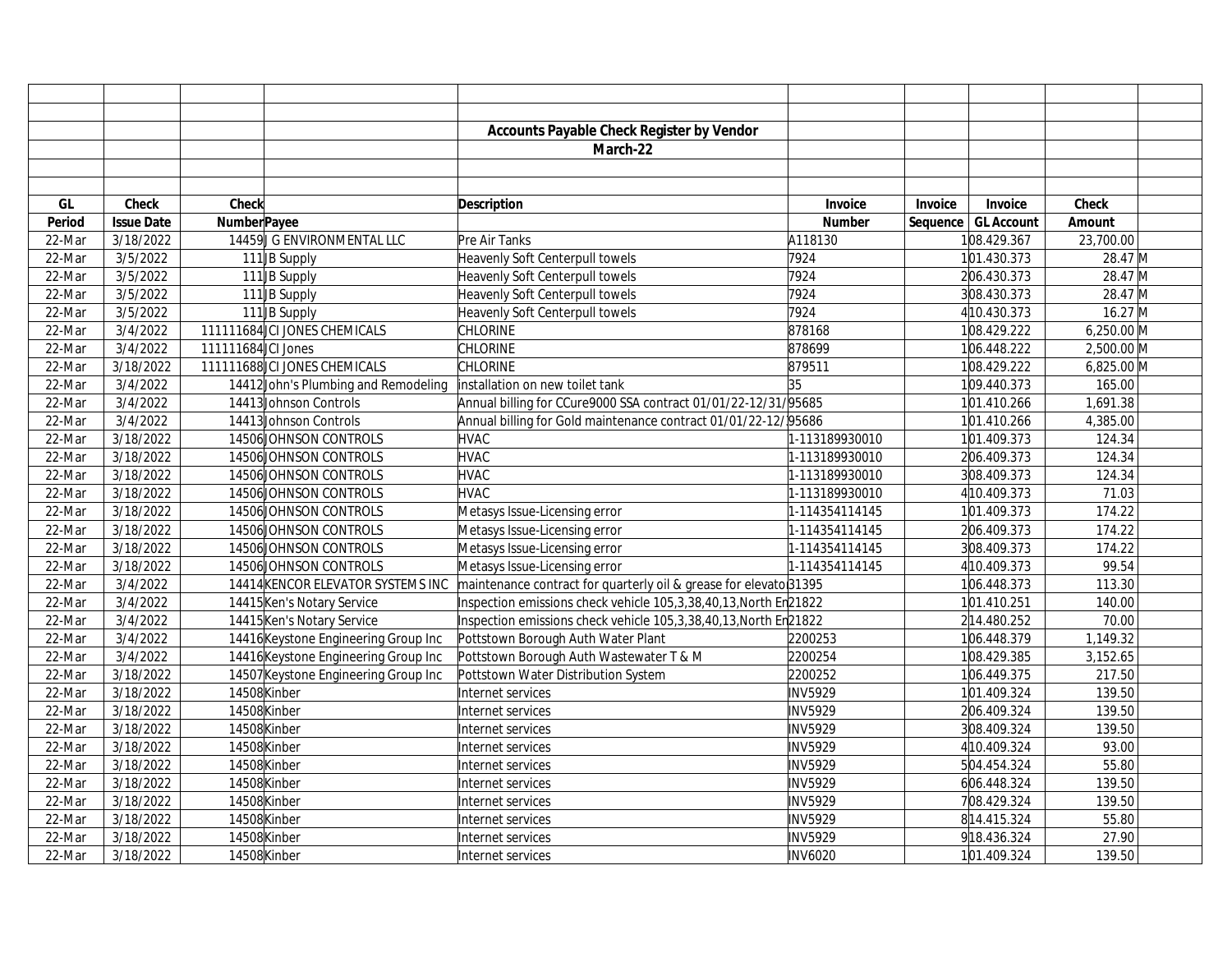|        |                   |                                      | <b>Accounts Payable Check Register by Vendor</b>                                                    |                |         |                       |              |  |
|--------|-------------------|--------------------------------------|-----------------------------------------------------------------------------------------------------|----------------|---------|-----------------------|--------------|--|
|        |                   |                                      | March-22                                                                                            |                |         |                       |              |  |
|        |                   |                                      |                                                                                                     |                |         |                       |              |  |
|        |                   |                                      |                                                                                                     |                |         |                       |              |  |
| GL     | Check             | Check                                | <b>Description</b>                                                                                  | Invoice        | Invoice | Invoice               | <b>Check</b> |  |
| Period | <b>Issue Date</b> | Number Payee                         |                                                                                                     | <b>Number</b>  |         | Sequence   GL Account | Amount       |  |
| 22-Mar | 3/18/2022         | 14459 G ENVIRONMENTAL LLC            | Pre Air Tanks                                                                                       | A118130        |         | 108.429.367           | 23,700.00    |  |
| 22-Mar | 3/5/2022          | 111JB Supply                         | Heavenly Soft Centerpull towels                                                                     | 7924           |         | 101.430.373           | 28.47 M      |  |
| 22-Mar | 3/5/2022          | 111JB Supply                         | Heavenly Soft Centerpull towels                                                                     | 7924           |         | 206.430.373           | 28.47 M      |  |
| 22-Mar | 3/5/2022          | 111JB Supply                         | Heavenly Soft Centerpull towels                                                                     | 7924           |         | 308.430.373           | 28.47 M      |  |
| 22-Mar | 3/5/2022          | 111JB Supply                         | Heavenly Soft Centerpull towels                                                                     | 7924           |         | 410.430.373           | 16.27 M      |  |
| 22-Mar | 3/4/2022          | 111111684 CI JONES CHEMICALS         | <b>CHLORINE</b>                                                                                     | 878168         |         | 108.429.222           | $6,250.00$ M |  |
| 22-Mar | 3/4/2022          | 111111684 CI Jones                   | <b>CHLORINE</b>                                                                                     | 878699         |         | 106.448.222           | 2,500.00 M   |  |
| 22-Mar | 3/18/2022         | 111111688 CI JONES CHEMICALS         | <b>CHLORINE</b>                                                                                     | 879511         |         | 108.429.222           | 6,825.00 M   |  |
| 22-Mar | 3/4/2022          | 14412 John's Plumbing and Remodeling | installation on new toilet tank                                                                     | 35             |         | 109.440.373           | 165.00       |  |
| 22-Mar | 3/4/2022          | 14413 Johnson Controls               | Annual billing for CCure9000 SSA contract 01/01/22-12/31/95685                                      |                |         | 101.410.266           | 1,691.38     |  |
| 22-Mar | 3/4/2022          | 14413 Johnson Controls               | Annual billing for Gold maintenance contract 01/01/22-12/95686                                      |                |         | 101.410.266           | 4,385.00     |  |
| 22-Mar | 3/18/2022         | 14506 JOHNSON CONTROLS               | <b>HVAC</b>                                                                                         | 1-113189930010 |         | 101.409.373           | 124.34       |  |
| 22-Mar | 3/18/2022         | 14506 JOHNSON CONTROLS               | <b>HVAC</b>                                                                                         | 1-113189930010 |         | 206.409.373           | 124.34       |  |
| 22-Mar | 3/18/2022         | 14506 JOHNSON CONTROLS               | <b>HVAC</b>                                                                                         | 1-113189930010 |         | 308.409.373           | 124.34       |  |
| 22-Mar | 3/18/2022         | 14506 JOHNSON CONTROLS               | <b>HVAC</b>                                                                                         | 1-113189930010 |         | 410.409.373           | 71.03        |  |
| 22-Mar | 3/18/2022         | 14506 JOHNSON CONTROLS               | Metasys Issue-Licensing error                                                                       | 1-114354114145 |         | 101.409.373           | 174.22       |  |
| 22-Mar | 3/18/2022         | 14506 JOHNSON CONTROLS               | Metasys Issue-Licensing error                                                                       | 1-114354114145 |         | 206.409.373           | 174.22       |  |
| 22-Mar | 3/18/2022         | 14506 JOHNSON CONTROLS               | Metasys Issue-Licensing error                                                                       | 1-114354114145 |         | 308.409.373           | 174.22       |  |
| 22-Mar | 3/18/2022         | 14506 JOHNSON CONTROLS               | Metasys Issue-Licensing error                                                                       | 1-114354114145 |         | 410.409.373           | 99.54        |  |
| 22-Mar | 3/4/2022          |                                      | 14414 KENCOR ELEVATOR SYSTEMS INC maintenance contract for quarterly oil & grease for elevato 31395 |                |         | 106.448.373           | 113.30       |  |
| 22-Mar | 3/4/2022          | 14415 Ken's Notary Service           | Inspection emissions check vehicle 105,3,38,40,13, North En21822                                    |                |         | 101.410.251           | 140.00       |  |
| 22-Mar | 3/4/2022          | 14415 Ken's Notary Service           | Inspection emissions check vehicle 105,3,38,40,13, North En21822                                    |                |         | 214.480.252           | 70.00        |  |
| 22-Mar | 3/4/2022          | 14416 Keystone Engineering Group Inc | Pottstown Borough Auth Water Plant                                                                  | 2200253        |         | 106.448.379           | 1,149.32     |  |
| 22-Mar | 3/4/2022          | 14416 Keystone Engineering Group Inc | Pottstown Borough Auth Wastewater T & M                                                             | 2200254        |         | 108.429.385           | 3,152.65     |  |
| 22-Mar | 3/18/2022         | 14507 Keystone Engineering Group Inc | Pottstown Water Distribution System                                                                 | 2200252        |         | 106.449.375           | 217.50       |  |
| 22-Mar | 3/18/2022         | 14508 Kinber                         | Internet services                                                                                   | <b>INV5929</b> |         | 101.409.324           | 139.50       |  |
| 22-Mar | 3/18/2022         | 14508 Kinber                         | Internet services                                                                                   | <b>INV5929</b> |         | 206.409.324           | 139.50       |  |
| 22-Mar | 3/18/2022         | 14508 Kinber                         | Internet services                                                                                   | <b>INV5929</b> |         | 308.409.324           | 139.50       |  |
| 22-Mar | 3/18/2022         | 14508 Kinber                         | Internet services                                                                                   | <b>INV5929</b> |         | 410.409.324           | 93.00        |  |
| 22-Mar | 3/18/2022         | 14508 Kinber                         | Internet services                                                                                   | <b>INV5929</b> |         | 504.454.324           | 55.80        |  |
| 22-Mar | 3/18/2022         | 14508 Kinber                         | Internet services                                                                                   | <b>INV5929</b> |         | 606.448.324           | 139.50       |  |
| 22-Mar | 3/18/2022         | 14508 Kinber                         | Internet services                                                                                   | <b>INV5929</b> |         | 708.429.324           | 139.50       |  |
| 22-Mar | 3/18/2022         | 14508 Kinber                         | Internet services                                                                                   | <b>INV5929</b> |         | 814.415.324           | 55.80        |  |
| 22-Mar | 3/18/2022         | 14508 Kinber                         | Internet services                                                                                   | <b>INV5929</b> |         | 918.436.324           | 27.90        |  |
| 22-Mar | 3/18/2022         | 14508 Kinber                         | Internet services                                                                                   | <b>INV6020</b> |         | 101.409.324           | 139.50       |  |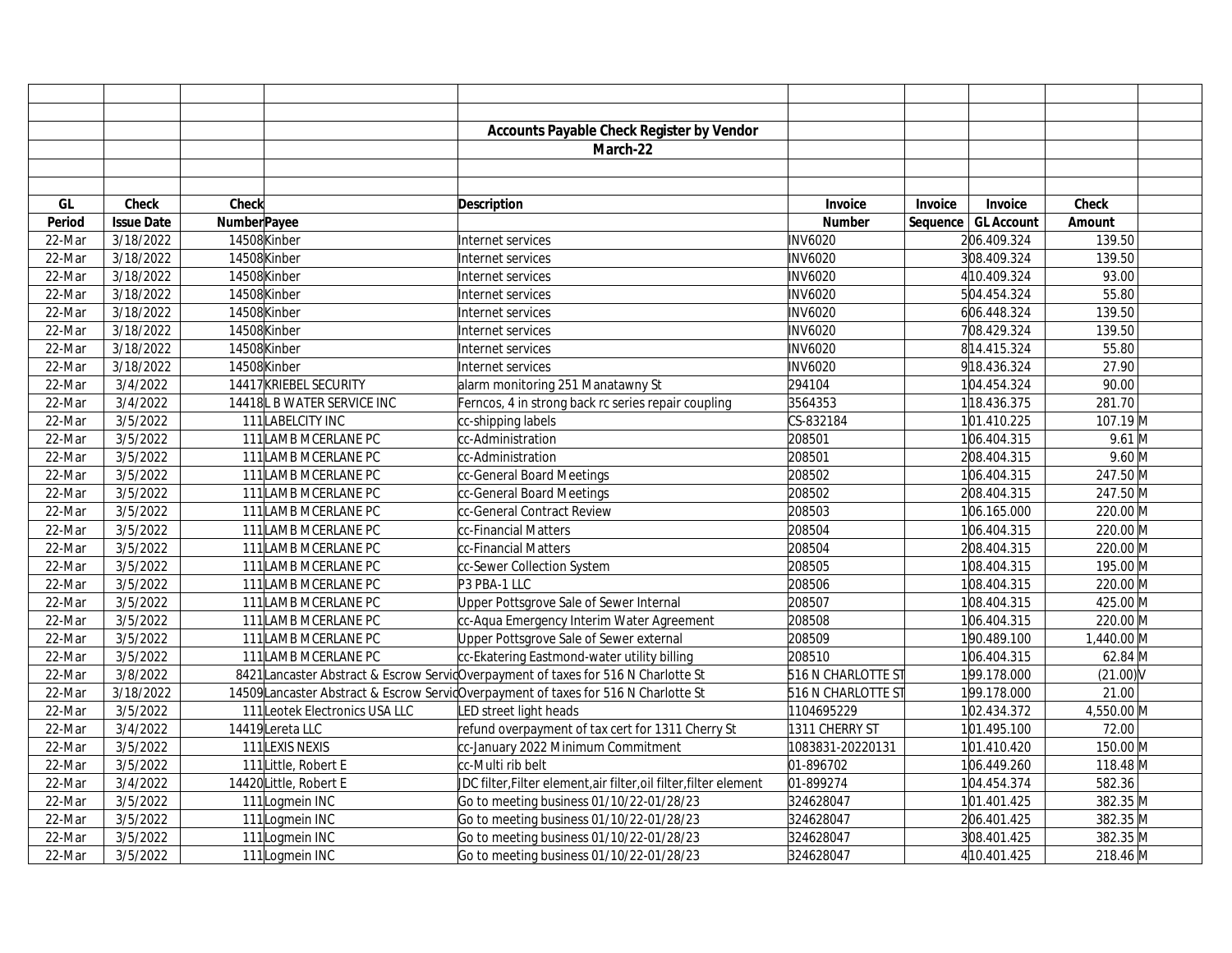|        |                   |                                | Accounts Payable Check Register by Vendor                                            |                    |         |                     |             |  |
|--------|-------------------|--------------------------------|--------------------------------------------------------------------------------------|--------------------|---------|---------------------|-------------|--|
|        |                   |                                | March-22                                                                             |                    |         |                     |             |  |
|        |                   |                                |                                                                                      |                    |         |                     |             |  |
|        |                   |                                |                                                                                      |                    |         |                     |             |  |
| GL     | <b>Check</b>      | Check                          | <b>Description</b>                                                                   | Invoice            | Invoice | Invoice             | Check       |  |
| Period | <b>Issue Date</b> | Number Payee                   |                                                                                      | <b>Number</b>      |         | Sequence GL Account | Amount      |  |
| 22-Mar | 3/18/2022         | 14508 Kinber                   | Internet services                                                                    | <b>INV6020</b>     |         | 206.409.324         | 139.50      |  |
| 22-Mar | 3/18/2022         | 14508 Kinber                   | Internet services                                                                    | <b>INV6020</b>     |         | 308.409.324         | 139.50      |  |
| 22-Mar | 3/18/2022         | 14508 Kinber                   | Internet services                                                                    | <b>INV6020</b>     |         | 410.409.324         | 93.00       |  |
| 22-Mar | 3/18/2022         | 14508 Kinber                   | Internet services                                                                    | <b>INV6020</b>     |         | 504.454.324         | 55.80       |  |
| 22-Mar | 3/18/2022         | 14508 Kinber                   | Internet services                                                                    | <b>INV6020</b>     |         | 606.448.324         | 139.50      |  |
| 22-Mar | 3/18/2022         | 14508 Kinber                   | Internet services                                                                    | <b>INV6020</b>     |         | 708.429.324         | 139.50      |  |
| 22-Mar | 3/18/2022         | 14508 Kinber                   | Internet services                                                                    | <b>INV6020</b>     |         | 814.415.324         | 55.80       |  |
| 22-Mar | 3/18/2022         | 14508 Kinber                   | Internet services                                                                    | <b>INV6020</b>     |         | 918.436.324         | 27.90       |  |
| 22-Mar | 3/4/2022          | 14417 KRIEBEL SECURITY         | alarm monitoring 251 Manatawny St                                                    | 294104             |         | 104.454.324         | 90.00       |  |
| 22-Mar | 3/4/2022          | 14418L B WATER SERVICE INC     | Ferncos, 4 in strong back rc series repair coupling                                  | 3564353            |         | 118.436.375         | 281.70      |  |
| 22-Mar | 3/5/2022          | 111 LABELCITY INC              | cc-shipping labels                                                                   | CS-832184          |         | 101.410.225         | $107.19$ M  |  |
| 22-Mar | 3/5/2022          | 111 LAMB MCERLANE PC           | cc-Administration                                                                    | 208501             |         | 106.404.315         | $9.61$ M    |  |
| 22-Mar | 3/5/2022          | 111 LAMB MCERLANE PC           | cc-Administration                                                                    | 208501             |         | 208.404.315         | $9.60$ M    |  |
| 22-Mar | 3/5/2022          | 111 LAMB MCERLANE PC           | cc-General Board Meetings                                                            | 208502             |         | 106.404.315         | 247.50 M    |  |
| 22-Mar | 3/5/2022          | 111 LAMB MCERLANE PC           | cc-General Board Meetings                                                            | 208502             |         | 208.404.315         | 247.50 M    |  |
| 22-Mar | 3/5/2022          | 111 LAMB MCERLANE PC           | cc-General Contract Review                                                           | 208503             |         | 106.165.000         | 220.00 M    |  |
| 22-Mar | 3/5/2022          | 111 LAMB MCERLANE PC           | cc-Financial Matters                                                                 | 208504             |         | 106.404.315         | 220.00 M    |  |
| 22-Mar | 3/5/2022          | 111 LAMB MCERLANE PC           | cc-Financial Matters                                                                 | 208504             |         | 208.404.315         | 220.00 M    |  |
| 22-Mar | 3/5/2022          | 111 LAMB MCERLANE PC           | cc-Sewer Collection System                                                           | 208505             |         | 108.404.315         | 195.00 M    |  |
| 22-Mar | 3/5/2022          | 111 LAMB MCERLANE PC           | P3 PBA-1 LLC                                                                         | 208506             |         | 108.404.315         | 220.00 M    |  |
| 22-Mar | 3/5/2022          | 111 LAMB MCERLANE PC           | Upper Pottsgrove Sale of Sewer Internal                                              | 208507             |         | 108.404.315         | 425.00 M    |  |
| 22-Mar | 3/5/2022          | 111 LAMB MCERLANE PC           | cc-Aqua Emergency Interim Water Agreement                                            | 208508             |         | 106.404.315         | 220.00 M    |  |
| 22-Mar | 3/5/2022          | 111 LAMB MCERLANE PC           | Upper Pottsgrove Sale of Sewer external                                              | 208509             |         | 190.489.100         | 1,440.00 M  |  |
| 22-Mar | 3/5/2022          | 111 LAMB MCERLANE PC           | cc-Ekatering Eastmond-water utility billing                                          | 208510             |         | 106.404.315         | $62.84$ M   |  |
| 22-Mar | 3/8/2022          |                                | 8421 Lancaster Abstract & Escrow ServidOverpayment of taxes for 516 N Charlotte St   | 516 N CHARLOTTE ST |         | 199.178.000         | $(21.00)$ V |  |
| 22-Mar | 3/18/2022         |                                | 14509 Lancaster Abstract & Escrow Servic Overpayment of taxes for 516 N Charlotte St | 516 N CHARLOTTE ST |         | 199.178.000         | 21.00       |  |
| 22-Mar | 3/5/2022          | 111 Leotek Electronics USA LLC | LED street light heads                                                               | 1104695229         |         | 102.434.372         | 4,550.00 M  |  |
| 22-Mar | 3/4/2022          | 14419Lereta LLC                | refund overpayment of tax cert for 1311 Cherry St                                    | 1311 CHERRY ST     |         | 101.495.100         | 72.00       |  |
| 22-Mar | 3/5/2022          | 111 LEXIS NEXIS                | cc-January 2022 Minimum Commitment                                                   | 1083831-20220131   |         | 101.410.420         | 150.00 M    |  |
| 22-Mar | 3/5/2022          | 111 Little, Robert E           | cc-Multi rib belt                                                                    | 01-896702          |         | 106.449.260         | 118.48 M    |  |
| 22-Mar | 3/4/2022          | 14420 Little, Robert E         | JDC filter,Filter element,air filter,oil filter,filter element                       | 01-899274          |         | 104.454.374         | 582.36      |  |
| 22-Mar | 3/5/2022          | 111 Logmein INC                | Go to meeting business 01/10/22-01/28/23                                             | 324628047          |         | 101.401.425         | 382.35 M    |  |
| 22-Mar | 3/5/2022          | 111 Logmein INC                | Go to meeting business 01/10/22-01/28/23                                             | 324628047          |         | 206.401.425         | 382.35 M    |  |
| 22-Mar | 3/5/2022          | 111 Logmein INC                | Go to meeting business 01/10/22-01/28/23                                             | 324628047          |         | 308.401.425         | 382.35 M    |  |
| 22-Mar | 3/5/2022          | 111 Logmein INC                | Go to meeting business 01/10/22-01/28/23                                             | 324628047          |         | 410.401.425         | 218.46 M    |  |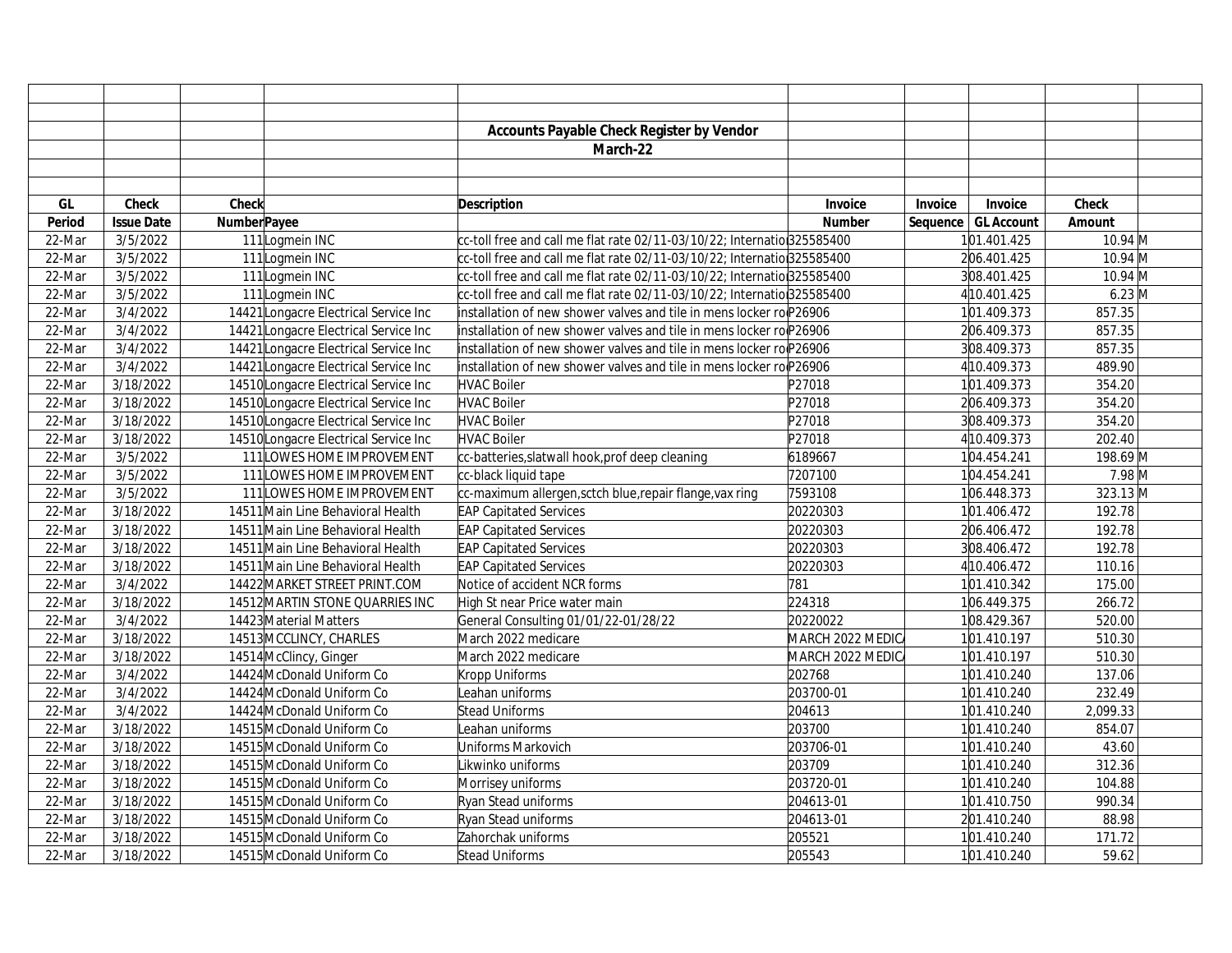|        |                   |                                       | <b>Accounts Payable Check Register by Vendor</b>                        |                  |         |                       |              |  |
|--------|-------------------|---------------------------------------|-------------------------------------------------------------------------|------------------|---------|-----------------------|--------------|--|
|        |                   |                                       | March-22                                                                |                  |         |                       |              |  |
|        |                   |                                       |                                                                         |                  |         |                       |              |  |
|        |                   |                                       |                                                                         |                  |         |                       |              |  |
| GL     | Check             | Check                                 | <b>Description</b>                                                      | Invoice          | Invoice | Invoice               | <b>Check</b> |  |
| Period | <b>Issue Date</b> | Number Payee                          |                                                                         | Number           |         | Sequence   GL Account | Amount       |  |
| 22-Mar | 3/5/2022          | 111 Logmein INC                       | cc-toll free and call me flat rate 02/11-03/10/22; Internatio 325585400 |                  |         | 101.401.425           | 10.94 M      |  |
| 22-Mar | 3/5/2022          | 111 Logmein INC                       | cc-toll free and call me flat rate 02/11-03/10/22; Internatio 325585400 |                  |         | 206.401.425           | 10.94 M      |  |
| 22-Mar | 3/5/2022          | 111 Logmein INC                       | cc-toll free and call me flat rate 02/11-03/10/22; Internatio 325585400 |                  |         | 308.401.425           | $10.94$ M    |  |
| 22-Mar | 3/5/2022          | 111 Logmein INC                       | cc-toll free and call me flat rate 02/11-03/10/22; Internatio 325585400 |                  |         | 410.401.425           | $6.23$ M     |  |
| 22-Mar | 3/4/2022          | 14421 Longacre Electrical Service Inc | installation of new shower valves and tile in mens locker rol P26906    |                  |         | 101.409.373           | 857.35       |  |
| 22-Mar | 3/4/2022          | 14421 Longacre Electrical Service Inc | installation of new shower valves and tile in mens locker rol P26906    |                  |         | 206.409.373           | 857.35       |  |
| 22-Mar | 3/4/2022          | 14421 Longacre Electrical Service Inc | installation of new shower valves and tile in mens locker rol P26906    |                  |         | 308.409.373           | 857.35       |  |
| 22-Mar | 3/4/2022          | 14421 Longacre Electrical Service Inc | installation of new shower valves and tile in mens locker rol P26906    |                  |         | 410.409.373           | 489.90       |  |
| 22-Mar | 3/18/2022         | 14510 Longacre Electrical Service Inc | <b>HVAC Boiler</b>                                                      | P27018           |         | 101.409.373           | 354.20       |  |
| 22-Mar | 3/18/2022         | 14510 Longacre Electrical Service Inc | <b>HVAC Boiler</b>                                                      | P27018           |         | 206.409.373           | 354.20       |  |
| 22-Mar | 3/18/2022         | 14510 Longacre Electrical Service Inc | <b>HVAC Boiler</b>                                                      | P27018           |         | 308.409.373           | 354.20       |  |
| 22-Mar | 3/18/2022         | 14510 Longacre Electrical Service Inc | <b>HVAC Boiler</b>                                                      | P27018           |         | 410.409.373           | 202.40       |  |
| 22-Mar | 3/5/2022          | 111 LOWES HOME IMPROVEMENT            | cc-batteries, slatwall hook, prof deep cleaning                         | 6189667          |         | 104.454.241           | 198.69 M     |  |
| 22-Mar | 3/5/2022          | 111 LOWES HOME IMPROVEMENT            | cc-black liquid tape                                                    | 7207100          |         | 104.454.241           | $7.98$ M     |  |
| 22-Mar | 3/5/2022          | 111 LOWES HOME IMPROVEMENT            | cc-maximum allergen, sctch blue, repair flange, vax ring                | 7593108          |         | 106.448.373           | 323.13 M     |  |
| 22-Mar | 3/18/2022         | 14511 Main Line Behavioral Health     | <b>EAP Capitated Services</b>                                           | 20220303         |         | 101.406.472           | 192.78       |  |
| 22-Mar | 3/18/2022         | 14511 Main Line Behavioral Health     | <b>EAP Capitated Services</b>                                           | 20220303         |         | 206.406.472           | 192.78       |  |
| 22-Mar | 3/18/2022         | 14511 Main Line Behavioral Health     | <b>EAP Capitated Services</b>                                           | 20220303         |         | 308.406.472           | 192.78       |  |
| 22-Mar | 3/18/2022         | 14511 Main Line Behavioral Health     | <b>EAP Capitated Services</b>                                           | 20220303         |         | 410.406.472           | 110.16       |  |
| 22-Mar | 3/4/2022          | 14422 MARKET STREET PRINT.COM         | Notice of accident NCR forms                                            | 781              |         | 101.410.342           | 175.00       |  |
| 22-Mar | 3/18/2022         | 14512 MARTIN STONE QUARRIES INC       | High St near Price water main                                           | 224318           |         | 106.449.375           | 266.72       |  |
| 22-Mar | 3/4/2022          | 14423 Material Matters                | General Consulting 01/01/22-01/28/22                                    | 20220022         |         | 108.429.367           | 520.00       |  |
| 22-Mar | 3/18/2022         | 14513 MCCLINCY, CHARLES               | March 2022 medicare                                                     | MARCH 2022 MEDIC |         | 101.410.197           | 510.30       |  |
| 22-Mar | 3/18/2022         | 14514 McClincy, Ginger                | March 2022 medicare                                                     | MARCH 2022 MEDIC |         | 101.410.197           | 510.30       |  |
| 22-Mar | 3/4/2022          | 14424 McDonald Uniform Co             | Kropp Uniforms                                                          | 202768           |         | 101.410.240           | 137.06       |  |
| 22-Mar | 3/4/2022          | 14424 McDonald Uniform Co             | eahan uniforms                                                          | 203700-01        |         | 101.410.240           | 232.49       |  |
| 22-Mar | 3/4/2022          | 14424 McDonald Uniform Co             | Stead Uniforms                                                          | 204613           |         | 101.410.240           | 2,099.33     |  |
| 22-Mar | 3/18/2022         | 14515 McDonald Uniform Co             | eahan uniforms                                                          | 203700           |         | 101.410.240           | 854.07       |  |
| 22-Mar | 3/18/2022         | 14515 McDonald Uniform Co             | Uniforms Markovich                                                      | 203706-01        |         | 101.410.240           | 43.60        |  |
| 22-Mar | 3/18/2022         | 14515 McDonald Uniform Co             | .ikwinko uniforms                                                       | 203709           |         | 101.410.240           | 312.36       |  |
| 22-Mar | 3/18/2022         | 14515 McDonald Uniform Co             | Morrisey uniforms                                                       | 203720-01        |         | 101.410.240           | 104.88       |  |
| 22-Mar | 3/18/2022         | 14515 McDonald Uniform Co             | Ryan Stead uniforms                                                     | 204613-01        |         | 101.410.750           | 990.34       |  |
| 22-Mar | 3/18/2022         | 14515 McDonald Uniform Co             | Ryan Stead uniforms                                                     | 204613-01        |         | 201.410.240           | 88.98        |  |
| 22-Mar | 3/18/2022         | 14515 McDonald Uniform Co             | Zahorchak uniforms                                                      | 205521           |         | 101.410.240           | 171.72       |  |
| 22-Mar | 3/18/2022         | 14515 McDonald Uniform Co             | <b>Stead Uniforms</b>                                                   | 205543           |         | 101.410.240           | 59.62        |  |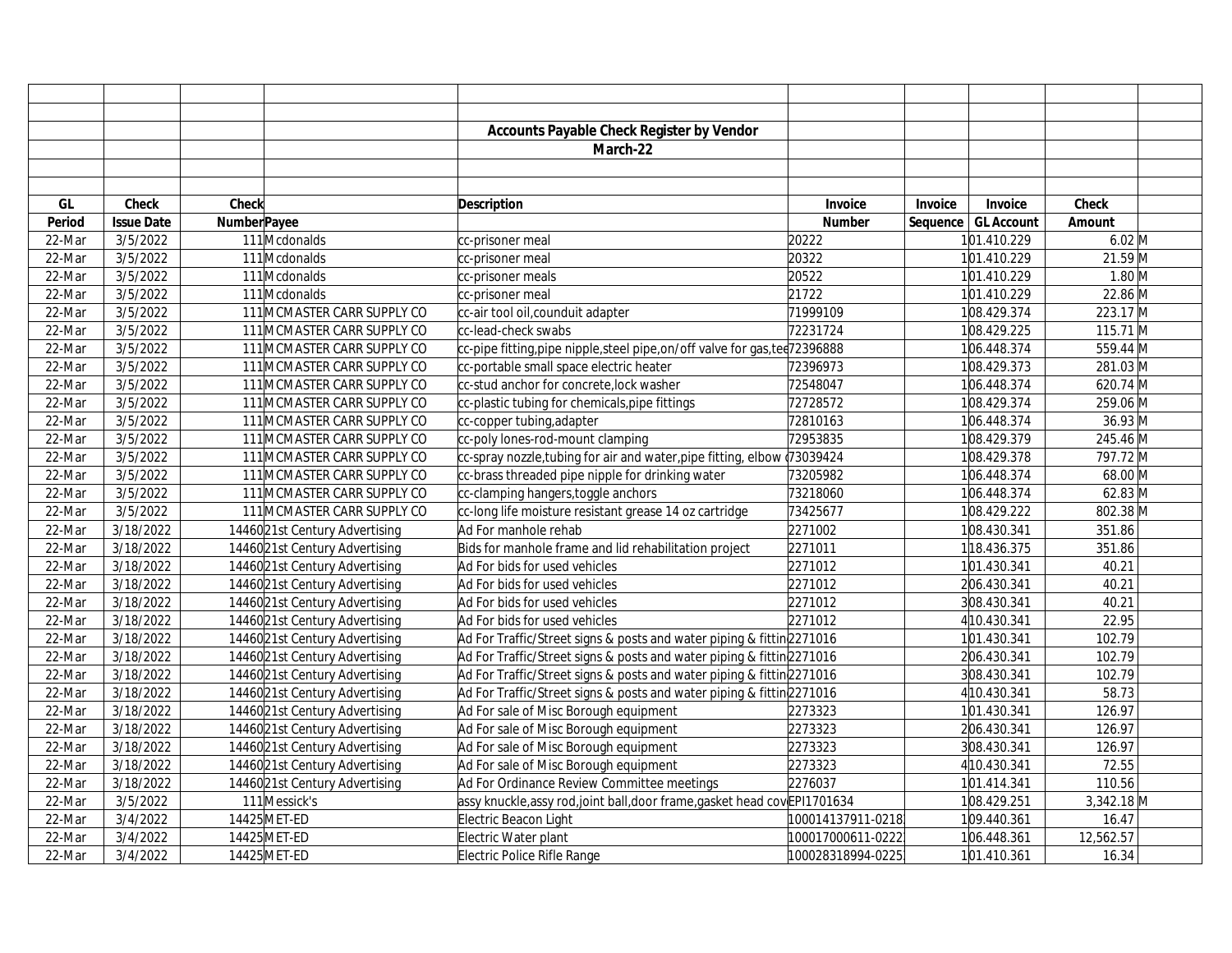|        |                   |                     |                               | <b>Accounts Payable Check Register by Vendor</b>                          |                   |         |                       |              |  |
|--------|-------------------|---------------------|-------------------------------|---------------------------------------------------------------------------|-------------------|---------|-----------------------|--------------|--|
|        |                   |                     |                               | March-22                                                                  |                   |         |                       |              |  |
|        |                   |                     |                               |                                                                           |                   |         |                       |              |  |
|        |                   |                     |                               |                                                                           |                   |         |                       |              |  |
| GL     | Check             | Check               |                               | <b>Description</b>                                                        | Invoice           | Invoice | <b>Invoice</b>        | <b>Check</b> |  |
| Period | <b>Issue Date</b> | <b>Number Payee</b> |                               |                                                                           | <b>Number</b>     |         | Sequence   GL Account | Amount       |  |
| 22-Mar | 3/5/2022          |                     | 111 Mcdonalds                 | cc-prisoner meal                                                          | 20222             |         | 101.410.229           | $6.02$ M     |  |
| 22-Mar | 3/5/2022          |                     | 111 Mcdonalds                 | cc-prisoner meal                                                          | 20322             |         | 101.410.229           | 21.59 M      |  |
| 22-Mar | 3/5/2022          |                     | 111 Mcdonalds                 | cc-prisoner meals                                                         | 20522             |         | 101.410.229           | $1.80$ M     |  |
| 22-Mar | 3/5/2022          |                     | 111 Mcdonalds                 | cc-prisoner meal                                                          | 21722             |         | 101.410.229           | 22.86 M      |  |
| 22-Mar | 3/5/2022          |                     | 111 MCMASTER CARR SUPPLY CO   | cc-air tool oil, counduit adapter                                         | 71999109          |         | 108.429.374           | 223.17 M     |  |
| 22-Mar | 3/5/2022          |                     | 111 MCMASTER CARR SUPPLY CO   | cc-lead-check swabs                                                       | 72231724          |         | 108.429.225           | 115.71 M     |  |
| 22-Mar | 3/5/2022          |                     | 111 MCMASTER CARR SUPPLY CO   | cc-pipe fitting,pipe nipple,steel pipe,on/off valve for gas,ted72396888   |                   |         | 106.448.374           | 559.44 M     |  |
| 22-Mar | 3/5/2022          |                     | 111 MCMASTER CARR SUPPLY CO   | cc-portable small space electric heater                                   | 72396973          |         | 108.429.373           | 281.03 M     |  |
| 22-Mar | 3/5/2022          |                     | 111 MCMASTER CARR SUPPLY CO   | cc-stud anchor for concrete, lock washer                                  | 72548047          |         | 106.448.374           | 620.74 M     |  |
| 22-Mar | 3/5/2022          |                     | 111 MCMASTER CARR SUPPLY CO   | cc-plastic tubing for chemicals, pipe fittings                            | 72728572          |         | 108.429.374           | 259.06 M     |  |
| 22-Mar | 3/5/2022          |                     | 111 MCMASTER CARR SUPPLY CO   | cc-copper tubing, adapter                                                 | 72810163          |         | 106.448.374           | 36.93 M      |  |
| 22-Mar | 3/5/2022          |                     | 111 MCMASTER CARR SUPPLY CO   | cc-poly lones-rod-mount clamping                                          | 72953835          |         | 108.429.379           | 245.46 M     |  |
| 22-Mar | 3/5/2022          |                     | 111 MCMASTER CARR SUPPLY CO   | cc-spray nozzle, tubing for air and water, pipe fitting, elbow (73039424  |                   |         | 108.429.378           | 797.72 M     |  |
| 22-Mar | 3/5/2022          |                     | 111 MCMASTER CARR SUPPLY CO   | cc-brass threaded pipe nipple for drinking water                          | 73205982          |         | 106.448.374           | 68.00 M      |  |
| 22-Mar | 3/5/2022          |                     | 111 MCMASTER CARR SUPPLY CO   | cc-clamping hangers, toggle anchors                                       | 73218060          |         | 106.448.374           | $62.83$ M    |  |
| 22-Mar | 3/5/2022          |                     | 111 MCMASTER CARR SUPPLY CO   | cc-long life moisture resistant grease 14 oz cartridge                    | 73425677          |         | 108.429.222           | 802.38 M     |  |
| 22-Mar | 3/18/2022         |                     | 1446021st Century Advertising | Ad For manhole rehab                                                      | 2271002           |         | 108.430.341           | 351.86       |  |
| 22-Mar | 3/18/2022         |                     | 1446021st Century Advertising | Bids for manhole frame and lid rehabilitation project                     | 2271011           |         | 118.436.375           | 351.86       |  |
| 22-Mar | 3/18/2022         |                     | 1446021st Century Advertising | Ad For bids for used vehicles                                             | 2271012           |         | 101.430.341           | 40.21        |  |
| 22-Mar | 3/18/2022         |                     | 1446021st Century Advertising | Ad For bids for used vehicles                                             | 2271012           |         | 206.430.341           | 40.21        |  |
| 22-Mar | 3/18/2022         |                     | 1446021st Century Advertising | Ad For bids for used vehicles                                             | 2271012           |         | 308.430.341           | 40.21        |  |
| 22-Mar | 3/18/2022         |                     | 1446021st Century Advertising | Ad For bids for used vehicles                                             | 2271012           |         | 410.430.341           | 22.95        |  |
| 22-Mar | 3/18/2022         |                     | 1446021st Century Advertising | Ad For Traffic/Street signs & posts and water piping & fittin 2271016     |                   |         | 101.430.341           | 102.79       |  |
| 22-Mar | 3/18/2022         |                     | 1446021st Century Advertising | Ad For Traffic/Street signs & posts and water piping & fittin 2271016     |                   |         | 206.430.341           | 102.79       |  |
| 22-Mar | 3/18/2022         |                     | 1446021st Century Advertising | Ad For Traffic/Street signs & posts and water piping & fittin 2271016     |                   |         | 308.430.341           | 102.79       |  |
| 22-Mar | 3/18/2022         |                     | 1446021st Century Advertising | Ad For Traffic/Street signs & posts and water piping & fittin 2271016     |                   |         | 410.430.341           | 58.73        |  |
| 22-Mar | 3/18/2022         |                     | 1446021st Century Advertising | Ad For sale of Misc Borough equipment                                     | 2273323           |         | 101.430.341           | 126.97       |  |
| 22-Mar | 3/18/2022         |                     | 1446021st Century Advertising | Ad For sale of Misc Borough equipment                                     | 2273323           |         | 206.430.341           | 126.97       |  |
| 22-Mar | 3/18/2022         |                     | 1446021st Century Advertising | Ad For sale of Misc Borough equipment                                     | 2273323           |         | 308.430.341           | 126.97       |  |
| 22-Mar | 3/18/2022         |                     | 1446021st Century Advertising | Ad For sale of Misc Borough equipment                                     | 2273323           |         | 410.430.341           | 72.55        |  |
| 22-Mar | 3/18/2022         |                     | 1446021st Century Advertising | Ad For Ordinance Review Committee meetings                                | 2276037           |         | 101.414.341           | 110.56       |  |
| 22-Mar | 3/5/2022          |                     | 111 Messick's                 | assy knuckle, assy rod, joint ball, door frame, gasket head covEPI1701634 |                   |         | 108.429.251           | 3,342.18 M   |  |
| 22-Mar | 3/4/2022          |                     | 14425 MET-ED                  | Electric Beacon Light                                                     | 100014137911-0218 |         | 109.440.361           | 16.47        |  |
| 22-Mar | 3/4/2022          |                     | 14425 MET-ED                  | Electric Water plant                                                      | 100017000611-0222 |         | 106.448.361           | 12,562.57    |  |
| 22-Mar | 3/4/2022          |                     | 14425 MET-ED                  | Electric Police Rifle Range                                               | 100028318994-0225 |         | 101.410.361           | 16.34        |  |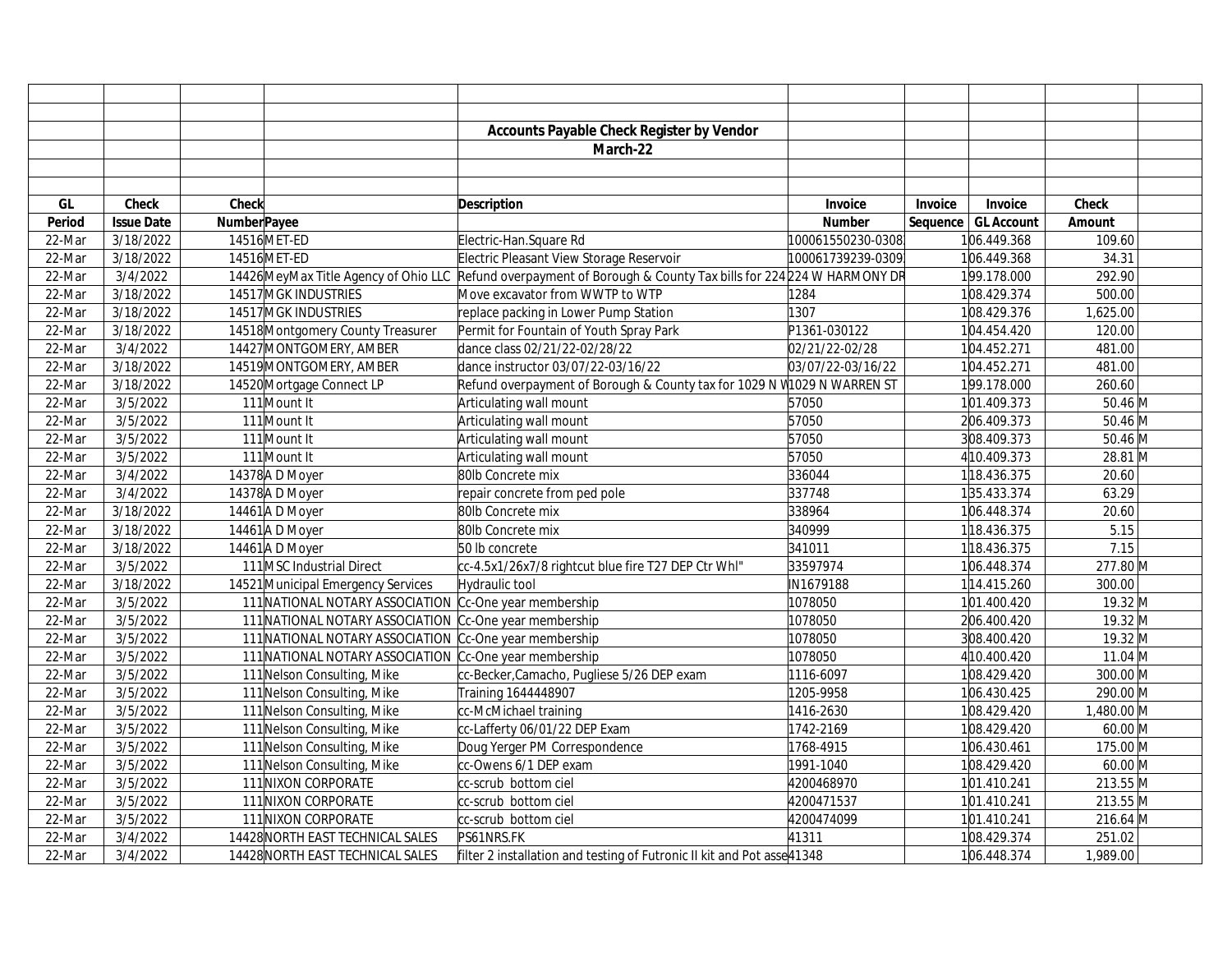|        |                   |                                                        | <b>Accounts Payable Check Register by Vendor</b>                                                                 |                   |         |                     |              |  |
|--------|-------------------|--------------------------------------------------------|------------------------------------------------------------------------------------------------------------------|-------------------|---------|---------------------|--------------|--|
|        |                   |                                                        | March-22                                                                                                         |                   |         |                     |              |  |
|        |                   |                                                        |                                                                                                                  |                   |         |                     |              |  |
|        |                   |                                                        |                                                                                                                  |                   |         |                     |              |  |
| GL     | Check             | Check                                                  | <b>Description</b>                                                                                               | Invoice           | Invoice | <b>Invoice</b>      | <b>Check</b> |  |
| Period | <b>Issue Date</b> | Number Payee                                           |                                                                                                                  | <b>Number</b>     |         | Sequence GL Account | Amount       |  |
| 22-Mar | 3/18/2022         | 14516 MET-ED                                           | Electric-Han.Square Rd                                                                                           | 100061550230-0308 |         | 106.449.368         | 109.60       |  |
| 22-Mar | 3/18/2022         | 14516 MET-ED                                           | Electric Pleasant View Storage Reservoir                                                                         | 100061739239-0309 |         | 106.449.368         | 34.31        |  |
| 22-Mar | 3/4/2022          |                                                        | 14426 Mey Max Title Agency of Ohio LLC Refund overpayment of Borough & County Tax bills for 224 224 W HARMONY DR |                   |         | 199.178.000         | 292.90       |  |
| 22-Mar | 3/18/2022         | 14517 MGK INDUSTRIES                                   | Move excavator from WWTP to WTP                                                                                  | 1284              |         | 108.429.374         | 500.00       |  |
| 22-Mar | 3/18/2022         | 14517 MGK INDUSTRIES                                   | replace packing in Lower Pump Station                                                                            | 1307              |         | 108.429.376         | 1,625.00     |  |
| 22-Mar | 3/18/2022         | 14518 Montgomery County Treasurer                      | Permit for Fountain of Youth Spray Park                                                                          | P1361-030122      |         | 104.454.420         | 120.00       |  |
| 22-Mar | 3/4/2022          | 14427 MONTGOMERY, AMBER                                | dance class 02/21/22-02/28/22                                                                                    | 02/21/22-02/28    |         | 104.452.271         | 481.00       |  |
| 22-Mar | 3/18/2022         | 14519 MONTGOMERY, AMBER                                | dance instructor 03/07/22-03/16/22                                                                               | 03/07/22-03/16/22 |         | 104.452.271         | 481.00       |  |
| 22-Mar | 3/18/2022         | 14520 Mortgage Connect LP                              | Refund overpayment of Borough & County tax for 1029 N V1029 N WARREN ST                                          |                   |         | 199.178.000         | 260.60       |  |
| 22-Mar | 3/5/2022          | 111 Mount It                                           | Articulating wall mount                                                                                          | 57050             |         | 101.409.373         | 50.46 M      |  |
| 22-Mar | 3/5/2022          | 111 Mount It                                           | Articulating wall mount                                                                                          | 57050             |         | 206.409.373         | 50.46 M      |  |
| 22-Mar | 3/5/2022          | 111 Mount It                                           | Articulating wall mount                                                                                          | 57050             |         | 308.409.373         | 50.46 M      |  |
| 22-Mar | 3/5/2022          | 111 Mount It                                           | Articulating wall mount                                                                                          | 57050             |         | 410.409.373         | 28.81 M      |  |
| 22-Mar | 3/4/2022          | 14378 AD Moyer                                         | 80lb Concrete mix                                                                                                | 336044            |         | 118.436.375         | 20.60        |  |
| 22-Mar | 3/4/2022          | 14378 AD Moyer                                         | repair concrete from ped pole                                                                                    | 337748            |         | 135.433.374         | 63.29        |  |
| 22-Mar | 3/18/2022         | 14461 A D Moyer                                        | 80lb Concrete mix                                                                                                | 338964            |         | 106.448.374         | 20.60        |  |
| 22-Mar | 3/18/2022         | 14461 A D Moyer                                        | 80lb Concrete mix                                                                                                | 340999            |         | 118.436.375         | 5.15         |  |
| 22-Mar | 3/18/2022         | 14461 A D Moyer                                        | 50 lb concrete                                                                                                   | 341011            |         | 118.436.375         | 7.15         |  |
| 22-Mar | 3/5/2022          | 111 MSC Industrial Direct                              | cc-4.5x1/26x7/8 rightcut blue fire T27 DEP Ctr Whl"                                                              | 33597974          |         | 106.448.374         | 277.80 M     |  |
| 22-Mar | 3/18/2022         | 14521 Municipal Emergency Services                     | Hydraulic tool                                                                                                   | IN1679188         |         | 114.415.260         | 300.00       |  |
| 22-Mar | 3/5/2022          | 111 NATIONAL NOTARY ASSOCIATION Cc-One year membership |                                                                                                                  | 1078050           |         | 101.400.420         | 19.32 M      |  |
| 22-Mar | 3/5/2022          | 111 NATIONAL NOTARY ASSOCIATION Cc-One year membership |                                                                                                                  | 1078050           |         | 206.400.420         | 19.32 M      |  |
| 22-Mar | 3/5/2022          | 111 NATIONAL NOTARY ASSOCIATION Cc-One year membership |                                                                                                                  | 1078050           |         | 308.400.420         | 19.32 M      |  |
| 22-Mar | 3/5/2022          | 111 NATIONAL NOTARY ASSOCIATION Cc-One year membership |                                                                                                                  | 1078050           |         | 410.400.420         | $11.04 \, M$ |  |
| 22-Mar | 3/5/2022          | 111 Nelson Consulting, Mike                            | cc-Becker, Camacho, Pugliese 5/26 DEP exam                                                                       | 1116-6097         |         | 108.429.420         | 300.00 M     |  |
| 22-Mar | 3/5/2022          | 111 Nelson Consulting, Mike                            | Training 1644448907                                                                                              | 1205-9958         |         | 106.430.425         | 290.00 M     |  |
| 22-Mar | 3/5/2022          | 111 Nelson Consulting, Mike                            | cc-McMichael training                                                                                            | 1416-2630         |         | 108.429.420         | 1,480.00 M   |  |
| 22-Mar | 3/5/2022          | 111 Nelson Consulting, Mike                            | cc-Lafferty 06/01/22 DEP Exam                                                                                    | 1742-2169         |         | 108.429.420         | 60.00 M      |  |
| 22-Mar | 3/5/2022          | 111 Nelson Consulting, Mike                            | Doug Yerger PM Correspondence                                                                                    | 1768-4915         |         | 106.430.461         | 175.00 M     |  |
| 22-Mar | 3/5/2022          | 111 Nelson Consulting, Mike                            | cc-Owens 6/1 DEP exam                                                                                            | 1991-1040         |         | 108.429.420         | $60.00$ M    |  |
| 22-Mar | 3/5/2022          | 111 NIXON CORPORATE                                    | cc-scrub bottom ciel                                                                                             | 4200468970        |         | 101.410.241         | 213.55 M     |  |
| 22-Mar | 3/5/2022          | 111 NIXON CORPORATE                                    | cc-scrub bottom ciel                                                                                             | 4200471537        |         | 101.410.241         | 213.55 M     |  |
| 22-Mar | 3/5/2022          | 111 NIXON CORPORATE                                    | cc-scrub bottom ciel                                                                                             | 4200474099        |         | 101.410.241         | 216.64 M     |  |
| 22-Mar | 3/4/2022          | 14428 NORTH EAST TECHNICAL SALES                       | PS61NRS.FK                                                                                                       | 41311             |         | 108.429.374         | 251.02       |  |
| 22-Mar | 3/4/2022          | 14428 NORTH EAST TECHNICAL SALES                       | filter 2 installation and testing of Futronic II kit and Pot asse 41348                                          |                   |         | 106.448.374         | 1,989.00     |  |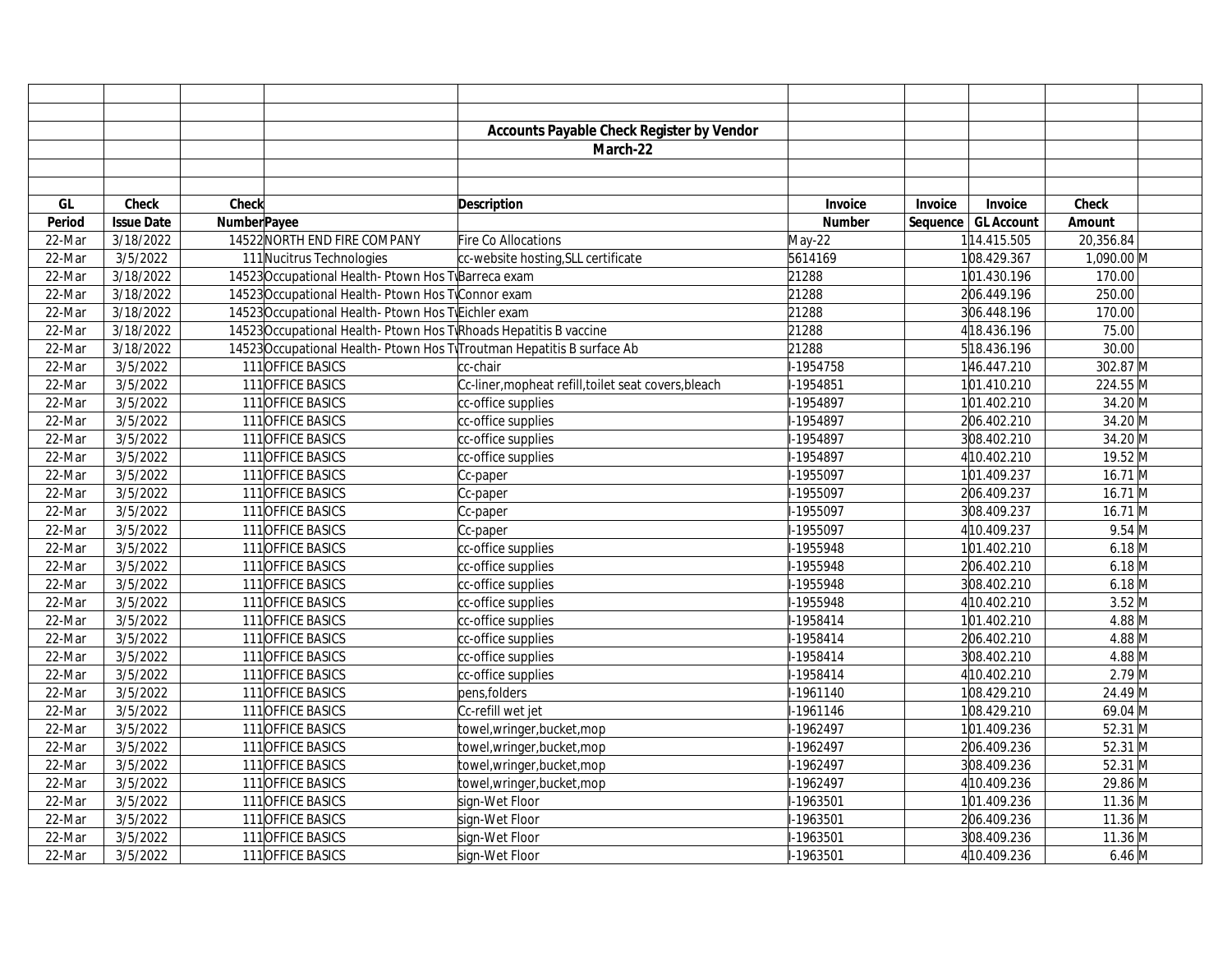|        |                   |                                                                       | Accounts Payable Check Register by Vendor            |               |         |                     |                  |  |
|--------|-------------------|-----------------------------------------------------------------------|------------------------------------------------------|---------------|---------|---------------------|------------------|--|
|        |                   |                                                                       | March-22                                             |               |         |                     |                  |  |
|        |                   |                                                                       |                                                      |               |         |                     |                  |  |
|        |                   |                                                                       |                                                      |               |         |                     |                  |  |
| GL     | Check             | Check                                                                 | <b>Description</b>                                   | Invoice       | Invoice | Invoice             | Check            |  |
| Period | <b>Issue Date</b> | Number Payee                                                          |                                                      | <b>Number</b> |         | Sequence GL Account | Amount           |  |
| 22-Mar | 3/18/2022         | 14522 NORTH END FIRE COMPANY                                          | Fire Co Allocations                                  | May-22        |         | 114.415.505         | 20,356.84        |  |
| 22-Mar | 3/5/2022          | 111 Nucitrus Technologies                                             | cc-website hosting, SLL certificate                  | 5614169       |         | 108.429.367         | 1,090.00 M       |  |
| 22-Mar | 3/18/2022         | 14523 Occupational Health-Ptown Hos T Barreca exam                    |                                                      | 21288         |         | 101.430.196         | 170.00           |  |
| 22-Mar | 3/18/2022         | 14523 Occupational Health-Ptown Hos TyConnor exam                     |                                                      | 21288         |         | 206.449.196         | 250.00           |  |
| 22-Mar | 3/18/2022         | 14523 Occupational Health-Ptown Hos TuEichler exam                    |                                                      | 21288         |         | 306.448.196         | 170.00           |  |
| 22-Mar | 3/18/2022         | 14523 Occupational Health-Ptown Hos TyRhoads Hepatitis B vaccine      |                                                      | 21288         |         | 418.436.196         | 75.00            |  |
| 22-Mar | 3/18/2022         | 14523 Occupational Health-Ptown Hos TyTroutman Hepatitis B surface Ab |                                                      | 21288         |         | 518.436.196         | 30.00            |  |
| 22-Mar | 3/5/2022          | 111 OFFICE BASICS                                                     | cc-chair                                             | -1954758      |         | 146.447.210         | 302.87 M         |  |
| 22-Mar | 3/5/2022          | 111OFFICE BASICS                                                      | Cc-liner, mopheat refill, toilet seat covers, bleach | -1954851      |         | 101.410.210         | 224.55 M         |  |
| 22-Mar | 3/5/2022          | 111 OFFICE BASICS                                                     | cc-office supplies                                   | 1954897       |         | 101.402.210         | 34.20 M          |  |
| 22-Mar | 3/5/2022          | 111 OFFICE BASICS                                                     | cc-office supplies                                   | -1954897      |         | 206.402.210         | 34.20 M          |  |
| 22-Mar | 3/5/2022          | 111 OFFICE BASICS                                                     | cc-office supplies                                   | -1954897      |         | 308.402.210         | 34.20 M          |  |
| 22-Mar | 3/5/2022          | 111OFFICE BASICS                                                      | cc-office supplies                                   | -1954897      |         | 410.402.210         | 19.52 M          |  |
| 22-Mar | 3/5/2022          | 111 OFFICE BASICS                                                     | Cc-paper                                             | 1955097       |         | 101.409.237         | $16.71$ M        |  |
| 22-Mar | 3/5/2022          | 111 OFFICE BASICS                                                     | Cc-paper                                             | -1955097      |         | 206.409.237         | $16.71 \, M$     |  |
| 22-Mar | 3/5/2022          | 111 OFFICE BASICS                                                     | Cc-paper                                             | -1955097      |         | 308.409.237         | $16.71$ M        |  |
| 22-Mar | 3/5/2022          | 111 OFFICE BASICS                                                     | Cc-paper                                             | -1955097      |         | 410.409.237         | $9.54 \text{ M}$ |  |
| 22-Mar | 3/5/2022          | 111 OFFICE BASICS                                                     | cc-office supplies                                   | 1955948       |         | 101.402.210         | $6.18$ M         |  |
| 22-Mar | 3/5/2022          | 111 OFFICE BASICS                                                     | cc-office supplies                                   | 1955948       |         | 206.402.210         | $6.18$ M         |  |
| 22-Mar | 3/5/2022          | 111 OFFICE BASICS                                                     | cc-office supplies                                   | -1955948      |         | 308.402.210         | $6.18$ M         |  |
| 22-Mar | 3/5/2022          | 111OFFICE BASICS                                                      | cc-office supplies                                   | 1955948       |         | 410.402.210         | $3.52$ M         |  |
| 22-Mar | 3/5/2022          | 111 OFFICE BASICS                                                     | cc-office supplies                                   | -1958414      |         | 101.402.210         | $4.88$ M         |  |
| 22-Mar | 3/5/2022          | 111 OFFICE BASICS                                                     | cc-office supplies                                   | -1958414      |         | 206.402.210         | $4.88$ M         |  |
| 22-Mar | 3/5/2022          | 111OFFICE BASICS                                                      | cc-office supplies                                   | -1958414      |         | 308.402.210         | $4.88$ M         |  |
| 22-Mar | 3/5/2022          | 111 OFFICE BASICS                                                     | cc-office supplies                                   | 1958414       |         | 410.402.210         | $2.79$ M         |  |
| 22-Mar | 3/5/2022          | 111 OFFICE BASICS                                                     | pens, folders                                        | 1961140       |         | 108.429.210         | 24.49 M          |  |
| 22-Mar | 3/5/2022          | 111 OFFICE BASICS                                                     | Cc-refill wet jet                                    | 1961146       |         | 108.429.210         | 69.04 M          |  |
| 22-Mar | 3/5/2022          | 111 OFFICE BASICS                                                     | towel, wringer, bucket, mop                          | -1962497      |         | 101.409.236         | 52.31 M          |  |
| 22-Mar | 3/5/2022          | 111 OFFICE BASICS                                                     | towel, wringer, bucket, mop                          | -1962497      |         | 206.409.236         | $52.31$ M        |  |
| 22-Mar | 3/5/2022          | 111 OFFICE BASICS                                                     | towel, wringer, bucket, mop                          | 1962497       |         | 308.409.236         | 52.31 M          |  |
| 22-Mar | 3/5/2022          | 111 OFFICE BASICS                                                     | towel, wringer, bucket, mop                          | -1962497      |         | 410.409.236         | 29.86 M          |  |
| 22-Mar | 3/5/2022          | 111 OFFICE BASICS                                                     | sign-Wet Floor                                       | -1963501      |         | 101.409.236         | $11.36$ M        |  |
| 22-Mar | 3/5/2022          | 111 OFFICE BASICS                                                     | sign-Wet Floor                                       | -1963501      |         | 206.409.236         | $11.36$ M        |  |
| 22-Mar | 3/5/2022          | 111 OFFICE BASICS                                                     | sign-Wet Floor                                       | 1963501       |         | 308.409.236         | 11.36 M          |  |
| 22-Mar | 3/5/2022          | 111 OFFICE BASICS                                                     | sign-Wet Floor                                       | -1963501      |         | 410.409.236         | $6.46$ M         |  |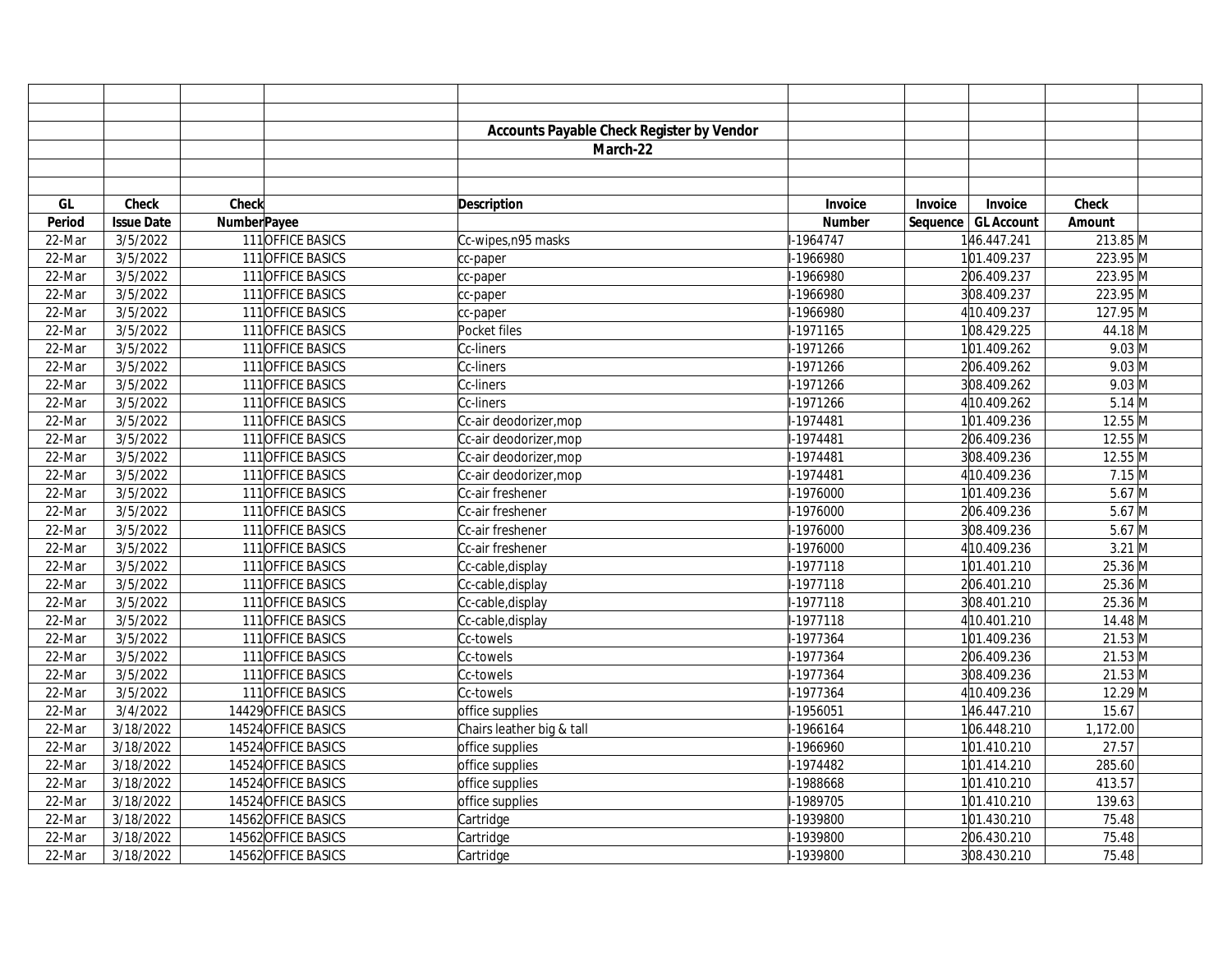|        |                   |                     |                     | <b>Accounts Payable Check Register by Vendor</b> |               |          |                   |                    |  |
|--------|-------------------|---------------------|---------------------|--------------------------------------------------|---------------|----------|-------------------|--------------------|--|
|        |                   |                     |                     | March-22                                         |               |          |                   |                    |  |
|        |                   |                     |                     |                                                  |               |          |                   |                    |  |
|        |                   |                     |                     |                                                  |               |          |                   |                    |  |
| GL     | Check             | Check               |                     | <b>Description</b>                               | Invoice       | Invoice  | Invoice           | Check              |  |
| Period | <b>Issue Date</b> | <b>Number Payee</b> |                     |                                                  | <b>Number</b> | Sequence | <b>GL Account</b> | Amount             |  |
| 22-Mar | 3/5/2022          |                     | 111 OFFICE BASICS   | Cc-wipes, n95 masks                              | 1964747       |          | 146.447.241       | 213.85 M           |  |
| 22-Mar | 3/5/2022          |                     | 111 OFFICE BASICS   | cc-paper                                         | 1966980       |          | 101.409.237       | 223.95 M           |  |
| 22-Mar | 3/5/2022          |                     | 111 OFFICE BASICS   | cc-paper                                         | 1966980       |          | 206.409.237       | 223.95 M           |  |
| 22-Mar | 3/5/2022          |                     | 111 OFFICE BASICS   | cc-paper                                         | 1966980       |          | 308.409.237       | 223.95 M           |  |
| 22-Mar | 3/5/2022          |                     | 111 OFFICE BASICS   | cc-paper                                         | 1966980       |          | 410.409.237       | 127.95 M           |  |
| 22-Mar | 3/5/2022          |                     | 111 OFFICE BASICS   | Pocket files                                     | 1971165       |          | 108.429.225       | 44.18 M            |  |
| 22-Mar | 3/5/2022          |                     | 111 OFFICE BASICS   | Cc-liners                                        | -1971266      |          | 101.409.262       | $9.03$ M           |  |
| 22-Mar | 3/5/2022          |                     | 111 OFFICE BASICS   | Cc-liners                                        | 1971266       |          | 206.409.262       | $9.03$ M           |  |
| 22-Mar | 3/5/2022          |                     | 111OFFICE BASICS    | Cc-liners                                        | 1971266       |          | 308.409.262       | $9.03$ M           |  |
| 22-Mar | 3/5/2022          |                     | 111 OFFICE BASICS   | Cc-liners                                        | 1971266       |          | 410.409.262       | $5.14 \, \text{M}$ |  |
| 22-Mar | 3/5/2022          |                     | 111 OFFICE BASICS   | Cc-air deodorizer, mop                           | 1974481       |          | 101.409.236       | $12.55$ M          |  |
| 22-Mar | 3/5/2022          |                     | 111 OFFICE BASICS   | Cc-air deodorizer, mop                           | -1974481      |          | 206.409.236       | $12.55$ M          |  |
| 22-Mar | 3/5/2022          |                     | 111OFFICE BASICS    | Cc-air deodorizer, mop                           | 1974481       |          | 308.409.236       | $12.55$ M          |  |
| 22-Mar | 3/5/2022          |                     | 111OFFICE BASICS    | Cc-air deodorizer, mop                           | 1974481       |          | 410.409.236       | $7.15$ M           |  |
| 22-Mar | 3/5/2022          |                     | 111 OFFICE BASICS   | Cc-air freshener                                 | 1976000       |          | 101.409.236       | $5.67$ M           |  |
| 22-Mar | 3/5/2022          |                     | 111 OFFICE BASICS   | Cc-air freshener                                 | 1976000       |          | 206.409.236       | $5.67$ M           |  |
| 22-Mar | 3/5/2022          |                     | 111 OFFICE BASICS   | Cc-air freshener                                 | 1976000       |          | 308.409.236       | $5.67$ M           |  |
| 22-Mar | 3/5/2022          |                     | 111 OFFICE BASICS   | Cc-air freshener                                 | 1976000       |          | 410.409.236       | $3.21$ M           |  |
| 22-Mar | 3/5/2022          |                     | 111 OFFICE BASICS   | Cc-cable, display                                | 1977118       |          | 101.401.210       | 25.36 M            |  |
| 22-Mar | 3/5/2022          |                     | 111 OFFICE BASICS   | Cc-cable, display                                | 1977118       |          | 206.401.210       | 25.36 M            |  |
| 22-Mar | 3/5/2022          |                     | 111OFFICE BASICS    | Cc-cable, display                                | 1977118       |          | 308.401.210       | 25.36 M            |  |
| 22-Mar | 3/5/2022          |                     | 111 OFFICE BASICS   | Cc-cable, display                                | 1977118       |          | 410.401.210       | $14.48$ M          |  |
| 22-Mar | 3/5/2022          |                     | 111 OFFICE BASICS   | Cc-towels                                        | 1977364       |          | 101.409.236       | $21.53$ M          |  |
| 22-Mar | 3/5/2022          |                     | 111OFFICE BASICS    | Cc-towels                                        | 1977364       |          | 206.409.236       | $21.53 \, M$       |  |
| 22-Mar | 3/5/2022          |                     | 111OFFICE BASICS    | Cc-towels                                        | 1977364       |          | 308.409.236       | $21.53 \, M$       |  |
| 22-Mar | 3/5/2022          |                     | 111 OFFICE BASICS   | Cc-towels                                        | 1977364       |          | 410.409.236       | 12.29 M            |  |
| 22-Mar | 3/4/2022          |                     | 14429 OFFICE BASICS | office supplies                                  | 1956051       |          | 146.447.210       | 15.67              |  |
| 22-Mar | 3/18/2022         |                     | 14524 OFFICE BASICS | Chairs leather big & tall                        | 1966164       |          | 106.448.210       | 1,172.00           |  |
| 22-Mar | 3/18/2022         |                     | 14524 OFFICE BASICS | office supplies                                  | 1966960       |          | 101.410.210       | 27.57              |  |
| 22-Mar | 3/18/2022         |                     | 14524 OFFICE BASICS | office supplies                                  | 1974482       |          | 101.414.210       | 285.60             |  |
| 22-Mar | 3/18/2022         |                     | 14524 OFFICE BASICS | office supplies                                  | -1988668      |          | 101.410.210       | 413.57             |  |
| 22-Mar | 3/18/2022         |                     | 14524 OFFICE BASICS | office supplies                                  | 1989705       |          | 101.410.210       | 139.63             |  |
| 22-Mar | 3/18/2022         |                     | 14562 OFFICE BASICS | Cartridge                                        | 1939800       |          | 101.430.210       | 75.48              |  |
| 22-Mar | 3/18/2022         |                     | 14562OFFICE BASICS  | Cartridge                                        | 1939800       |          | 206.430.210       | 75.48              |  |
| 22-Mar | 3/18/2022         |                     | 14562OFFICE BASICS  | Cartridge                                        | -1939800      |          | 308.430.210       | 75.48              |  |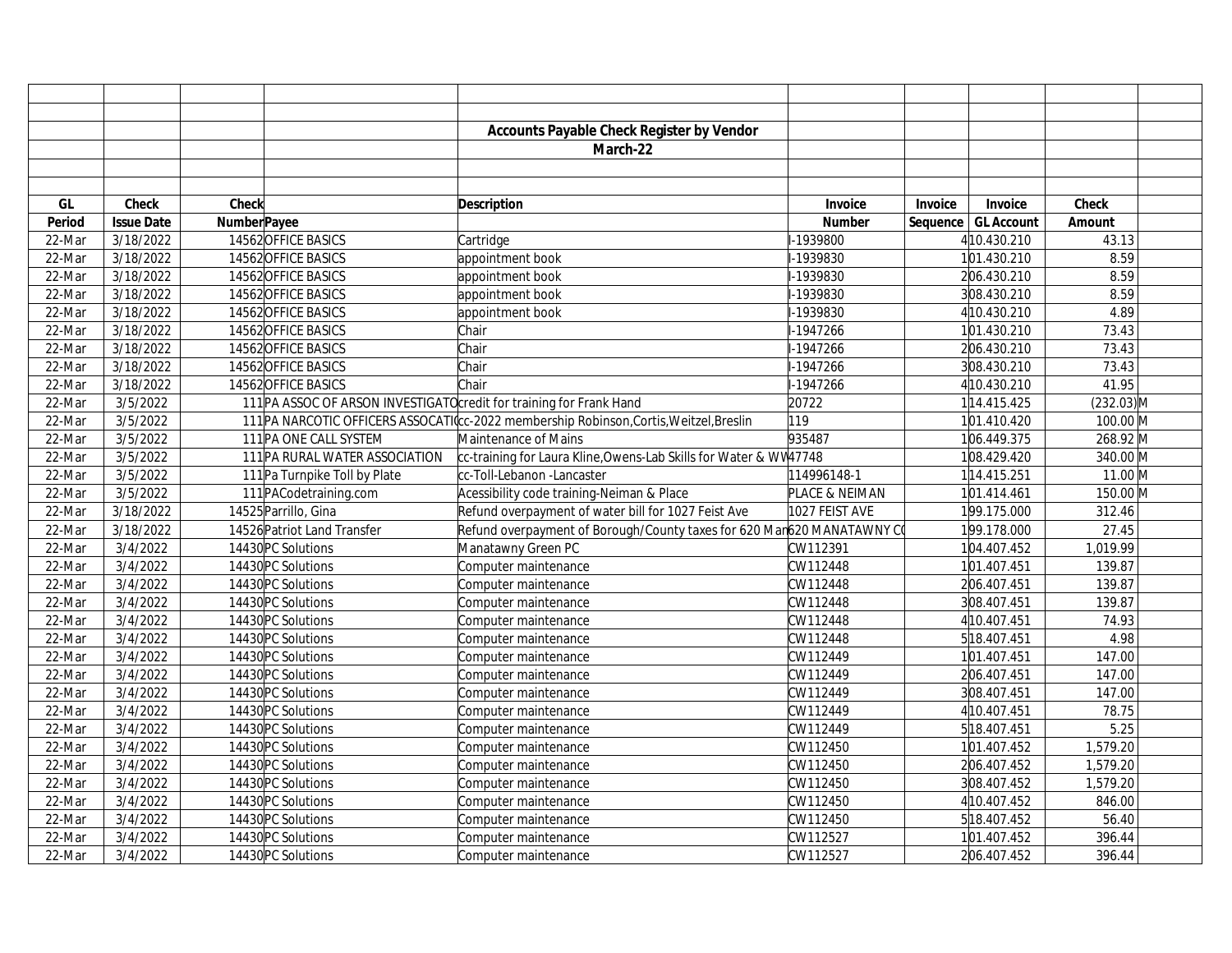|        |                   |                                                                      | <b>Accounts Payable Check Register by Vendor</b>                                        |                |         |                       |              |  |
|--------|-------------------|----------------------------------------------------------------------|-----------------------------------------------------------------------------------------|----------------|---------|-----------------------|--------------|--|
|        |                   |                                                                      | March-22                                                                                |                |         |                       |              |  |
|        |                   |                                                                      |                                                                                         |                |         |                       |              |  |
|        |                   |                                                                      |                                                                                         |                |         |                       |              |  |
| GL     | Check             | Check                                                                | <b>Description</b>                                                                      | Invoice        | Invoice | Invoice               | Check        |  |
| Period | <b>Issue Date</b> | Number Payee                                                         |                                                                                         | <b>Number</b>  |         | Sequence   GL Account | Amount       |  |
| 22-Mar | 3/18/2022         | 14562OFFICE BASICS                                                   | Cartridge                                                                               | -1939800       |         | 410.430.210           | 43.13        |  |
| 22-Mar | 3/18/2022         | 14562 OFFICE BASICS                                                  | appointment book                                                                        | 1939830        |         | 101.430.210           | 8.59         |  |
| 22-Mar | 3/18/2022         | 14562 OFFICE BASICS                                                  | appointment book                                                                        | -1939830       |         | 206.430.210           | 8.59         |  |
| 22-Mar | 3/18/2022         | 14562 OFFICE BASICS                                                  | appointment book                                                                        | 1939830        |         | 308.430.210           | 8.59         |  |
| 22-Mar | 3/18/2022         | 14562OFFICE BASICS                                                   | appointment book                                                                        | 1939830        |         | 410.430.210           | 4.89         |  |
| 22-Mar | 3/18/2022         | 14562 OFFICE BASICS                                                  | Chair                                                                                   | -1947266       |         | 101.430.210           | 73.43        |  |
| 22-Mar | 3/18/2022         | 14562 OFFICE BASICS                                                  | Chair                                                                                   | -1947266       |         | 206.430.210           | 73.43        |  |
| 22-Mar | 3/18/2022         | 14562OFFICE BASICS                                                   | Chair                                                                                   | -1947266       |         | 308.430.210           | 73.43        |  |
| 22-Mar | 3/18/2022         | 14562 OFFICE BASICS                                                  | Chair                                                                                   | -1947266       |         | 410.430.210           | 41.95        |  |
| 22-Mar | 3/5/2022          | 111 PA ASSOC OF ARSON INVESTIGATO credit for training for Frank Hand |                                                                                         | 20722          |         | 114.415.425           | $(232.03)$ M |  |
| 22-Mar | 3/5/2022          |                                                                      | 111 PA NARCOTIC OFFICERS ASSOCATI(cc-2022 membership Robinson, Cortis, Weitzel, Breslin | 119            |         | 101.410.420           | 100.00 M     |  |
| 22-Mar | 3/5/2022          | 111 PA ONE CALL SYSTEM                                               | Maintenance of Mains                                                                    | 935487         |         | 106.449.375           | 268.92 M     |  |
| 22-Mar | 3/5/2022          | 111 PA RURAL WATER ASSOCIATION                                       | cc-training for Laura Kline, Owens-Lab Skills for Water & WV47748                       |                |         | 108.429.420           | 340.00 M     |  |
| 22-Mar | 3/5/2022          | 111 Pa Turnpike Toll by Plate                                        | cc-Toll-Lebanon-Lancaster                                                               | 114996148-1    |         | 114.415.251           | 11.00 M      |  |
| 22-Mar | 3/5/2022          | 111 PAC ode training.com                                             | Acessibility code training-Neiman & Place                                               | PLACE & NEIMAN |         | 101.414.461           | 150.00 M     |  |
| 22-Mar | 3/18/2022         | 14525 Parrillo, Gina                                                 | Refund overpayment of water bill for 1027 Feist Ave                                     | 1027 FEIST AVE |         | 199.175.000           | 312.46       |  |
| 22-Mar | 3/18/2022         | 14526 Patriot Land Transfer                                          | Refund overpayment of Borough/County taxes for 620 Man620 MANATAWNY CO                  |                |         | 199.178.000           | 27.45        |  |
| 22-Mar | 3/4/2022          | 14430 PC Solutions                                                   | Manatawny Green PC                                                                      | CW112391       |         | 104.407.452           | 1,019.99     |  |
| 22-Mar | 3/4/2022          | 14430 PC Solutions                                                   | Computer maintenance                                                                    | CW112448       |         | 101.407.451           | 139.87       |  |
| 22-Mar | 3/4/2022          | 14430 PC Solutions                                                   | Computer maintenance                                                                    | CW112448       |         | 206.407.451           | 139.87       |  |
| 22-Mar | 3/4/2022          | 14430 PC Solutions                                                   | Computer maintenance                                                                    | CW112448       |         | 308.407.451           | 139.87       |  |
| 22-Mar | 3/4/2022          | 14430 PC Solutions                                                   | Computer maintenance                                                                    | CW112448       |         | 410.407.451           | 74.93        |  |
| 22-Mar | 3/4/2022          | 14430 PC Solutions                                                   | Computer maintenance                                                                    | CW112448       |         | 518.407.451           | 4.98         |  |
| 22-Mar | 3/4/2022          | 14430 PC Solutions                                                   | Computer maintenance                                                                    | CW112449       |         | 101.407.451           | 147.00       |  |
| 22-Mar | 3/4/2022          | 14430 PC Solutions                                                   | Computer maintenance                                                                    | CW112449       |         | 206.407.451           | 147.00       |  |
| 22-Mar | 3/4/2022          | 14430 PC Solutions                                                   | Computer maintenance                                                                    | CW112449       |         | 308.407.451           | 147.00       |  |
| 22-Mar | 3/4/2022          | 14430 PC Solutions                                                   | Computer maintenance                                                                    | CW112449       |         | 410.407.451           | 78.75        |  |
| 22-Mar | 3/4/2022          | 14430 PC Solutions                                                   | Computer maintenance                                                                    | CW112449       |         | 518.407.451           | 5.25         |  |
| 22-Mar | 3/4/2022          | 14430 PC Solutions                                                   | Computer maintenance                                                                    | CW112450       |         | 101.407.452           | 1,579.20     |  |
| 22-Mar | 3/4/2022          | 14430 PC Solutions                                                   | Computer maintenance                                                                    | CW112450       |         | 206.407.452           | 1,579.20     |  |
| 22-Mar | 3/4/2022          | 14430 PC Solutions                                                   | Computer maintenance                                                                    | CW112450       |         | 308.407.452           | 1,579.20     |  |
| 22-Mar | 3/4/2022          | 14430 PC Solutions                                                   | Computer maintenance                                                                    | CW112450       |         | 410.407.452           | 846.00       |  |
| 22-Mar | 3/4/2022          | 14430 PC Solutions                                                   | Computer maintenance                                                                    | CW112450       |         | 518.407.452           | 56.40        |  |
| 22-Mar | 3/4/2022          | 14430 PC Solutions                                                   | Computer maintenance                                                                    | CW112527       |         | 101.407.452           | 396.44       |  |
| 22-Mar | 3/4/2022          | 14430 PC Solutions                                                   | Computer maintenance                                                                    | CW112527       |         | 206.407.452           | 396.44       |  |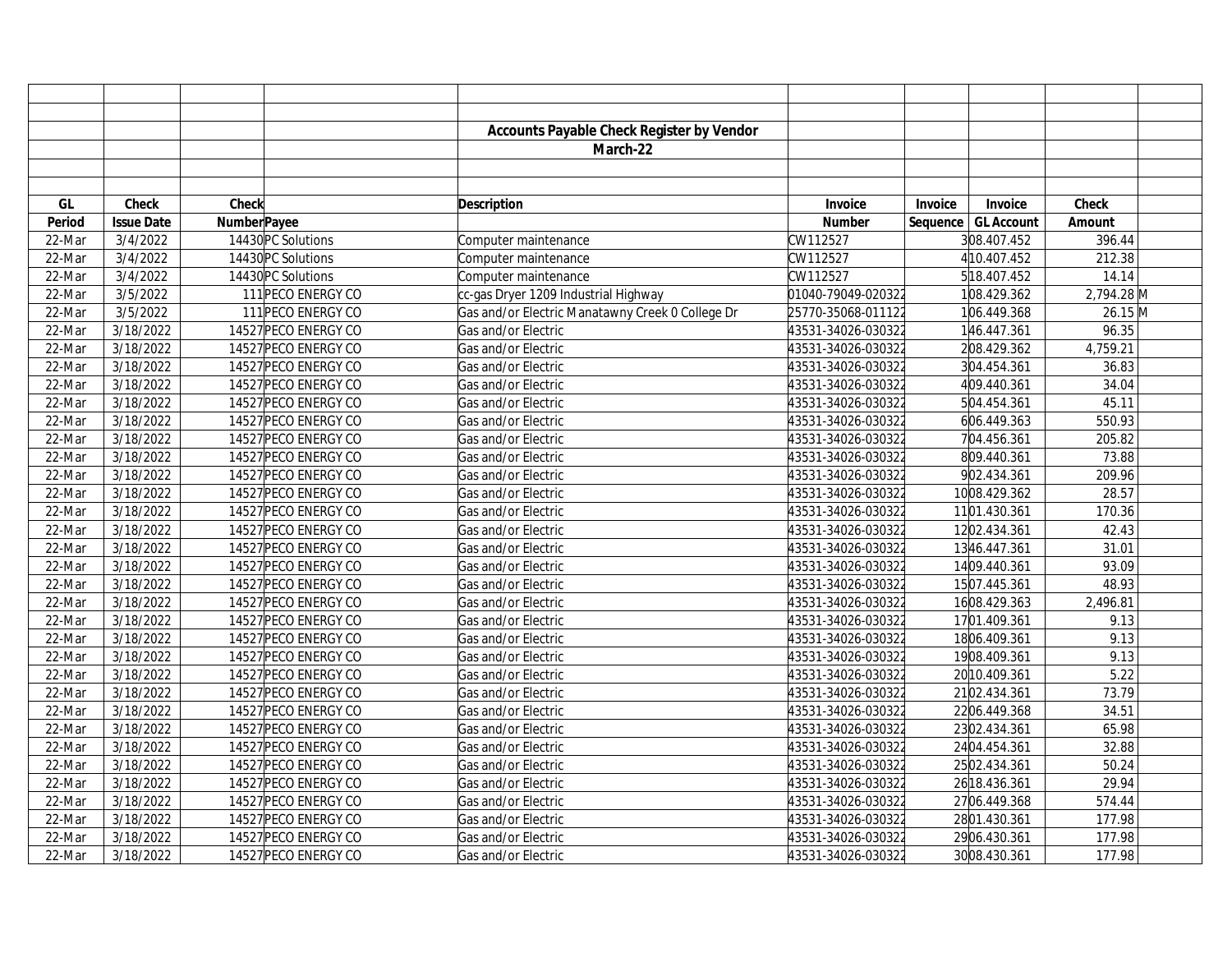|        |                   |              |                      | Accounts Payable Check Register by Vendor        |                    |          |               |            |  |
|--------|-------------------|--------------|----------------------|--------------------------------------------------|--------------------|----------|---------------|------------|--|
|        |                   |              |                      | March-22                                         |                    |          |               |            |  |
|        |                   |              |                      |                                                  |                    |          |               |            |  |
|        |                   |              |                      |                                                  |                    |          |               |            |  |
| GL     | Check             | <b>Check</b> |                      | <b>Description</b>                               | Invoice            | Invoice  | Invoice       | Check      |  |
| Period | <b>Issue Date</b> | Number Payee |                      |                                                  | <b>Number</b>      | Sequence | GL Account    | Amount     |  |
| 22-Mar | 3/4/2022          |              | 14430 PC Solutions   | Computer maintenance                             | CW112527           |          | 308.407.452   | 396.44     |  |
| 22-Mar | 3/4/2022          |              | 14430 PC Solutions   | Computer maintenance                             | CW112527           |          | 410.407.452   | 212.38     |  |
| 22-Mar | 3/4/2022          |              | 14430 PC Solutions   | Computer maintenance                             | CW112527           |          | 518.407.452   | 14.14      |  |
| 22-Mar | 3/5/2022          |              | 111 PECO ENERGY CO   | cc-gas Dryer 1209 Industrial Highway             | 01040-79049-020322 |          | 108.429.362   | 2,794.28 M |  |
| 22-Mar | 3/5/2022          |              | 111 PECO ENERGY CO   | Gas and/or Electric Manatawny Creek 0 College Dr | 25770-35068-011122 |          | 106.449.368   | 26.15 M    |  |
| 22-Mar | 3/18/2022         |              | 14527 PECO ENERGY CO | Gas and/or Electric                              | 43531-34026-030322 |          | 146.447.361   | 96.35      |  |
| 22-Mar | 3/18/2022         |              | 14527 PECO ENERGY CO | Gas and/or Electric                              | 43531-34026-030322 |          | 208.429.362   | 4,759.21   |  |
| 22-Mar | 3/18/2022         |              | 14527 PECO ENERGY CO | Gas and/or Electric                              | 43531-34026-030322 |          | 304.454.361   | 36.83      |  |
| 22-Mar | 3/18/2022         |              | 14527 PECO ENERGY CO | Gas and/or Electric                              | 43531-34026-030322 |          | 409.440.361   | 34.04      |  |
| 22-Mar | 3/18/2022         |              | 14527 PECO ENERGY CO | Gas and/or Electric                              | 43531-34026-030322 |          | 504.454.361   | 45.11      |  |
| 22-Mar | 3/18/2022         |              | 14527 PECO ENERGY CO | Gas and/or Electric                              | 43531-34026-030322 |          | 606.449.363   | 550.93     |  |
| 22-Mar | 3/18/2022         |              | 14527 PECO ENERGY CO | Gas and/or Electric                              | 43531-34026-030322 |          | 704.456.361   | 205.82     |  |
| 22-Mar | 3/18/2022         |              | 14527 PECO ENERGY CO | Gas and/or Electric                              | 43531-34026-030322 |          | 809.440.361   | 73.88      |  |
| 22-Mar | 3/18/2022         |              | 14527 PECO ENERGY CO | Gas and/or Electric                              | 43531-34026-030322 |          | 902.434.361   | 209.96     |  |
| 22-Mar | 3/18/2022         |              | 14527 PECO ENERGY CO | Gas and/or Electric                              | 43531-34026-030322 |          | 1008.429.362  | 28.57      |  |
| 22-Mar | 3/18/2022         |              | 14527 PECO ENERGY CO | Gas and/or Electric                              | 43531-34026-030322 |          | 1101.430.361  | 170.36     |  |
| 22-Mar | 3/18/2022         |              | 14527 PECO ENERGY CO | Gas and/or Electric                              | 43531-34026-030322 |          | 1202.434.361  | 42.43      |  |
| 22-Mar | 3/18/2022         |              | 14527 PECO ENERGY CO | Gas and/or Electric                              | 43531-34026-030322 |          | 1346.447.361  | 31.01      |  |
| 22-Mar | 3/18/2022         |              | 14527 PECO ENERGY CO | Gas and/or Electric                              | 43531-34026-030322 |          | 1409.440.361  | 93.09      |  |
| 22-Mar | 3/18/2022         |              | 14527 PECO ENERGY CO | Gas and/or Electric                              | 43531-34026-030322 |          | 1507.445.361  | 48.93      |  |
| 22-Mar | 3/18/2022         |              | 14527 PECO ENERGY CO | Gas and/or Electric                              | 43531-34026-030322 |          | 1608.429.363  | 2,496.81   |  |
| 22-Mar | 3/18/2022         |              | 14527 PECO ENERGY CO | Gas and/or Electric                              | 43531-34026-030322 |          | 1701.409.361  | 9.13       |  |
| 22-Mar | 3/18/2022         |              | 14527 PECO ENERGY CO | Gas and/or Electric                              | 43531-34026-030322 |          | 1806.409.361  | 9.13       |  |
| 22-Mar | 3/18/2022         |              | 14527 PECO ENERGY CO | Gas and/or Electric                              | 43531-34026-030322 |          | 1908.409.361  | 9.13       |  |
| 22-Mar | 3/18/2022         |              | 14527 PECO ENERGY CO | Gas and/or Electric                              | 43531-34026-030322 |          | 20 10.409.361 | 5.22       |  |
| 22-Mar | 3/18/2022         |              | 14527 PECO ENERGY CO | Gas and/or Electric                              | 43531-34026-030322 |          | 2102.434.361  | 73.79      |  |
| 22-Mar | 3/18/2022         |              | 14527 PECO ENERGY CO | Gas and/or Electric                              | 43531-34026-030322 |          | 2206.449.368  | 34.51      |  |
| 22-Mar | 3/18/2022         |              | 14527 PECO ENERGY CO | Gas and/or Electric                              | 43531-34026-030322 |          | 2302.434.361  | 65.98      |  |
| 22-Mar | 3/18/2022         |              | 14527 PECO ENERGY CO | Gas and/or Electric                              | 43531-34026-030322 |          | 2404.454.361  | 32.88      |  |
| 22-Mar | 3/18/2022         |              | 14527 PECO ENERGY CO | Gas and/or Electric                              | 43531-34026-030322 |          | 2502.434.361  | 50.24      |  |
| 22-Mar | 3/18/2022         |              | 14527 PECO ENERGY CO | Gas and/or Electric                              | 43531-34026-030322 |          | 26 18.436.361 | 29.94      |  |
| 22-Mar | 3/18/2022         |              | 14527 PECO ENERGY CO | Gas and/or Electric                              | 43531-34026-030322 |          | 2706.449.368  | 574.44     |  |
| 22-Mar | 3/18/2022         |              | 14527 PECO ENERGY CO | Gas and/or Electric                              | 43531-34026-030322 |          | 2801.430.361  | 177.98     |  |
| 22-Mar | 3/18/2022         |              | 14527 PECO ENERGY CO | Gas and/or Electric                              | 43531-34026-030322 |          | 2906.430.361  | 177.98     |  |
| 22-Mar | 3/18/2022         |              | 14527 PECO ENERGY CO | Gas and/or Electric                              | 43531-34026-030322 |          | 3008.430.361  | 177.98     |  |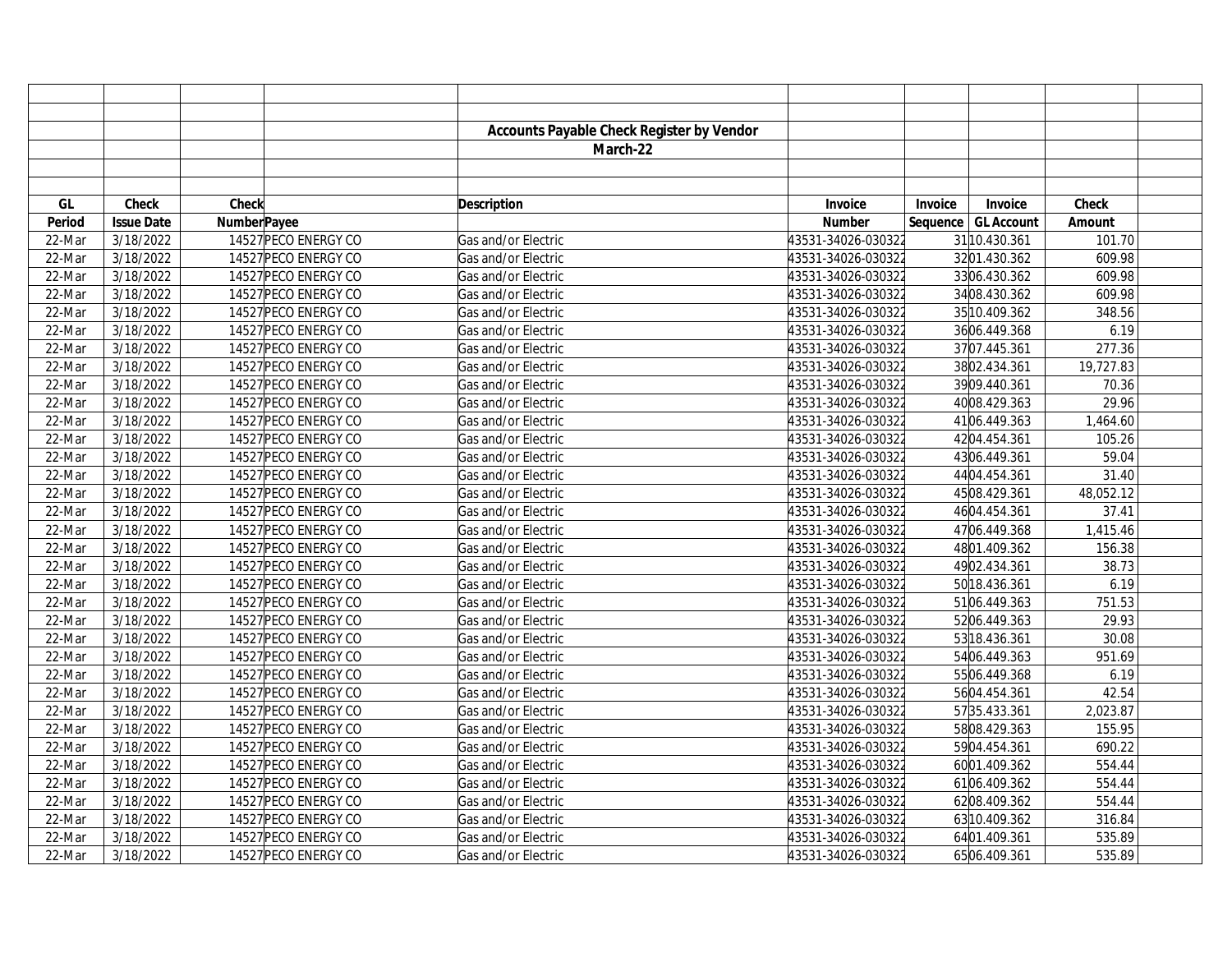|        |                   |                    |                      | Accounts Payable Check Register by Vendor |                    |         |                       |           |  |
|--------|-------------------|--------------------|----------------------|-------------------------------------------|--------------------|---------|-----------------------|-----------|--|
|        |                   |                    |                      | March-22                                  |                    |         |                       |           |  |
|        |                   |                    |                      |                                           |                    |         |                       |           |  |
|        |                   |                    |                      |                                           |                    |         |                       |           |  |
| GL     | Check             | <b>Check</b>       |                      | <b>Description</b>                        | Invoice            | Invoice | Invoice               | Check     |  |
| Period | <b>Issue Date</b> | <b>NumberPayee</b> |                      |                                           | <b>Number</b>      |         | Sequence   GL Account | Amount    |  |
| 22-Mar | 3/18/2022         |                    | 14527 PECO ENERGY CO | Gas and/or Electric                       | 43531-34026-030322 |         | 31 10.430.361         | 101.70    |  |
| 22-Mar | 3/18/2022         |                    | 14527 PECO ENERGY CO | Gas and/or Electric                       | 43531-34026-030322 |         | 3201.430.362          | 609.98    |  |
| 22-Mar | 3/18/2022         |                    | 14527 PECO ENERGY CO | Gas and/or Electric                       | 43531-34026-030322 |         | 3306.430.362          | 609.98    |  |
| 22-Mar | 3/18/2022         |                    | 14527 PECO ENERGY CO | Gas and/or Electric                       | 43531-34026-030322 |         | 3408.430.362          | 609.98    |  |
| 22-Mar | 3/18/2022         |                    | 14527 PECO ENERGY CO | Gas and/or Electric                       | 43531-34026-030322 |         | 35 10.409.362         | 348.56    |  |
| 22-Mar | 3/18/2022         |                    | 14527 PECO ENERGY CO | Gas and/or Electric                       | 43531-34026-030322 |         | 3606.449.368          | 6.19      |  |
| 22-Mar | 3/18/2022         |                    | 14527 PECO ENERGY CO | Gas and/or Electric                       | 43531-34026-030322 |         | 3707.445.361          | 277.36    |  |
| 22-Mar | 3/18/2022         |                    | 14527 PECO ENERGY CO | Gas and/or Electric                       | 43531-34026-030322 |         | 3802.434.361          | 19,727.83 |  |
| 22-Mar | 3/18/2022         |                    | 14527 PECO ENERGY CO | Gas and/or Electric                       | 43531-34026-030322 |         | 3909.440.361          | 70.36     |  |
| 22-Mar | 3/18/2022         |                    | 14527 PECO ENERGY CO | Gas and/or Electric                       | 43531-34026-030322 |         | 4008.429.363          | 29.96     |  |
| 22-Mar | 3/18/2022         |                    | 14527 PECO ENERGY CO | Gas and/or Electric                       | 43531-34026-030322 |         | 4106.449.363          | 1,464.60  |  |
| 22-Mar | 3/18/2022         |                    | 14527 PECO ENERGY CO | Gas and/or Electric                       | 43531-34026-030322 |         | 4204.454.361          | 105.26    |  |
| 22-Mar | 3/18/2022         |                    | 14527 PECO ENERGY CO | Gas and/or Electric                       | 43531-34026-030322 |         | 4306.449.361          | 59.04     |  |
| 22-Mar | 3/18/2022         |                    | 14527 PECO ENERGY CO | Gas and/or Electric                       | 43531-34026-030322 |         | 4404.454.361          | 31.40     |  |
| 22-Mar | 3/18/2022         |                    | 14527 PECO ENERGY CO | Gas and/or Electric                       | 43531-34026-030322 |         | 4508.429.361          | 48,052.12 |  |
| 22-Mar | 3/18/2022         |                    | 14527 PECO ENERGY CO | Gas and/or Electric                       | 43531-34026-030322 |         | 4604.454.361          | 37.41     |  |
| 22-Mar | 3/18/2022         |                    | 14527 PECO ENERGY CO | Gas and/or Electric                       | 43531-34026-030322 |         | 4706.449.368          | 1,415.46  |  |
| 22-Mar | 3/18/2022         |                    | 14527 PECO ENERGY CO | Gas and/or Electric                       | 43531-34026-030322 |         | 4801.409.362          | 156.38    |  |
| 22-Mar | 3/18/2022         |                    | 14527 PECO ENERGY CO | Gas and/or Electric                       | 43531-34026-030322 |         | 4902.434.361          | 38.73     |  |
| 22-Mar | 3/18/2022         |                    | 14527 PECO ENERGY CO | Gas and/or Electric                       | 43531-34026-030322 |         | 50 18.436.361         | 6.19      |  |
| 22-Mar | 3/18/2022         |                    | 14527 PECO ENERGY CO | Gas and/or Electric                       | 43531-34026-030322 |         | 5106.449.363          | 751.53    |  |
| 22-Mar | 3/18/2022         |                    | 14527 PECO ENERGY CO | Gas and/or Electric                       | 43531-34026-030322 |         | 5206.449.363          | 29.93     |  |
| 22-Mar | 3/18/2022         |                    | 14527 PECO ENERGY CO | Gas and/or Electric                       | 43531-34026-030322 |         | 53 18.436.361         | 30.08     |  |
| 22-Mar | 3/18/2022         |                    | 14527 PECO ENERGY CO | Gas and/or Electric                       | 43531-34026-030322 |         | 5406.449.363          | 951.69    |  |
| 22-Mar | 3/18/2022         |                    | 14527 PECO ENERGY CO | Gas and/or Electric                       | 43531-34026-030322 |         | 5506.449.368          | 6.19      |  |
| 22-Mar | 3/18/2022         |                    | 14527 PECO ENERGY CO | Gas and/or Electric                       | 43531-34026-030322 |         | 5604.454.361          | 42.54     |  |
| 22-Mar | 3/18/2022         |                    | 14527 PECO ENERGY CO | Gas and/or Electric                       | 43531-34026-030322 |         | 5735.433.361          | 2,023.87  |  |
| 22-Mar | 3/18/2022         |                    | 14527 PECO ENERGY CO | Gas and/or Electric                       | 43531-34026-030322 |         | 5808.429.363          | 155.95    |  |
| 22-Mar | 3/18/2022         |                    | 14527 PECO ENERGY CO | Gas and/or Electric                       | 43531-34026-030322 |         | 5904.454.361          | 690.22    |  |
| 22-Mar | 3/18/2022         |                    | 14527 PECO ENERGY CO | Gas and/or Electric                       | 43531-34026-030322 |         | 6001.409.362          | 554.44    |  |
| 22-Mar | 3/18/2022         |                    | 14527 PECO ENERGY CO | Gas and/or Electric                       | 43531-34026-030322 |         | 6106.409.362          | 554.44    |  |
| 22-Mar | 3/18/2022         |                    | 14527 PECO ENERGY CO | Gas and/or Electric                       | 43531-34026-030322 |         | 6208.409.362          | 554.44    |  |
| 22-Mar | 3/18/2022         |                    | 14527 PECO ENERGY CO | Gas and/or Electric                       | 43531-34026-030322 |         | 63 10.409.362         | 316.84    |  |
| 22-Mar | 3/18/2022         |                    | 14527 PECO ENERGY CO | Gas and/or Electric                       | 43531-34026-030322 |         | 6401.409.361          | 535.89    |  |
| 22-Mar | 3/18/2022         |                    | 14527 PECO ENERGY CO | Gas and/or Electric                       | 43531-34026-030322 |         | 6506.409.361          | 535.89    |  |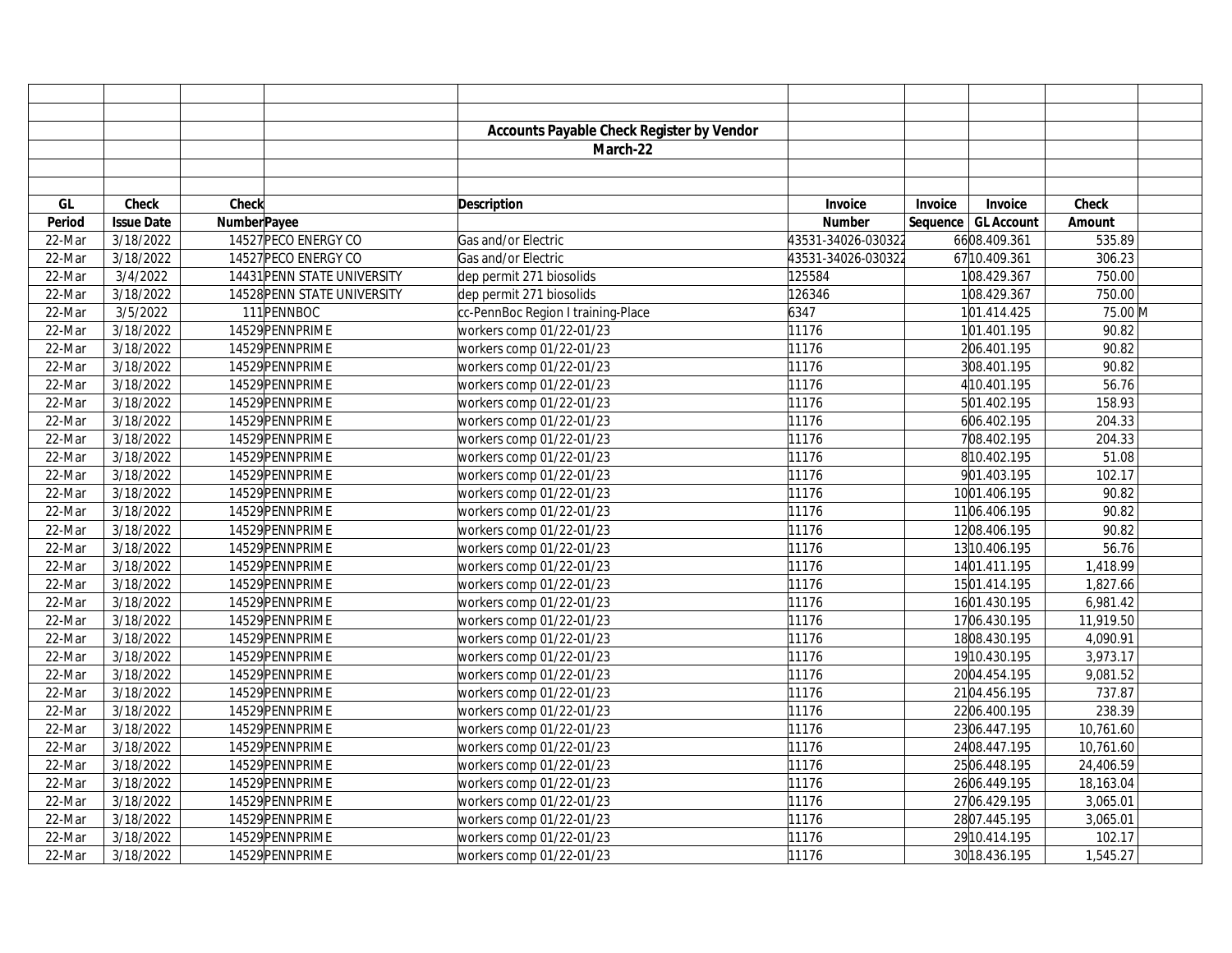|        |                   |                     |                             | <b>Accounts Payable Check Register by Vendor</b> |                    |         |                     |              |  |
|--------|-------------------|---------------------|-----------------------------|--------------------------------------------------|--------------------|---------|---------------------|--------------|--|
|        |                   |                     |                             | March-22                                         |                    |         |                     |              |  |
|        |                   |                     |                             |                                                  |                    |         |                     |              |  |
|        |                   |                     |                             |                                                  |                    |         |                     |              |  |
| GL     | Check             | Check               |                             | <b>Description</b>                               | Invoice            | Invoice | Invoice             | <b>Check</b> |  |
| Period | <b>Issue Date</b> | <b>Number Payee</b> |                             |                                                  | <b>Number</b>      |         | Sequence GL Account | Amount       |  |
| 22-Mar | 3/18/2022         |                     | 14527 PECO ENERGY CO        | Gas and/or Electric                              | 43531-34026-030322 |         | 6608.409.361        | 535.89       |  |
| 22-Mar | 3/18/2022         |                     | 14527 PECO ENERGY CO        | Gas and/or Electric                              | 43531-34026-030322 |         | 67 10.409.361       | 306.23       |  |
| 22-Mar | 3/4/2022          |                     | 14431 PENN STATE UNIVERSITY | dep permit 271 biosolids                         | 125584             |         | 108.429.367         | 750.00       |  |
| 22-Mar | 3/18/2022         |                     | 14528 PENN STATE UNIVERSITY | dep permit 271 biosolids                         | 126346             |         | 108.429.367         | 750.00       |  |
| 22-Mar | 3/5/2022          |                     | 111 PENNBOC                 | cc-PennBoc Region I training-Place               | 6347               |         | 101.414.425         | 75.00 M      |  |
| 22-Mar | 3/18/2022         |                     | 14529 PENNPRIME             | workers comp 01/22-01/23                         | 11176              |         | 101.401.195         | 90.82        |  |
| 22-Mar | 3/18/2022         |                     | 14529 PENNPRIME             | workers comp 01/22-01/23                         | 11176              |         | 206.401.195         | 90.82        |  |
| 22-Mar | 3/18/2022         |                     | 14529 PENNPRIME             | workers comp 01/22-01/23                         | 11176              |         | 308.401.195         | 90.82        |  |
| 22-Mar | 3/18/2022         |                     | 14529 PENNPRIME             | workers comp 01/22-01/23                         | 11176              |         | 410.401.195         | 56.76        |  |
| 22-Mar | 3/18/2022         |                     | 14529 PENNPRIME             | workers comp 01/22-01/23                         | 11176              |         | 501.402.195         | 158.93       |  |
| 22-Mar | 3/18/2022         |                     | 14529 PENNPRIME             | workers comp 01/22-01/23                         | 11176              |         | 606.402.195         | 204.33       |  |
| 22-Mar | 3/18/2022         |                     | 14529 PENNPRIME             | workers comp 01/22-01/23                         | 11176              |         | 708.402.195         | 204.33       |  |
| 22-Mar | 3/18/2022         |                     | 14529 PENNPRIME             | workers comp 01/22-01/23                         | 11176              |         | 810.402.195         | 51.08        |  |
| 22-Mar | 3/18/2022         |                     | 14529 PENNPRIME             | workers comp 01/22-01/23                         | 11176              |         | 901.403.195         | 102.17       |  |
| 22-Mar | 3/18/2022         |                     | 14529 PENNPRIME             | workers comp 01/22-01/23                         | 11176              |         | 1001.406.195        | 90.82        |  |
| 22-Mar | 3/18/2022         |                     | 14529 PENNPRIME             | workers comp 01/22-01/23                         | 11176              |         | 1106.406.195        | 90.82        |  |
| 22-Mar | 3/18/2022         |                     | 14529 PENNPRIME             | workers comp 01/22-01/23                         | 11176              |         | 1208.406.195        | 90.82        |  |
| 22-Mar | 3/18/2022         |                     | 14529 PENNPRIME             | workers comp 01/22-01/23                         | 11176              |         | 13 10.406.195       | 56.76        |  |
| 22-Mar | 3/18/2022         |                     | 14529 PENNPRIME             | workers comp 01/22-01/23                         | 11176              |         | 1401.411.195        | 1,418.99     |  |
| 22-Mar | 3/18/2022         |                     | 14529 PENNPRIME             | workers comp 01/22-01/23                         | 11176              |         | 1501.414.195        | 1,827.66     |  |
| 22-Mar | 3/18/2022         |                     | 14529 PENNPRIME             | workers comp 01/22-01/23                         | 11176              |         | 1601.430.195        | 6,981.42     |  |
| 22-Mar | 3/18/2022         |                     | 14529 PENNPRIME             | workers comp 01/22-01/23                         | 11176              |         | 1706.430.195        | 11,919.50    |  |
| 22-Mar | 3/18/2022         |                     | 14529 PENNPRIME             | workers comp 01/22-01/23                         | 11176              |         | 1808.430.195        | 4,090.91     |  |
| 22-Mar | 3/18/2022         |                     | 14529 PENNPRIME             | workers comp 01/22-01/23                         | 11176              |         | 19 10.430.195       | 3,973.17     |  |
| 22-Mar | 3/18/2022         |                     | 14529 PENNPRIME             | workers comp 01/22-01/23                         | 11176              |         | 2004.454.195        | 9,081.52     |  |
| 22-Mar | 3/18/2022         |                     | 14529 PENNPRIME             | workers comp 01/22-01/23                         | 11176              |         | 2104.456.195        | 737.87       |  |
| 22-Mar | 3/18/2022         |                     | 14529 PENNPRIME             | workers comp 01/22-01/23                         | 11176              |         | 2206.400.195        | 238.39       |  |
| 22-Mar | 3/18/2022         |                     | 14529 PENNPRIME             | workers comp 01/22-01/23                         | 11176              |         | 2306.447.195        | 10,761.60    |  |
| 22-Mar | 3/18/2022         |                     | 14529 PENNPRIME             | workers comp 01/22-01/23                         | 11176              |         | 2408.447.195        | 10,761.60    |  |
| 22-Mar | 3/18/2022         |                     | 14529 PENNPRIME             | workers comp 01/22-01/23                         | 11176              |         | 2506.448.195        | 24,406.59    |  |
| 22-Mar | 3/18/2022         |                     | 14529 PENNPRIME             | workers comp 01/22-01/23                         | 11176              |         | 2606.449.195        | 18,163.04    |  |
| 22-Mar | 3/18/2022         |                     | 14529 PENNPRIME             | workers comp 01/22-01/23                         | 11176              |         | 2706.429.195        | 3,065.01     |  |
| 22-Mar | 3/18/2022         |                     | 14529 PENNPRIME             | workers comp 01/22-01/23                         | 11176              |         | 2807.445.195        | 3,065.01     |  |
| 22-Mar | 3/18/2022         |                     | 14529 PENNPRIME             | workers comp 01/22-01/23                         | 11176              |         | 29 10.414.195       | 102.17       |  |
| 22-Mar | 3/18/2022         |                     | 14529 PENNPRIME             | workers comp 01/22-01/23                         | 11176              |         | 30 18.436.195       | 1,545.27     |  |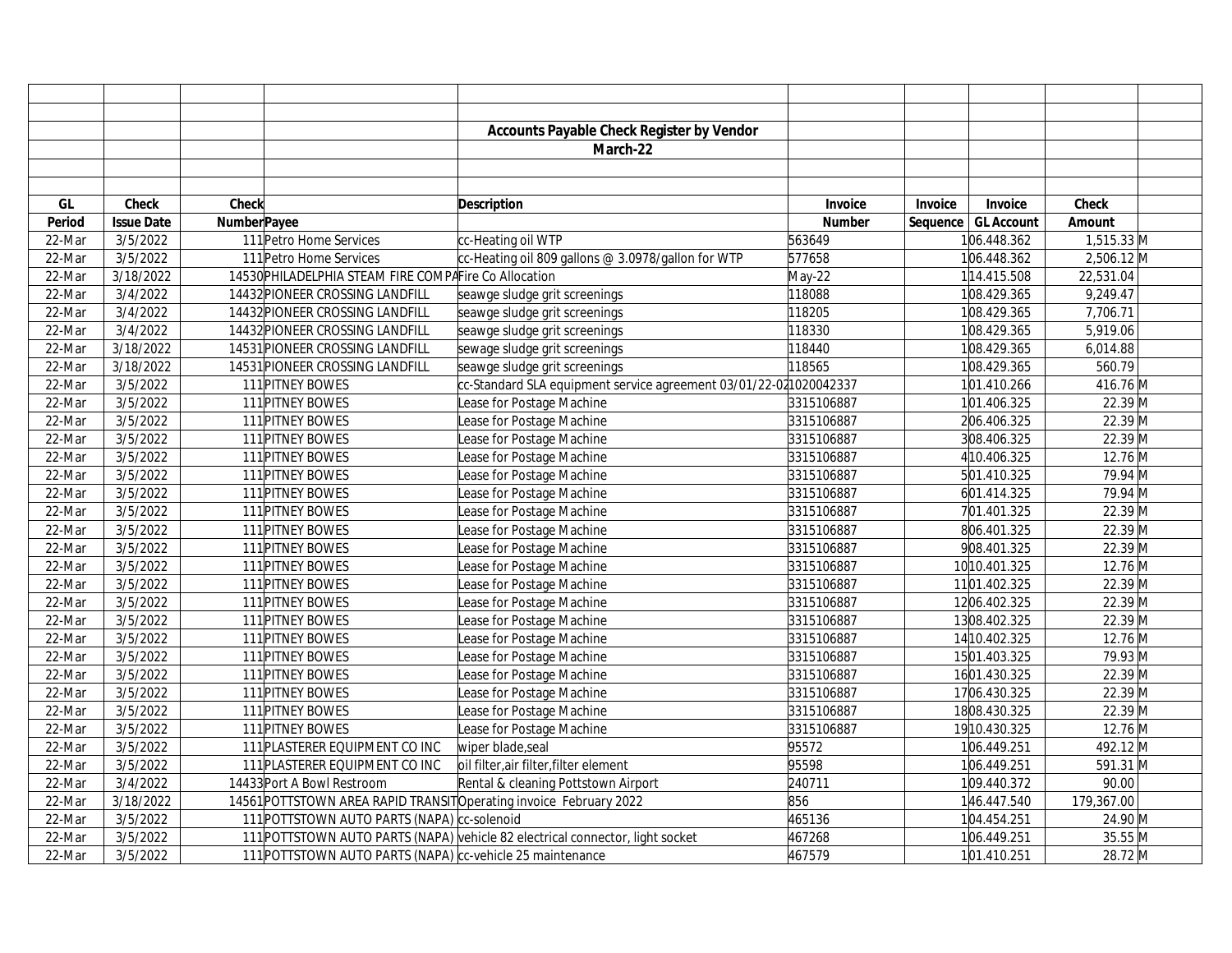|        |                   |              |                                                           | <b>Accounts Payable Check Register by Vendor</b>                              |               |          |               |              |  |
|--------|-------------------|--------------|-----------------------------------------------------------|-------------------------------------------------------------------------------|---------------|----------|---------------|--------------|--|
|        |                   |              |                                                           | March-22                                                                      |               |          |               |              |  |
|        |                   |              |                                                           |                                                                               |               |          |               |              |  |
|        |                   |              |                                                           |                                                                               |               |          |               |              |  |
| GL     | Check             | Check        |                                                           | <b>Description</b>                                                            | Invoice       | Invoice  | Invoice       | <b>Check</b> |  |
| Period | <b>Issue Date</b> | Number Payee |                                                           |                                                                               | <b>Number</b> | Sequence | GL Account    | Amount       |  |
| 22-Mar | 3/5/2022          |              | 111 Petro Home Services                                   | cc-Heating oil WTP                                                            | 563649        |          | 106.448.362   | $1,515.33$ M |  |
| 22-Mar | 3/5/2022          |              | 111 Petro Home Services                                   | cc-Heating oil 809 gallons @ 3.0978/gallon for WTP                            | 577658        |          | 106.448.362   | 2,506.12M    |  |
| 22-Mar | 3/18/2022         |              | 14530 PHILADELPHIA STEAM FIRE COMPAFire Co Allocation     |                                                                               | May-22        |          | 114.415.508   | 22,531.04    |  |
| 22-Mar | 3/4/2022          |              | 14432 PIONEER CROSSING LANDFILL                           | seawge sludge grit screenings                                                 | 118088        |          | 108.429.365   | 9,249.47     |  |
| 22-Mar | 3/4/2022          |              | 14432 PIONEER CROSSING LANDFILL                           | seawge sludge grit screenings                                                 | 118205        |          | 108.429.365   | 7,706.71     |  |
| 22-Mar | 3/4/2022          |              | 14432 PIONEER CROSSING LANDFILL                           | seawge sludge grit screenings                                                 | 118330        |          | 108.429.365   | 5,919.06     |  |
| 22-Mar | 3/18/2022         |              | 14531 PIONEER CROSSING LANDFILL                           | sewage sludge grit screenings                                                 | 118440        |          | 108.429.365   | 6,014.88     |  |
| 22-Mar | 3/18/2022         |              | 14531 PIONEER CROSSING LANDFILL                           | seawge sludge grit screenings                                                 | 118565        |          | 108.429.365   | 560.79       |  |
| 22-Mar | 3/5/2022          |              | 111 PITNEY BOWES                                          | cc-Standard SLA equipment service agreement 03/01/22-041020042337             |               |          | 101.410.266   | 416.76 M     |  |
| 22-Mar | 3/5/2022          |              | 111 PITNEY BOWES                                          | Lease for Postage Machine                                                     | 3315106887    |          | 101.406.325   | 22.39 M      |  |
| 22-Mar | 3/5/2022          |              | 111 PITNEY BOWES                                          | Lease for Postage Machine                                                     | 3315106887    |          | 206.406.325   | 22.39 M      |  |
| 22-Mar | 3/5/2022          |              | 111 PITNEY BOWES                                          | Lease for Postage Machine                                                     | 3315106887    |          | 308.406.325   | 22.39 M      |  |
| 22-Mar | 3/5/2022          |              | 111 PITNEY BOWES                                          | Lease for Postage Machine                                                     | 3315106887    |          | 410.406.325   | 12.76 M      |  |
| 22-Mar | 3/5/2022          |              | 111 PITNEY BOWES                                          | ease for Postage Machine                                                      | 3315106887    |          | 501.410.325   | 79.94 M      |  |
| 22-Mar | 3/5/2022          |              | 111 PITNEY BOWES                                          | ease for Postage Machine                                                      | 3315106887    |          | 601.414.325   | 79.94 M      |  |
| 22-Mar | 3/5/2022          |              | 111 PITNEY BOWES                                          | ease for Postage Machine                                                      | 3315106887    |          | 701.401.325   | 22.39 M      |  |
| 22-Mar | 3/5/2022          |              | 111 PITNEY BOWES                                          | Lease for Postage Machine                                                     | 3315106887    |          | 806.401.325   | 22.39 M      |  |
| 22-Mar | 3/5/2022          |              | 111 PITNEY BOWES                                          | ease for Postage Machine                                                      | 3315106887    |          | 908.401.325   | 22.39 M      |  |
| 22-Mar | 3/5/2022          |              | 111 PITNEY BOWES                                          | Lease for Postage Machine                                                     | 3315106887    |          | 10 10.401.325 | 12.76 M      |  |
| 22-Mar | 3/5/2022          |              | 111 PITNEY BOWES                                          | ease for Postage Machine                                                      | 3315106887    |          | 1101.402.325  | 22.39 M      |  |
| 22-Mar | 3/5/2022          |              | 111 PITNEY BOWES                                          | ease for Postage Machine                                                      | 3315106887    |          | 1206.402.325  | 22.39 M      |  |
| 22-Mar | 3/5/2022          |              | 111 PITNEY BOWES                                          | ease for Postage Machine                                                      | 3315106887    |          | 1308.402.325  | 22.39 M      |  |
| 22-Mar | 3/5/2022          |              | 111 PITNEY BOWES                                          | ease for Postage Machine                                                      | 3315106887    |          | 14 10.402.325 | 12.76 M      |  |
| 22-Mar | 3/5/2022          |              | 111 PITNEY BOWES                                          | Lease for Postage Machine                                                     | 3315106887    |          | 1501.403.325  | 79.93 M      |  |
| 22-Mar | 3/5/2022          |              | 111 PITNEY BOWES                                          | Lease for Postage Machine                                                     | 3315106887    |          | 1601.430.325  | 22.39 M      |  |
| 22-Mar | 3/5/2022          |              | 111 PITNEY BOWES                                          | Lease for Postage Machine                                                     | 3315106887    |          | 1706.430.325  | 22.39 M      |  |
| 22-Mar | 3/5/2022          |              | 111 PITNEY BOWES                                          | Lease for Postage Machine                                                     | 3315106887    |          | 1808.430.325  | 22.39 M      |  |
| 22-Mar | 3/5/2022          |              | 111 PITNEY BOWES                                          | Lease for Postage Machine                                                     | 3315106887    |          | 19 10.430.325 | $12.76$ M    |  |
| 22-Mar | 3/5/2022          |              | 111 PLASTERER EQUIPMENT CO INC                            | wiper blade, seal                                                             | 95572         |          | 106.449.251   | 492.12 M     |  |
| 22-Mar | 3/5/2022          |              | 111 PLASTERER EQUIPMENT CO INC                            | oil filter, air filter, filter element                                        | 95598         |          | 106.449.251   | 591.31 M     |  |
| 22-Mar | 3/4/2022          |              | 14433 Port A Bowl Restroom                                | Rental & cleaning Pottstown Airport                                           | 240711        |          | 109.440.372   | 90.00        |  |
| 22-Mar | 3/18/2022         |              |                                                           | 14561 POTTSTOWN AREA RAPID TRANSITO perating invoice February 2022            | 856           |          | 146.447.540   | 179,367.00   |  |
| 22-Mar | 3/5/2022          |              | 111 POTTSTOWN AUTO PARTS (NAPA) cc-solenoid               |                                                                               | 465136        |          | 104.454.251   | 24.90 M      |  |
| 22-Mar | 3/5/2022          |              |                                                           | 111 POTTSTOWN AUTO PARTS (NAPA) vehicle 82 electrical connector, light socket | 467268        |          | 106.449.251   | 35.55 M      |  |
| 22-Mar | 3/5/2022          |              | 111 POTTSTOWN AUTO PARTS (NAPA) cc-vehicle 25 maintenance |                                                                               | 467579        |          | 101.410.251   | 28.72 M      |  |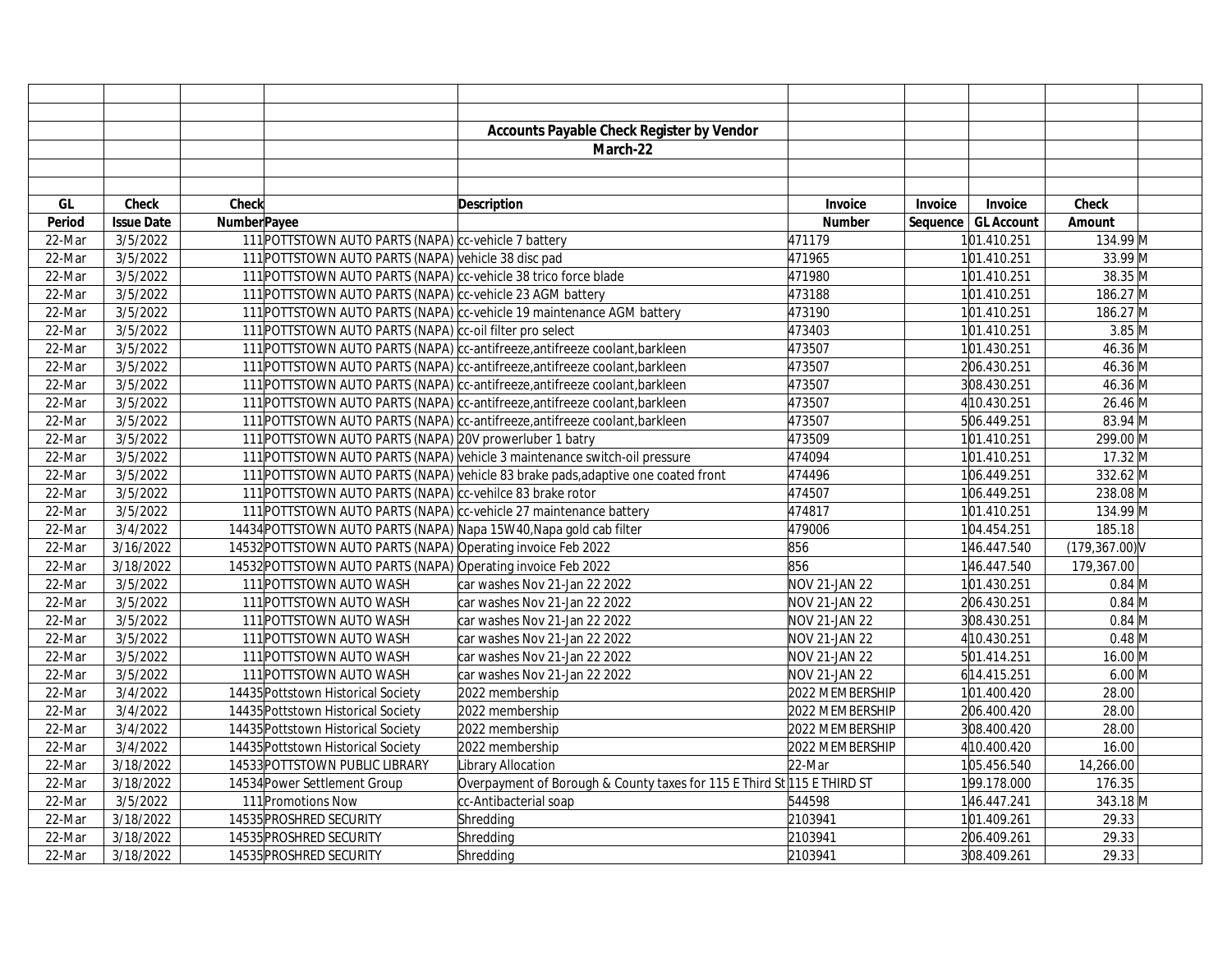|        |                   |                                                                    | <b>Accounts Payable Check Register by Vendor</b>                                 |                      |         |                       |               |  |
|--------|-------------------|--------------------------------------------------------------------|----------------------------------------------------------------------------------|----------------------|---------|-----------------------|---------------|--|
|        |                   |                                                                    | March-22                                                                         |                      |         |                       |               |  |
|        |                   |                                                                    |                                                                                  |                      |         |                       |               |  |
|        |                   |                                                                    |                                                                                  |                      |         |                       |               |  |
| GL     | Check             | Check                                                              | <b>Description</b>                                                               | <b>Invoice</b>       | Invoice | Invoice               | Check         |  |
| Period | <b>Issue Date</b> | Number Payee                                                       |                                                                                  | <b>Number</b>        |         | Sequence   GL Account | Amount        |  |
| 22-Mar | 3/5/2022          | 111 POTTSTOWN AUTO PARTS (NAPA) cc-vehicle 7 battery               |                                                                                  | 471179               |         | 101.410.251           | 134.99 M      |  |
| 22-Mar | 3/5/2022          | 111 POTTSTOWN AUTO PARTS (NAPA) vehicle 38 disc pad                |                                                                                  | 471965               |         | 101.410.251           | 33.99 M       |  |
| 22-Mar | 3/5/2022          | 111 POTTSTOWN AUTO PARTS (NAPA) c-vehicle 38 trico force blade     |                                                                                  | 471980               |         | 101.410.251           | 38.35 M       |  |
| 22-Mar | 3/5/2022          | 111 POTTSTOWN AUTO PARTS (NAPA) cc-vehicle 23 AGM battery          |                                                                                  | 473188               |         | 101.410.251           | 186.27 M      |  |
| 22-Mar | 3/5/2022          |                                                                    | 111 POTTSTOWN AUTO PARTS (NAPA) cc-vehicle 19 maintenance AGM battery            | 473190               |         | 101.410.251           | 186.27 M      |  |
| 22-Mar | 3/5/2022          | 111 POTTSTOWN AUTO PARTS (NAPA) cc-oil filter pro select           |                                                                                  | 473403               |         | 101.410.251           | $3.85$ M      |  |
| 22-Mar | 3/5/2022          |                                                                    | 111 POTTSTOWN AUTO PARTS (NAPA) c-antifreeze, antifreeze coolant, barkleen       | 473507               |         | 101.430.251           | 46.36 M       |  |
| 22-Mar | 3/5/2022          |                                                                    | 111 POTTSTOWN AUTO PARTS (NAPA) c-antifreeze, antifreeze coolant, barkleen       | 473507               |         | 206.430.251           | 46.36 M       |  |
| 22-Mar | 3/5/2022          |                                                                    | 111 POTTSTOWN AUTO PARTS (NAPA) c-antifreeze, antifreeze coolant, barkleen       | 473507               |         | 308.430.251           | 46.36 M       |  |
| 22-Mar | 3/5/2022          |                                                                    | 111 POTTSTOWN AUTO PARTS (NAPA) cc-antifreeze, antifreeze coolant, barkleen      | 473507               |         | 410.430.251           | 26.46 M       |  |
| 22-Mar | 3/5/2022          |                                                                    | 111 POTTSTOWN AUTO PARTS (NAPA) cc-antifreeze, antifreeze coolant, barkleen      | 473507               |         | 506.449.251           | 83.94 M       |  |
| 22-Mar | 3/5/2022          | 111 POTTSTOWN AUTO PARTS (NAPA) 20V prowerluber 1 batry            |                                                                                  | 473509               |         | 101.410.251           | 299.00 M      |  |
| 22-Mar | 3/5/2022          |                                                                    | 111 POTTSTOWN AUTO PARTS (NAPA) vehicle 3 maintenance switch-oil pressure        | 474094               |         | 101.410.251           | 17.32 M       |  |
| 22-Mar | 3/5/2022          |                                                                    | 111 POTTSTOWN AUTO PARTS (NAPA) vehicle 83 brake pads, adaptive one coated front | 474496               |         | 106.449.251           | 332.62 M      |  |
| 22-Mar | 3/5/2022          | 111 POTTSTOWN AUTO PARTS (NAPA) cc-vehilce 83 brake rotor          |                                                                                  | 474507               |         | 106.449.251           | 238.08 M      |  |
| 22-Mar | 3/5/2022          | 111 POTTSTOWN AUTO PARTS (NAPA) cc-vehicle 27 maintenance battery  |                                                                                  | 474817               |         | 101.410.251           | 134.99 M      |  |
| 22-Mar | 3/4/2022          | 14434 POTTSTOWN AUTO PARTS (NAPA) Napa 15W40, Napa gold cab filter |                                                                                  | 479006               |         | 104.454.251           | 185.18        |  |
| 22-Mar | 3/16/2022         | 14532 POTTSTOWN AUTO PARTS (NAPA) Operating invoice Feb 2022       |                                                                                  | 856                  |         | 146.447.540           | (179, 367.00) |  |
| 22-Mar | 3/18/2022         | 14532 POTTSTOWN AUTO PARTS (NAPA) Operating invoice Feb 2022       |                                                                                  | 856                  |         | 146.447.540           | 179,367.00    |  |
| 22-Mar | 3/5/2022          | 111 POTTSTOWN AUTO WASH                                            | car washes Nov 21-Jan 22 2022                                                    | <b>NOV 21-JAN 22</b> |         | 101.430.251           | $0.84$ M      |  |
| 22-Mar | 3/5/2022          | 111 POTTSTOWN AUTO WASH                                            | car washes Nov 21-Jan 22 2022                                                    | <b>NOV 21-JAN 22</b> |         | 206.430.251           | $0.84$ M      |  |
| 22-Mar | 3/5/2022          | 111 POTTSTOWN AUTO WASH                                            | car washes Nov 21-Jan 22 2022                                                    | <b>NOV 21-JAN 22</b> |         | 308.430.251           | $0.84$ M      |  |
| 22-Mar | 3/5/2022          | 111 POTTSTOWN AUTO WASH                                            | car washes Nov 21-Jan 22 2022                                                    | <b>NOV 21-JAN 22</b> |         | 410.430.251           | $0.48$ M      |  |
| 22-Mar | 3/5/2022          | 111 POTTSTOWN AUTO WASH                                            | car washes Nov 21-Jan 22 2022                                                    | <b>NOV 21-JAN 22</b> |         | 501.414.251           | 16.00 M       |  |
| 22-Mar | 3/5/2022          | 111 POTTSTOWN AUTO WASH                                            | car washes Nov 21-Jan 22 2022                                                    | <b>NOV 21-JAN 22</b> |         | 614.415.251           | $6.00$ M      |  |
| 22-Mar | 3/4/2022          | 14435 Pottstown Historical Society                                 | 2022 membership                                                                  | 2022 MEMBERSHIP      |         | 101.400.420           | 28.00         |  |
| 22-Mar | 3/4/2022          | 14435 Pottstown Historical Society                                 | 2022 membership                                                                  | 2022 MEMBERSHIP      |         | 206.400.420           | 28.00         |  |
| 22-Mar | 3/4/2022          | 14435 Pottstown Historical Society                                 | 2022 membership                                                                  | 2022 MEMBERSHIP      |         | 308.400.420           | 28.00         |  |
| 22-Mar | 3/4/2022          | 14435 Pottstown Historical Society                                 | 2022 membership                                                                  | 2022 MEMBERSHIP      |         | 410.400.420           | 16.00         |  |
| 22-Mar | 3/18/2022         | 14533 POTTSTOWN PUBLIC LIBRARY                                     | Library Allocation                                                               | 22-Mar               |         | 105.456.540           | 14,266.00     |  |
| 22-Mar | 3/18/2022         | 14534 Power Settlement Group                                       | Overpayment of Borough & County taxes for 115 E Third St 15 E THIRD ST           |                      |         | 199.178.000           | 176.35        |  |
| 22-Mar | 3/5/2022          | 111 Promotions Now                                                 | cc-Antibacterial soap                                                            | 544598               |         | 146.447.241           | 343.18 M      |  |
| 22-Mar | 3/18/2022         | 14535 PROSHRED SECURITY                                            | Shredding                                                                        | 2103941              |         | 101.409.261           | 29.33         |  |
| 22-Mar | 3/18/2022         | 14535 PROSHRED SECURITY                                            | Shredding                                                                        | 2103941              |         | 206.409.261           | 29.33         |  |
| 22-Mar | 3/18/2022         | 14535 PROSHRED SECURITY                                            | Shredding                                                                        | 2103941              |         | 308.409.261           | 29.33         |  |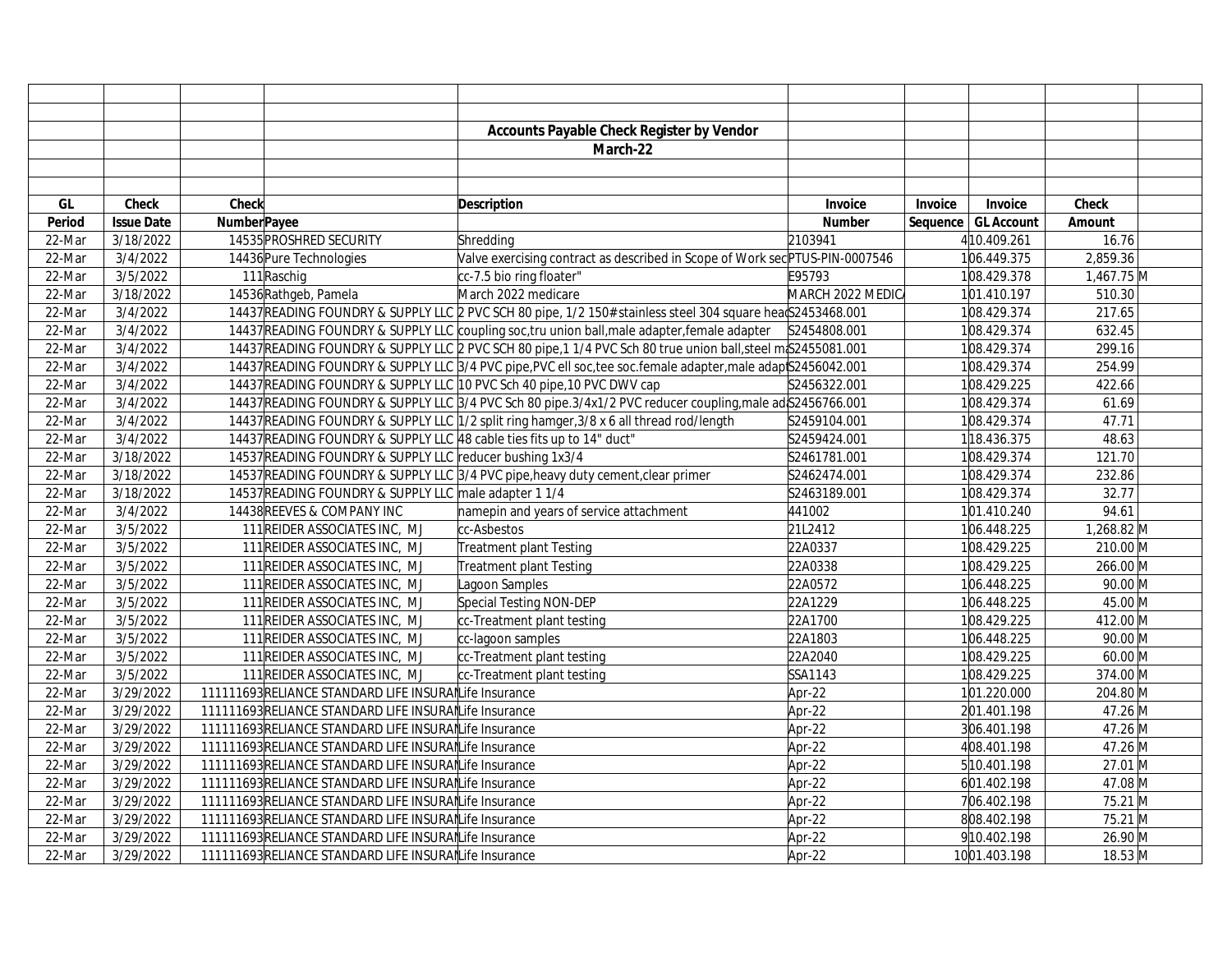|        |                   |                    |                                                                       | <b>Accounts Payable Check Register by Vendor</b>                                                               |                  |         |                       |                     |
|--------|-------------------|--------------------|-----------------------------------------------------------------------|----------------------------------------------------------------------------------------------------------------|------------------|---------|-----------------------|---------------------|
|        |                   |                    |                                                                       | March-22                                                                                                       |                  |         |                       |                     |
|        |                   |                    |                                                                       |                                                                                                                |                  |         |                       |                     |
|        |                   |                    |                                                                       |                                                                                                                |                  |         |                       |                     |
| GL     | Check             | Check              |                                                                       | <b>Description</b>                                                                                             | Invoice          | Invoice | Invoice               | Check               |
| Period | <b>Issue Date</b> | <b>NumberPayee</b> |                                                                       |                                                                                                                | <b>Number</b>    |         | Sequence   GL Account | Amount              |
| 22-Mar | 3/18/2022         |                    | 14535 PROSHRED SECURITY                                               | Shredding                                                                                                      | 2103941          |         | 410.409.261           | 16.76               |
| 22-Mar | 3/4/2022          |                    | 14436 Pure Technologies                                               | Valve exercising contract as described in Scope of Work sec PTUS-PIN-0007546                                   |                  |         | 106.449.375           | 2,859.36            |
| 22-Mar | 3/5/2022          |                    | 111 Raschig                                                           | cc-7.5 bio ring floater"                                                                                       | E95793           |         | 108.429.378           | 1,467.75 M          |
| 22-Mar | 3/18/2022         |                    | 14536 Rathgeb, Pamela                                                 | March 2022 medicare                                                                                            | MARCH 2022 MEDIC |         | 101.410.197           | 510.30              |
| 22-Mar | 3/4/2022          |                    |                                                                       | 14437 READING FOUNDRY & SUPPLY LLC 2 PVC SCH 80 pipe, 1/2 150# stainless steel 304 square head \$2453468.001   |                  |         | 108.429.374           | 217.65              |
| 22-Mar | 3/4/2022          |                    |                                                                       | 14437READING FOUNDRY & SUPPLY LLC coupling soc, tru union ball, male adapter, female adapter                   | S2454808.001     |         | 108.429.374           | 632.45              |
| 22-Mar | 3/4/2022          |                    |                                                                       | 14437 READING FOUNDRY & SUPPLY LLC 2 PVC SCH 80 pipe, 1 1/4 PVC Sch 80 true union ball, steel m \$2455081.001  |                  |         | 108.429.374           | 299.16              |
| 22-Mar | 3/4/2022          |                    |                                                                       | 14437 READING FOUNDRY & SUPPLY LLC 3/4 PVC pipe, PVC ell soc, tee soc. female adapter, male adap \$2456042.001 |                  |         | 108.429.374           | 254.99              |
| 22-Mar | 3/4/2022          |                    |                                                                       | 14437 READING FOUNDRY & SUPPLY LLC 10 PVC Sch 40 pipe, 10 PVC DWV cap                                          | S2456322.001     |         | 108.429.225           | 422.66              |
| 22-Mar | 3/4/2022          |                    |                                                                       | 14437 READING FOUNDRY & SUPPLY LLC 3/4 PVC Sch 80 pipe.3/4x1/2 PVC reducer coupling, male ad \$2456766.001     |                  |         | 108.429.374           | 61.69               |
| 22-Mar | 3/4/2022          |                    |                                                                       | 14437 READING FOUNDRY & SUPPLY LLC 1/2 split ring hamger, 3/8 x 6 all thread rod/length                        | S2459104.001     |         | 108.429.374           | 47.71               |
| 22-Mar | 3/4/2022          |                    | 14437 READING FOUNDRY & SUPPLY LLC 48 cable ties fits up to 14" duct" |                                                                                                                | S2459424.001     |         | 118.436.375           | 48.63               |
| 22-Mar | 3/18/2022         |                    | 14537 READING FOUNDRY & SUPPLY LLC reducer bushing 1x3/4              |                                                                                                                | S2461781.001     |         | 108.429.374           | 121.70              |
| 22-Mar | 3/18/2022         |                    |                                                                       | 14537 READING FOUNDRY & SUPPLY LLC 3/4 PVC pipe, heavy duty cement, clear primer                               | S2462474.001     |         | 108.429.374           | 232.86              |
| 22-Mar | 3/18/2022         |                    | 14537 READING FOUNDRY & SUPPLY LLC male adapter 1 1/4                 |                                                                                                                | S2463189.001     |         | 108.429.374           | 32.77               |
| 22-Mar | 3/4/2022          |                    | 14438 REEVES & COMPANY INC                                            | namepin and years of service attachment                                                                        | 441002           |         | 101.410.240           | 94.61               |
| 22-Mar | 3/5/2022          |                    | 111 REIDER ASSOCIATES INC, MJ                                         | cc-Asbestos                                                                                                    | 21L2412          |         | 106.448.225           | 1,268.82 M          |
| 22-Mar | 3/5/2022          |                    | 111 REIDER ASSOCIATES INC. MJ                                         | Treatment plant Testing                                                                                        | 22A0337          |         | 108.429.225           | 210.00 M            |
| 22-Mar | 3/5/2022          |                    | 111 REIDER ASSOCIATES INC. MJ                                         | Treatment plant Testing                                                                                        | 22A0338          |         | 108.429.225           | 266.00 M            |
| 22-Mar | 3/5/2022          |                    | 111 REIDER ASSOCIATES INC. MJ                                         | Lagoon Samples                                                                                                 | 22A0572          |         | 106.448.225           | $90.00 \, \text{M}$ |
| 22-Mar | 3/5/2022          |                    | 111 REIDER ASSOCIATES INC, MJ                                         | Special Testing NON-DEP                                                                                        | 22A1229          |         | 106.448.225           | 45.00 M             |
| 22-Mar | 3/5/2022          |                    | 111 REIDER ASSOCIATES INC, MJ                                         | cc-Treatment plant testing                                                                                     | 22A1700          |         | 108.429.225           | 412.00 M            |
| 22-Mar | 3/5/2022          |                    | 111 REIDER ASSOCIATES INC, MJ                                         | cc-lagoon samples                                                                                              | 22A1803          |         | 106.448.225           | 90.00 M             |
| 22-Mar | 3/5/2022          |                    | 111 REIDER ASSOCIATES INC. MJ                                         | cc-Treatment plant testing                                                                                     | 22A2040          |         | 108.429.225           | $60.00$ M           |
| 22-Mar | 3/5/2022          |                    | 111 REIDER ASSOCIATES INC, MJ                                         | cc-Treatment plant testing                                                                                     | SSA1143          |         | 108.429.225           | 374.00 M            |
| 22-Mar | 3/29/2022         |                    | 111111693RELIANCE STANDARD LIFE INSURAILife Insurance                 |                                                                                                                | Apr-22           |         | 101.220.000           | 204.80 M            |
| 22-Mar | 3/29/2022         |                    | 111111693RELIANCE STANDARD LIFE INSURAILife Insurance                 |                                                                                                                | Apr-22           |         | 201.401.198           | 47.26 M             |
| 22-Mar | 3/29/2022         |                    | 111111693RELIANCE STANDARD LIFE INSURAILife Insurance                 |                                                                                                                | Apr-22           |         | 306.401.198           | 47.26 M             |
| 22-Mar | 3/29/2022         |                    | 111111693RELIANCE STANDARD LIFE INSURAILife Insurance                 |                                                                                                                | Apr-22           |         | 408.401.198           | 47.26 M             |
| 22-Mar | 3/29/2022         |                    | 111111693RELIANCE STANDARD LIFE INSURAILife Insurance                 |                                                                                                                | Apr-22           |         | 510.401.198           | 27.01 M             |
| 22-Mar | 3/29/2022         |                    | 111111693RELIANCE STANDARD LIFE INSURAILife Insurance                 |                                                                                                                | Apr-22           |         | 601.402.198           | 47.08 M             |
| 22-Mar | 3/29/2022         |                    | 111111693RELIANCE STANDARD LIFE INSURAILife Insurance                 |                                                                                                                | Apr-22           |         | 706.402.198           | 75.21 M             |
| 22-Mar | 3/29/2022         |                    | 111111693RELIANCE STANDARD LIFE INSURAILife Insurance                 |                                                                                                                | Apr-22           |         | 808.402.198           | 75.21 M             |
| 22-Mar | 3/29/2022         |                    | 111111693RELIANCE STANDARD LIFE INSURALIfe Insurance                  |                                                                                                                | Apr-22           |         | 910.402.198           | 26.90 M             |
| 22-Mar | 3/29/2022         |                    | 111111693RELIANCE STANDARD LIFE INSURAILife Insurance                 |                                                                                                                | Apr-22           |         | 1001.403.198          | $18.53$ M           |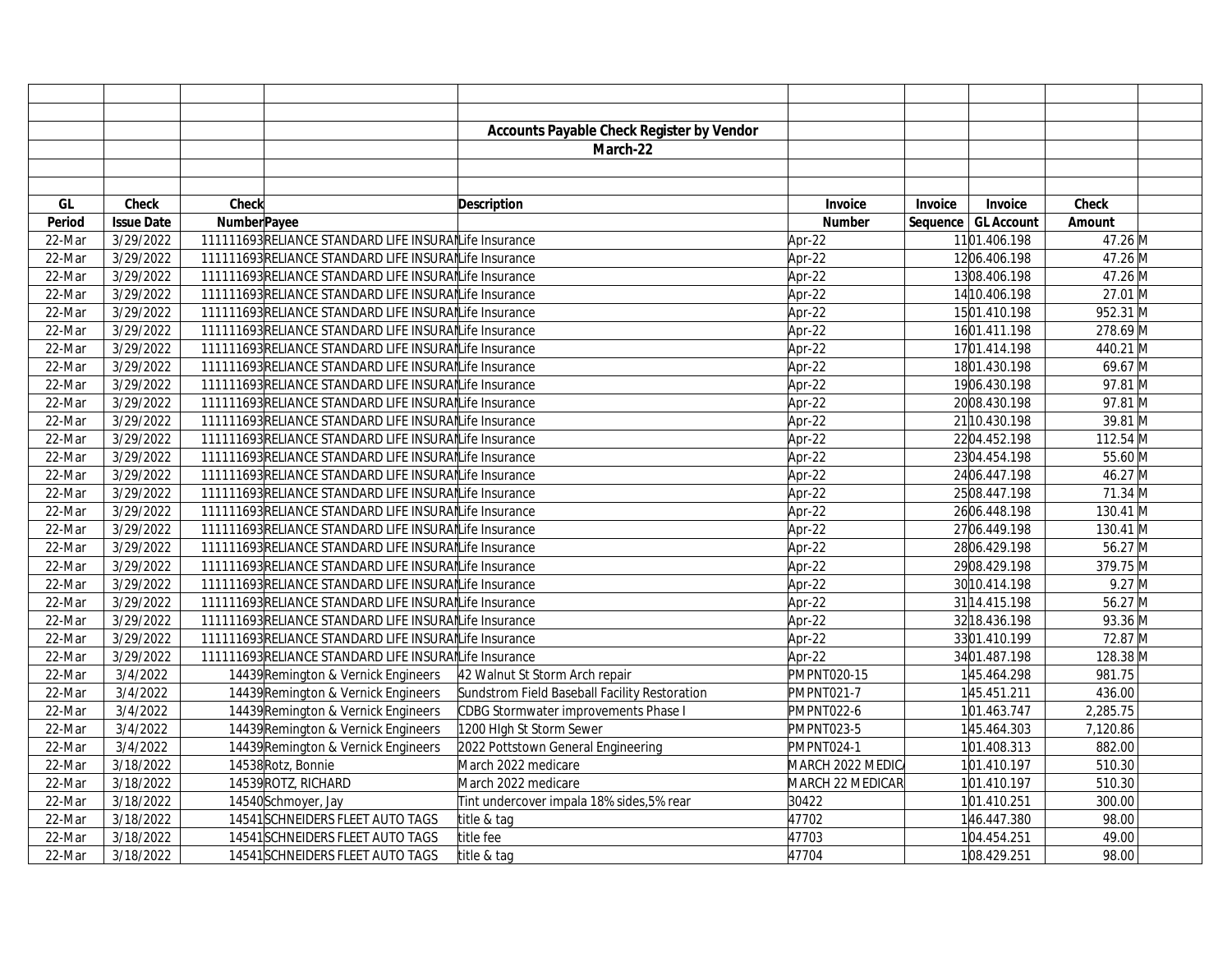|        |                   |                     |                                                       | <b>Accounts Payable Check Register by Vendor</b> |                  |         |                     |          |  |
|--------|-------------------|---------------------|-------------------------------------------------------|--------------------------------------------------|------------------|---------|---------------------|----------|--|
|        |                   |                     |                                                       | March-22                                         |                  |         |                     |          |  |
|        |                   |                     |                                                       |                                                  |                  |         |                     |          |  |
|        |                   |                     |                                                       |                                                  |                  |         |                     |          |  |
| GL     | Check             | <b>Check</b>        |                                                       | <b>Description</b>                               | Invoice          | Invoice | Invoice             | Check    |  |
| Period | <b>Issue Date</b> | <b>Number</b> Payee |                                                       |                                                  | <b>Number</b>    |         | Sequence GL Account | Amount   |  |
| 22-Mar | 3/29/2022         |                     | 111111693RELIANCE STANDARD LIFE INSURAILIfe Insurance |                                                  | Apr-22           |         | 1101.406.198        | 47.26 M  |  |
| 22-Mar | 3/29/2022         |                     | 111111693RELIANCE STANDARD LIFE INSURAILife Insurance |                                                  | Apr-22           |         | 1206.406.198        | 47.26 M  |  |
| 22-Mar | 3/29/2022         |                     | 111111693RELIANCE STANDARD LIFE INSURAILife Insurance |                                                  | Apr-22           |         | 1308.406.198        | 47.26 M  |  |
| 22-Mar | 3/29/2022         |                     | 111111693RELIANCE STANDARD LIFE INSURAILife Insurance |                                                  | Apr-22           |         | 14 10.406.198       | 27.01 M  |  |
| 22-Mar | 3/29/2022         |                     | 111111693RELIANCE STANDARD LIFE INSURAILIfe Insurance |                                                  | Apr-22           |         | 1501.410.198        | 952.31 M |  |
| 22-Mar | 3/29/2022         |                     | 111111693RELIANCE STANDARD LIFE INSURAILife Insurance |                                                  | Apr-22           |         | 1601.411.198        | 278.69 M |  |
| 22-Mar | 3/29/2022         |                     | 111111693RELIANCE STANDARD LIFE INSURAILife Insurance |                                                  | Apr-22           |         | 1701.414.198        | 440.21 M |  |
| 22-Mar | 3/29/2022         |                     | 111111693RELIANCE STANDARD LIFE INSURAILife Insurance |                                                  | Apr-22           |         | 1801.430.198        | 69.67 M  |  |
| 22-Mar | 3/29/2022         |                     | 111111693RELIANCE STANDARD LIFE INSURAILife Insurance |                                                  | Apr-22           |         | 1906.430.198        | 97.81 M  |  |
| 22-Mar | 3/29/2022         |                     | 111111693RELIANCE STANDARD LIFE INSURAILife Insurance |                                                  | Apr-22           |         | 2008.430.198        | 97.81 M  |  |
| 22-Mar | 3/29/2022         |                     | 111111693RELIANCE STANDARD LIFE INSURAILife Insurance |                                                  | Apr-22           |         | 21 10.430.198       | 39.81 M  |  |
| 22-Mar | 3/29/2022         |                     | 111111693RELIANCE STANDARD LIFE INSURAILife Insurance |                                                  | Apr-22           |         | 2204.452.198        | 112.54 M |  |
| 22-Mar | 3/29/2022         |                     | 111111693RELIANCE STANDARD LIFE INSURAILife Insurance |                                                  | Apr-22           |         | 2304.454.198        | 55.60 M  |  |
| 22-Mar | 3/29/2022         |                     | 111111693RELIANCE STANDARD LIFE INSURAILife Insurance |                                                  | Apr-22           |         | 2406.447.198        | 46.27 M  |  |
| 22-Mar | 3/29/2022         |                     | 111111693RELIANCE STANDARD LIFE INSURAILife Insurance |                                                  | Apr-22           |         | 2508.447.198        | 71.34 M  |  |
| 22-Mar | 3/29/2022         |                     | 111111693RELIANCE STANDARD LIFE INSURAILife Insurance |                                                  | Apr-22           |         | 2606.448.198        | 130.41 M |  |
| 22-Mar | 3/29/2022         |                     | 111111693RELIANCE STANDARD LIFE INSURAILife Insurance |                                                  | Apr-22           |         | 2706.449.198        | 130.41 M |  |
| 22-Mar | 3/29/2022         |                     | 111111693RELIANCE STANDARD LIFE INSURANLife Insurance |                                                  | Apr-22           |         | 2806.429.198        | 56.27 M  |  |
| 22-Mar | 3/29/2022         |                     | 111111693RELIANCE STANDARD LIFE INSURANLife Insurance |                                                  | Apr-22           |         | 2908.429.198        | 379.75 M |  |
| 22-Mar | 3/29/2022         |                     | 111111693RELIANCE STANDARD LIFE INSURANLife Insurance |                                                  | Apr-22           |         | 30 10.414.198       | $9.27$ M |  |
| 22-Mar | 3/29/2022         |                     | 111111693RELIANCE STANDARD LIFE INSURAILife Insurance |                                                  | Apr-22           |         | 31 14.415.198       | 56.27 M  |  |
| 22-Mar | 3/29/2022         |                     | 111111693RELIANCE STANDARD LIFE INSURAILife Insurance |                                                  | Apr-22           |         | 32 18.436.198       | 93.36 M  |  |
| 22-Mar | 3/29/2022         |                     | 111111693RELIANCE STANDARD LIFE INSURAILife Insurance |                                                  | Apr-22           |         | 3301.410.199        | 72.87 M  |  |
| 22-Mar | 3/29/2022         |                     | 111111693RELIANCE STANDARD LIFE INSURAILife Insurance |                                                  | Apr-22           |         | 3401.487.198        | 128.38 M |  |
| 22-Mar | 3/4/2022          |                     | 14439 Remington & Vernick Engineers                   | 42 Walnut St Storm Arch repair                   | PMPNT020-15      |         | 145.464.298         | 981.75   |  |
| 22-Mar | 3/4/2022          |                     | 14439 Remington & Vernick Engineers                   | Sundstrom Field Baseball Facility Restoration    | PMPNT021-7       |         | 145.451.211         | 436.00   |  |
| 22-Mar | 3/4/2022          |                     | 14439 Remington & Vernick Engineers                   | CDBG Stormwater improvements Phase I             | PMPNT022-6       |         | 101.463.747         | 2,285.75 |  |
| 22-Mar | 3/4/2022          |                     | 14439 Remington & Vernick Engineers                   | 1200 High St Storm Sewer                         | PMPNT023-5       |         | 145.464.303         | 7,120.86 |  |
| 22-Mar | 3/4/2022          |                     | 14439 Remington & Vernick Engineers                   | 2022 Pottstown General Engineering               | PMPNT024-1       |         | 101.408.313         | 882.00   |  |
| 22-Mar | 3/18/2022         |                     | 14538 Rotz, Bonnie                                    | March 2022 medicare                              | MARCH 2022 MEDIC |         | 101.410.197         | 510.30   |  |
| 22-Mar | 3/18/2022         |                     | 14539ROTZ, RICHARD                                    | March 2022 medicare                              | MARCH 22 MEDICAR |         | 101.410.197         | 510.30   |  |
| 22-Mar | 3/18/2022         |                     | 14540Schmoyer, Jay                                    | Tint undercover impala 18% sides, 5% rear        | 30422            |         | 101.410.251         | 300.00   |  |
| 22-Mar | 3/18/2022         |                     | 14541 SCHNEIDERS FLEET AUTO TAGS                      | title & tag                                      | 47702            |         | 146.447.380         | 98.00    |  |
| 22-Mar | 3/18/2022         |                     | 14541 SCHNEIDERS FLEET AUTO TAGS                      | title fee                                        | 47703            |         | 104.454.251         | 49.00    |  |
| 22-Mar | 3/18/2022         |                     | 14541 SCHNEIDERS FLEET AUTO TAGS                      | title & tag                                      | 47704            |         | 108.429.251         | 98.00    |  |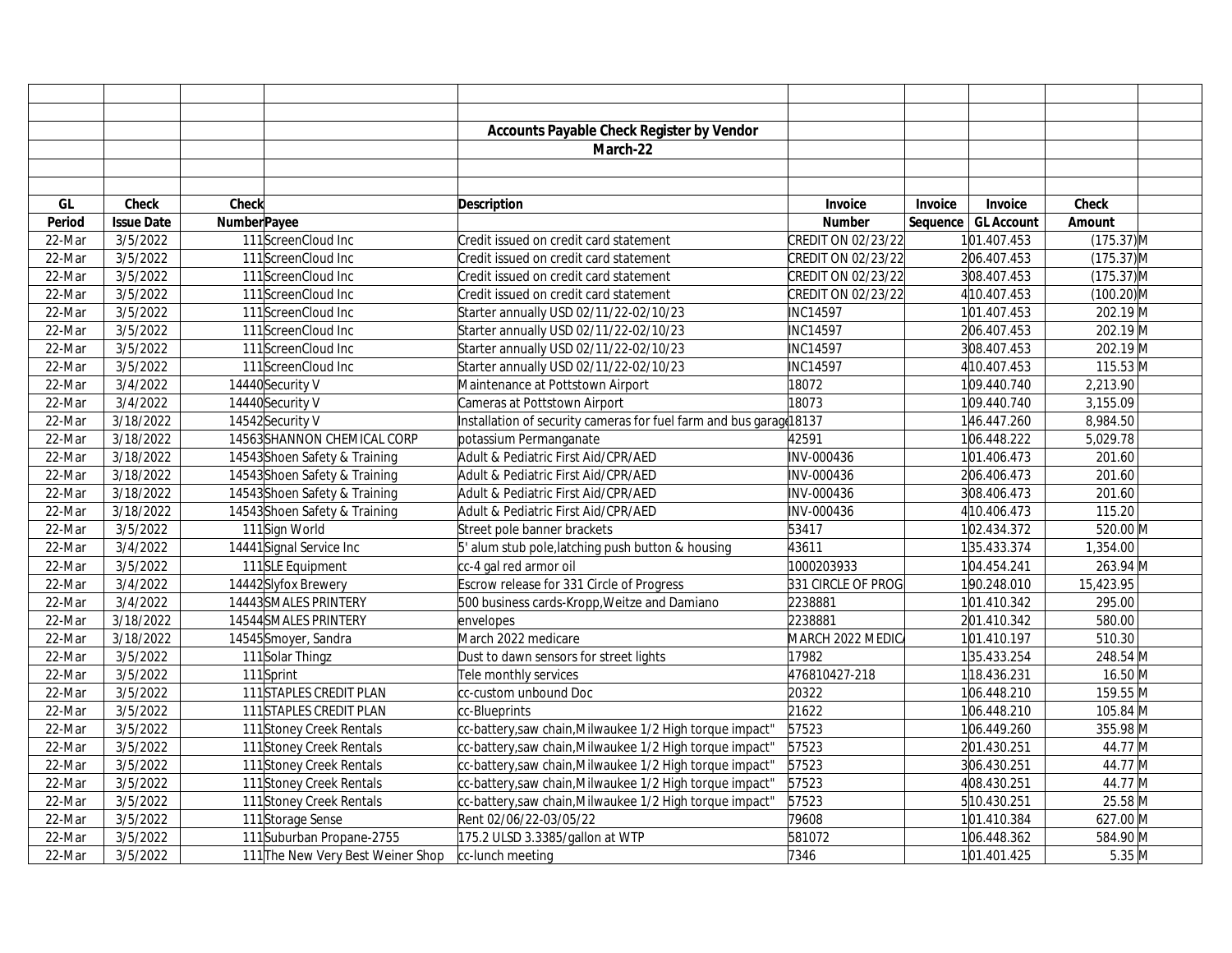|        |                   |                  |                                   | <b>Accounts Payable Check Register by Vendor</b>                   |                           |                |                       |              |  |
|--------|-------------------|------------------|-----------------------------------|--------------------------------------------------------------------|---------------------------|----------------|-----------------------|--------------|--|
|        |                   |                  |                                   | March-22                                                           |                           |                |                       |              |  |
|        |                   |                  |                                   |                                                                    |                           |                |                       |              |  |
|        |                   |                  |                                   |                                                                    |                           |                |                       |              |  |
| GL     | Check             | Check            |                                   | <b>Description</b>                                                 | <b>Invoice</b>            | <b>Invoice</b> | <b>Invoice</b>        | <b>Check</b> |  |
| Period | <b>Issue Date</b> | Number Payee     |                                   |                                                                    | Number                    |                | Sequence   GL Account | Amount       |  |
| 22-Mar | 3/5/2022          |                  | 111ScreenCloud Inc                | Credit issued on credit card statement                             | CREDIT ON 02/23/22        |                | 101.407.453           | $(175.37)$ M |  |
| 22-Mar | 3/5/2022          |                  | 111 ScreenCloud Inc               | Credit issued on credit card statement                             | <b>CREDIT ON 02/23/22</b> |                | 206.407.453           | $(175.37)$ M |  |
| 22-Mar | 3/5/2022          |                  | 111ScreenCloud Inc                | Credit issued on credit card statement                             | <b>CREDIT ON 02/23/22</b> |                | 308.407.453           | $(175.37)$ M |  |
| 22-Mar | 3/5/2022          |                  | 111ScreenCloud Inc                | Credit issued on credit card statement                             | CREDIT ON 02/23/22        |                | 410.407.453           | $(100.20)$ M |  |
| 22-Mar | 3/5/2022          |                  | 111ScreenCloud Inc                | Starter annually USD 02/11/22-02/10/23                             | <b>INC14597</b>           |                | 101.407.453           | 202.19 M     |  |
| 22-Mar | 3/5/2022          |                  | 111ScreenCloud Inc                | Starter annually USD 02/11/22-02/10/23                             | <b>INC14597</b>           |                | 206.407.453           | 202.19 M     |  |
| 22-Mar | 3/5/2022          |                  | 111ScreenCloud Inc                | Starter annually USD 02/11/22-02/10/23                             | <b>INC14597</b>           |                | 308.407.453           | 202.19 M     |  |
| 22-Mar | 3/5/2022          |                  | 111ScreenCloud Inc                | Starter annually USD 02/11/22-02/10/23                             | <b>INC14597</b>           |                | 410.407.453           | 115.53 M     |  |
| 22-Mar | 3/4/2022          | 14440 Security V |                                   | Maintenance at Pottstown Airport                                   | 18072                     |                | 109.440.740           | 2,213.90     |  |
| 22-Mar | 3/4/2022          | 14440 Security V |                                   | Cameras at Pottstown Airport                                       | 18073                     |                | 109.440.740           | 3,155.09     |  |
| 22-Mar | 3/18/2022         | 14542Security V  |                                   | Installation of security cameras for fuel farm and bus garag(18137 |                           |                | 146.447.260           | 8,984.50     |  |
| 22-Mar | 3/18/2022         |                  | 14563SHANNON CHEMICAL CORP        | potassium Permanganate                                             | 42591                     |                | 106.448.222           | 5,029.78     |  |
| 22-Mar | 3/18/2022         |                  | 14543 Shoen Safety & Training     | Adult & Pediatric First Aid/CPR/AED                                | INV-000436                |                | 101.406.473           | 201.60       |  |
| 22-Mar | 3/18/2022         |                  | 14543 Shoen Safety & Training     | Adult & Pediatric First Aid/CPR/AED                                | INV-000436                |                | 206.406.473           | 201.60       |  |
| 22-Mar | 3/18/2022         |                  | 14543 Shoen Safety & Training     | Adult & Pediatric First Aid/CPR/AED                                | INV-000436                |                | 308.406.473           | 201.60       |  |
| 22-Mar | 3/18/2022         |                  | 14543 Shoen Safety & Training     | Adult & Pediatric First Aid/CPR/AED                                | INV-000436                |                | 410.406.473           | 115.20       |  |
| 22-Mar | 3/5/2022          |                  | 111Sign World                     | Street pole banner brackets                                        | 53417                     |                | 102.434.372           | 520.00 M     |  |
| 22-Mar | 3/4/2022          |                  | 14441Signal Service Inc           | 5' alum stub pole, latching push button & housing                  | 43611                     |                | 135.433.374           | 1,354.00     |  |
| 22-Mar | 3/5/2022          |                  | 111SLE Equipment                  | cc-4 gal red armor oil                                             | 1000203933                |                | 104.454.241           | 263.94 M     |  |
| 22-Mar | 3/4/2022          |                  | 14442Slyfox Brewery               | Escrow release for 331 Circle of Progress                          | 331 CIRCLE OF PROG        |                | 190.248.010           | 15,423.95    |  |
| 22-Mar | 3/4/2022          |                  | 14443 SMALES PRINTERY             | 500 business cards-Kropp, Weitze and Damiano                       | 2238881                   |                | 101.410.342           | 295.00       |  |
| 22-Mar | 3/18/2022         |                  | 14544 SMALES PRINTERY             | envelopes                                                          | 2238881                   |                | 201.410.342           | 580.00       |  |
| 22-Mar | 3/18/2022         |                  | 14545Smoyer, Sandra               | March 2022 medicare                                                | MARCH 2022 MEDIC          |                | 101.410.197           | 510.30       |  |
| 22-Mar | 3/5/2022          |                  | 111Solar Thingz                   | Dust to dawn sensors for street lights                             | 17982                     |                | 135.433.254           | 248.54 M     |  |
| 22-Mar | 3/5/2022          | 111Sprint        |                                   | Tele monthly services                                              | 476810427-218             |                | 118.436.231           | $16.50$ M    |  |
| 22-Mar | 3/5/2022          |                  | 111STAPLES CREDIT PLAN            | cc-custom unbound Doc                                              | 20322                     |                | 106.448.210           | 159.55 M     |  |
| 22-Mar | 3/5/2022          |                  | 111STAPLES CREDIT PLAN            | cc-Blueprints                                                      | 21622                     |                | 106.448.210           | 105.84 M     |  |
| 22-Mar | 3/5/2022          |                  | 111Stoney Creek Rentals           | cc-battery,saw chain,Milwaukee 1/2 High torque impact"             | 57523                     |                | 106.449.260           | 355.98 M     |  |
| 22-Mar | 3/5/2022          |                  | 111Stoney Creek Rentals           | cc-battery,saw chain,Milwaukee 1/2 High torque impact"             | 57523                     |                | 201.430.251           | 44.77 M      |  |
| 22-Mar | 3/5/2022          |                  | 111Stoney Creek Rentals           | cc-battery,saw chain,Milwaukee 1/2 High torque impact"             | 57523                     |                | 306.430.251           | 44.77 M      |  |
| 22-Mar | 3/5/2022          |                  | 111Stoney Creek Rentals           | cc-battery,saw chain,Milwaukee 1/2 High torque impact"             | 57523                     |                | 408.430.251           | 44.77 M      |  |
| 22-Mar | 3/5/2022          |                  | 111Stoney Creek Rentals           | cc-battery,saw chain,Milwaukee 1/2 High torque impact"             | 57523                     |                | 510.430.251           | 25.58 M      |  |
| 22-Mar | 3/5/2022          |                  | 111Storage Sense                  | Rent 02/06/22-03/05/22                                             | 79608                     |                | 101.410.384           | 627.00 M     |  |
| 22-Mar | 3/5/2022          |                  | 111Suburban Propane-2755          | 175.2 ULSD 3.3385/gallon at WTP                                    | 581072                    |                | 106.448.362           | 584.90 M     |  |
| 22-Mar | 3/5/2022          |                  | 111 The New Very Best Weiner Shop | cc-lunch meeting                                                   | 7346                      |                | 101.401.425           | $5.35$ M     |  |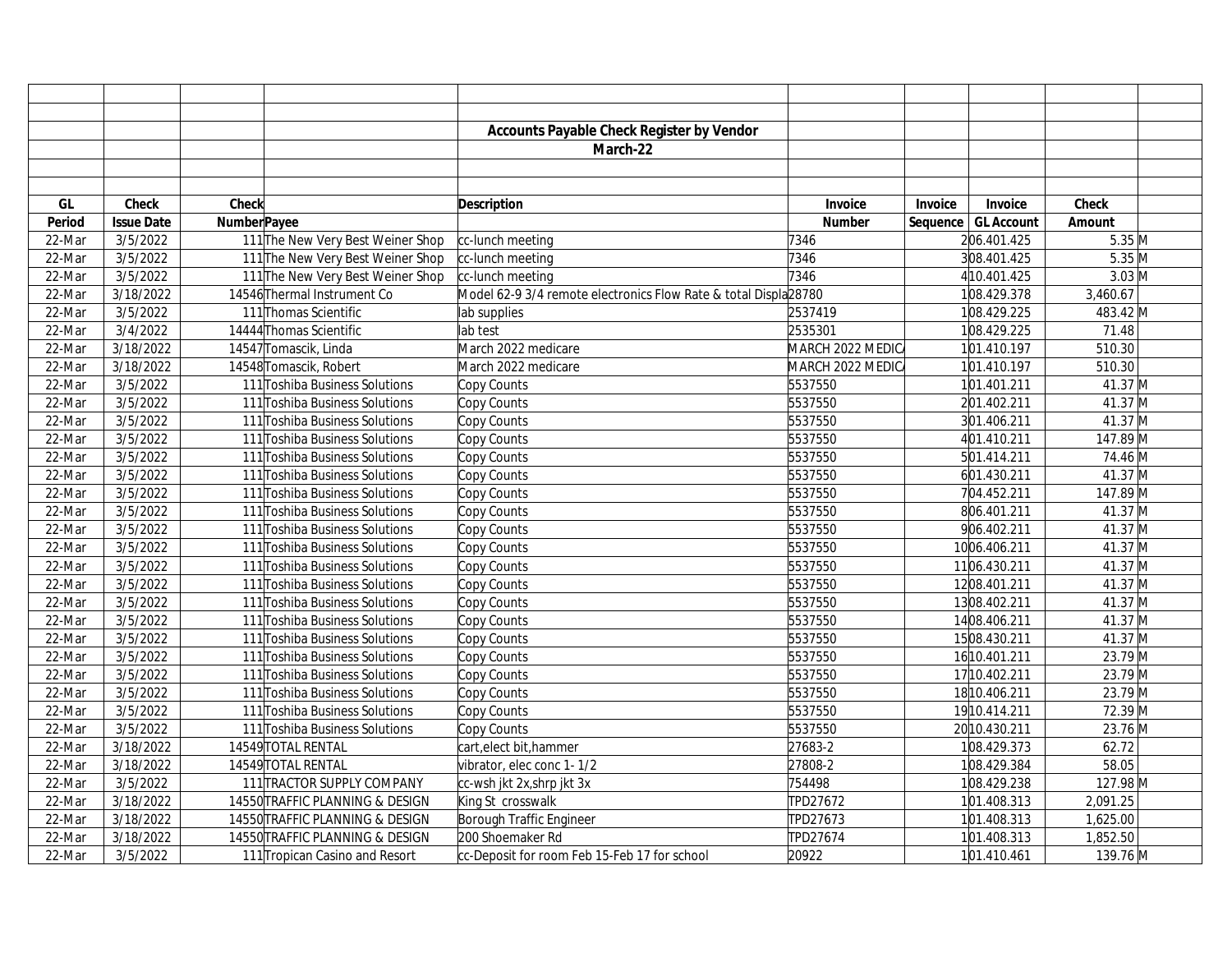|        |                   |                                   | Accounts Payable Check Register by Vendor                        |                  |         |                     |              |  |
|--------|-------------------|-----------------------------------|------------------------------------------------------------------|------------------|---------|---------------------|--------------|--|
|        |                   |                                   | March-22                                                         |                  |         |                     |              |  |
|        |                   |                                   |                                                                  |                  |         |                     |              |  |
|        |                   |                                   |                                                                  |                  |         |                     |              |  |
| GL     | Check             | Check                             | <b>Description</b>                                               | Invoice          | Invoice | Invoice             | <b>Check</b> |  |
| Period | <b>Issue Date</b> | Number Payee                      |                                                                  | <b>Number</b>    |         | Sequence GL Account | Amount       |  |
| 22-Mar | 3/5/2022          | 111 The New Very Best Weiner Shop | cc-lunch meeting                                                 | 7346             |         | 206.401.425         | $5.35$ M     |  |
| 22-Mar | 3/5/2022          | 111 The New Very Best Weiner Shop | cc-lunch meeting                                                 | 7346             |         | 308.401.425         | $5.35$ M     |  |
| 22-Mar | 3/5/2022          | 111 The New Very Best Weiner Shop | cc-lunch meeting                                                 | 7346             |         | 410.401.425         | $3.03$ M     |  |
| 22-Mar | 3/18/2022         | 14546 Thermal Instrument Co       | Model 62-9 3/4 remote electronics Flow Rate & total Displa 28780 |                  |         | 108.429.378         | 3,460.67     |  |
| 22-Mar | 3/5/2022          | 111 Thomas Scientific             | lab supplies                                                     | 2537419          |         | 108.429.225         | 483.42 M     |  |
| 22-Mar | 3/4/2022          | 14444 Thomas Scientific           | lab test                                                         | 2535301          |         | 108.429.225         | 71.48        |  |
| 22-Mar | 3/18/2022         | 14547 Tomascik, Linda             | March 2022 medicare                                              | MARCH 2022 MEDIC |         | 101.410.197         | 510.30       |  |
| 22-Mar | 3/18/2022         | 14548 Tomascik, Robert            | March 2022 medicare                                              | MARCH 2022 MEDIC |         | 101.410.197         | 510.30       |  |
| 22-Mar | 3/5/2022          | 111 Toshiba Business Solutions    | Copy Counts                                                      | 5537550          |         | 101.401.211         | 41.37 M      |  |
| 22-Mar | 3/5/2022          | 111 Toshiba Business Solutions    | Copy Counts                                                      | 5537550          |         | 201.402.211         | 41.37 M      |  |
| 22-Mar | 3/5/2022          | 111 Toshiba Business Solutions    | Copy Counts                                                      | 5537550          |         | 301.406.211         | 41.37 M      |  |
| 22-Mar | 3/5/2022          | 111 Toshiba Business Solutions    | Copy Counts                                                      | 5537550          |         | 401.410.211         | 147.89 M     |  |
| 22-Mar | 3/5/2022          | 111 Toshiba Business Solutions    | Copy Counts                                                      | 5537550          |         | 501.414.211         | 74.46 M      |  |
| 22-Mar | 3/5/2022          | 111 Toshiba Business Solutions    | Copy Counts                                                      | 5537550          |         | 601.430.211         | 41.37 M      |  |
| 22-Mar | 3/5/2022          | 111 Toshiba Business Solutions    | Copy Counts                                                      | 5537550          |         | 704.452.211         | 147.89 M     |  |
| 22-Mar | 3/5/2022          | 111 Toshiba Business Solutions    | Copy Counts                                                      | 5537550          |         | 806.401.211         | 41.37 M      |  |
| 22-Mar | 3/5/2022          | 111 Toshiba Business Solutions    | Copy Counts                                                      | 5537550          |         | 906.402.211         | 41.37 M      |  |
| 22-Mar | 3/5/2022          | 111 Toshiba Business Solutions    | Copy Counts                                                      | 5537550          |         | 1006.406.211        | 41.37 M      |  |
| 22-Mar | 3/5/2022          | 111 Toshiba Business Solutions    | Copy Counts                                                      | 5537550          |         | 1106.430.211        | 41.37 M      |  |
| 22-Mar | 3/5/2022          | 111 Toshiba Business Solutions    | Copy Counts                                                      | 5537550          |         | 1208.401.211        | 41.37 M      |  |
| 22-Mar | 3/5/2022          | 111 Toshiba Business Solutions    | Copy Counts                                                      | 5537550          |         | 1308.402.211        | 41.37 M      |  |
| 22-Mar | 3/5/2022          | 111 Toshiba Business Solutions    | Copy Counts                                                      | 5537550          |         | 1408.406.211        | 41.37 M      |  |
| 22-Mar | 3/5/2022          | 111 Toshiba Business Solutions    | Copy Counts                                                      | 5537550          |         | 1508.430.211        | 41.37 M      |  |
| 22-Mar | 3/5/2022          | 111 Toshiba Business Solutions    | Copy Counts                                                      | 5537550          |         | 16 10.401.211       | 23.79 M      |  |
| 22-Mar | 3/5/2022          | 111 Toshiba Business Solutions    | Copy Counts                                                      | 5537550          |         | 17 10.402.211       | 23.79 M      |  |
| 22-Mar | 3/5/2022          | 111 Toshiba Business Solutions    | Copy Counts                                                      | 5537550          |         | 18 10.406.211       | 23.79 M      |  |
| 22-Mar | 3/5/2022          | 111 Toshiba Business Solutions    | Copy Counts                                                      | 5537550          |         | 19 10.414.211       | 72.39 M      |  |
| 22-Mar | 3/5/2022          | 111 Toshiba Business Solutions    | Copy Counts                                                      | 5537550          |         | 20 10.430.211       | 23.76 M      |  |
| 22-Mar | 3/18/2022         | 14549 TOTAL RENTAL                | cart, elect bit, hammer                                          | 27683-2          |         | 108.429.373         | 62.72        |  |
| 22-Mar | 3/18/2022         | 14549 TOTAL RENTAL                | vibrator, elec conc 1-1/2                                        | 27808-2          |         | 108.429.384         | 58.05        |  |
| 22-Mar | 3/5/2022          | 111 TRACTOR SUPPLY COMPANY        | cc-wsh jkt 2x, shrp jkt 3x                                       | 754498           |         | 108.429.238         | 127.98 M     |  |
| 22-Mar | 3/18/2022         | 14550 TRAFFIC PLANNING & DESIGN   | King St crosswalk                                                | TPD27672         |         | 101.408.313         | 2,091.25     |  |
| 22-Mar | 3/18/2022         | 14550 TRAFFIC PLANNING & DESIGN   | Borough Traffic Engineer                                         | TPD27673         |         | 101.408.313         | 1,625.00     |  |
| 22-Mar | 3/18/2022         | 14550 TRAFFIC PLANNING & DESIGN   | 200 Shoemaker Rd                                                 | TPD27674         |         | 101.408.313         | 1,852.50     |  |
| 22-Mar | 3/5/2022          | 111 Tropican Casino and Resort    | cc-Deposit for room Feb 15-Feb 17 for school                     | 20922            |         | 101.410.461         | 139.76 M     |  |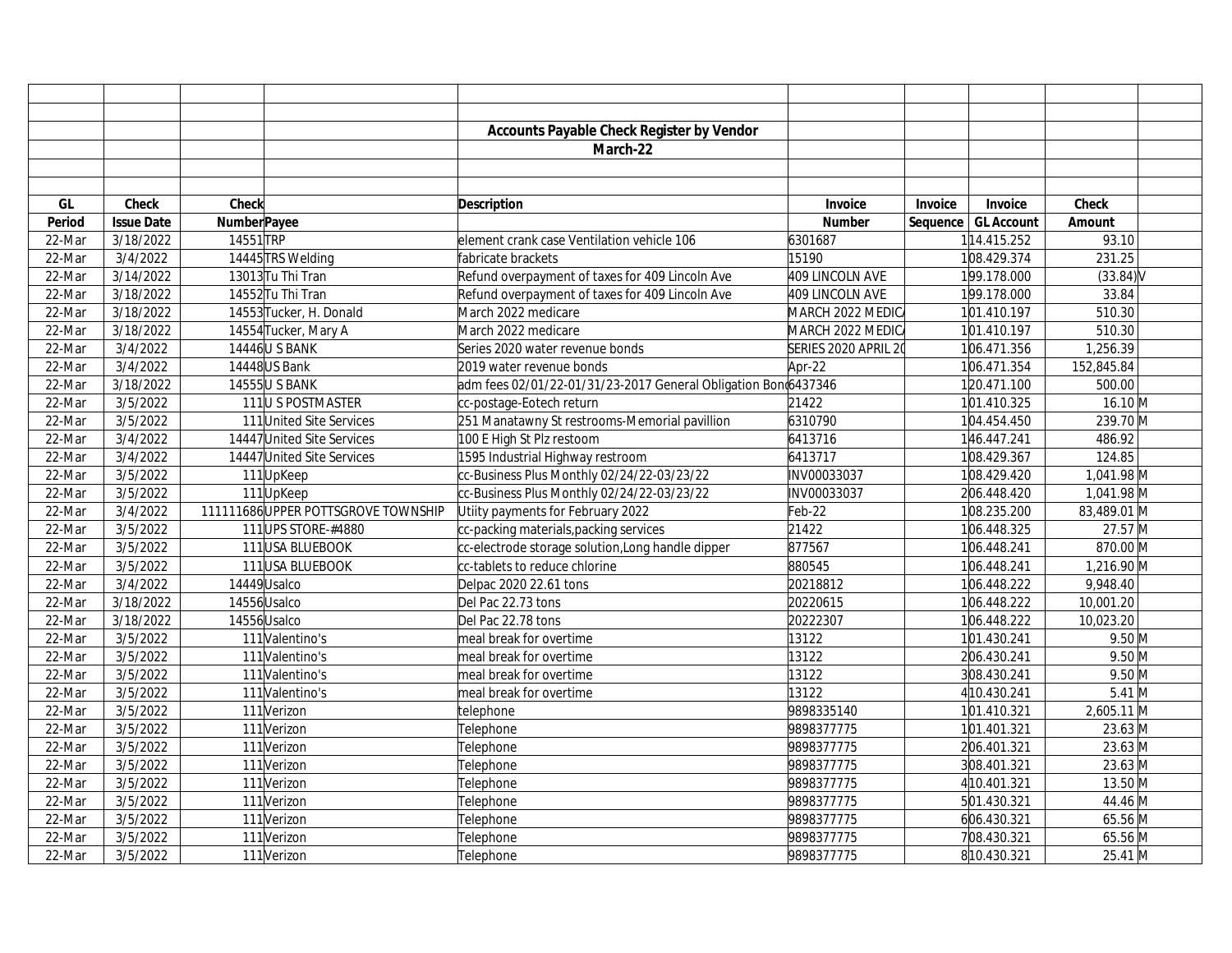|        |                   |                                    | <b>Accounts Payable Check Register by Vendor</b>               |                      |         |                     |              |  |
|--------|-------------------|------------------------------------|----------------------------------------------------------------|----------------------|---------|---------------------|--------------|--|
|        |                   |                                    | March-22                                                       |                      |         |                     |              |  |
|        |                   |                                    |                                                                |                      |         |                     |              |  |
|        |                   |                                    |                                                                |                      |         |                     |              |  |
| GL     | Check             | Check                              | <b>Description</b>                                             | <b>Invoice</b>       | Invoice | Invoice             | Check        |  |
| Period | <b>Issue Date</b> | Number Payee                       |                                                                | <b>Number</b>        |         | Sequence GL Account | Amount       |  |
| 22-Mar | 3/18/2022         | 14551TRP                           | element crank case Ventilation vehicle 106                     | 6301687              |         | 114.415.252         | 93.10        |  |
| 22-Mar | 3/4/2022          | 14445 TRS Welding                  | fabricate brackets                                             | 15190                |         | 108.429.374         | 231.25       |  |
| 22-Mar | 3/14/2022         | 13013 Tu Thi Tran                  | Refund overpayment of taxes for 409 Lincoln Ave                | 409 LINCOLN AVE      |         | 199.178.000         | (33.84)      |  |
| 22-Mar | 3/18/2022         | 14552Tu Thi Tran                   | Refund overpayment of taxes for 409 Lincoln Ave                | 409 LINCOLN AVE      |         | 199.178.000         | 33.84        |  |
| 22-Mar | 3/18/2022         | 14553 Tucker, H. Donald            | March 2022 medicare                                            | MARCH 2022 MEDIC     |         | 101.410.197         | 510.30       |  |
| 22-Mar | 3/18/2022         | 14554 Tucker, Mary A               | March 2022 medicare                                            | MARCH 2022 MEDIC     |         | 101.410.197         | 510.30       |  |
| 22-Mar | 3/4/2022          | 14446 U S BANK                     | Series 2020 water revenue bonds                                | SERIES 2020 APRIL 20 |         | 106.471.356         | 1,256.39     |  |
| 22-Mar | 3/4/2022          | 14448 US Bank                      | 2019 water revenue bonds                                       | Apr-22               |         | 106.471.354         | 152,845.84   |  |
| 22-Mar | 3/18/2022         | 14555U S BANK                      | adm fees 02/01/22-01/31/23-2017 General Obligation Bon 6437346 |                      |         | 120.471.100         | 500.00       |  |
| 22-Mar | 3/5/2022          | 111U S POSTMASTER                  | cc-postage-Eotech return                                       | 21422                |         | 101.410.325         | $16.10 \, M$ |  |
| 22-Mar | 3/5/2022          | 111 United Site Services           | 251 Manatawny St restrooms-Memorial pavillion                  | 6310790              |         | 104.454.450         | 239.70 M     |  |
| 22-Mar | 3/4/2022          | 14447 United Site Services         | 100 E High St Plz restoom                                      | 6413716              |         | 146.447.241         | 486.92       |  |
| 22-Mar | 3/4/2022          | 14447 United Site Services         | 1595 Industrial Highway restroom                               | 6413717              |         | 108.429.367         | 124.85       |  |
| 22-Mar | 3/5/2022          | 111UpKeep                          | cc-Business Plus Monthly 02/24/22-03/23/22                     | INV00033037          |         | 108.429.420         | $1,041.98$ M |  |
| 22-Mar | 3/5/2022          | 111UpKeep                          | cc-Business Plus Monthly 02/24/22-03/23/22                     | INV00033037          |         | 206.448.420         | 1,041.98 M   |  |
| 22-Mar | 3/4/2022          | 111111686UPPER POTTSGROVE TOWNSHIP | Utiity payments for February 2022                              | Feb-22               |         | 108.235.200         | 83,489.01 M  |  |
| 22-Mar | 3/5/2022          | 111 UPS STORE-#4880                | cc-packing materials, packing services                         | 21422                |         | 106.448.325         | 27.57 M      |  |
| 22-Mar | 3/5/2022          | 111 USA BLUEBOOK                   | cc-electrode storage solution, Long handle dipper              | 877567               |         | 106.448.241         | 870.00 M     |  |
| 22-Mar | 3/5/2022          | 111 USA BLUEBOOK                   | cc-tablets to reduce chlorine                                  | 880545               |         | 106.448.241         | 1,216.90 M   |  |
| 22-Mar | 3/4/2022          | 14449 Usalco                       | Delpac 2020 22.61 tons                                         | 20218812             |         | 106.448.222         | 9,948.40     |  |
| 22-Mar | 3/18/2022         | 14556 Usalco                       | Del Pac 22.73 tons                                             | 20220615             |         | 106.448.222         | 10,001.20    |  |
| 22-Mar | 3/18/2022         | 14556 Usalco                       | Del Pac 22.78 tons                                             | 20222307             |         | 106.448.222         | 10,023.20    |  |
| 22-Mar | 3/5/2022          | 111 Valentino's                    | meal break for overtime                                        | 13122                |         | 101.430.241         | $9.50$ M     |  |
| 22-Mar | 3/5/2022          | 111 Valentino's                    | meal break for overtime                                        | 13122                |         | 206.430.241         | $9.50$ M     |  |
| 22-Mar | 3/5/2022          | 111 Valentino's                    | meal break for overtime                                        | 13122                |         | 308.430.241         | $9.50$ M     |  |
| 22-Mar | 3/5/2022          | 111 Valentino's                    | meal break for overtime                                        | 13122                |         | 410.430.241         | $5.41$ M     |  |
| 22-Mar | 3/5/2022          | 111Verizon                         | telephone                                                      | 9898335140           |         | 101.410.321         | $2,605.11$ M |  |
| 22-Mar | 3/5/2022          | 111Verizon                         | Telephone                                                      | 9898377775           |         | 101.401.321         | $23.63 \, M$ |  |
| 22-Mar | 3/5/2022          | 111 Verizon                        | Telephone                                                      | 9898377775           |         | 206.401.321         | 23.63 M      |  |
| 22-Mar | 3/5/2022          | 111 Verizon                        | Telephone                                                      | 9898377775           |         | 308.401.321         | $23.63$ M    |  |
| 22-Mar | 3/5/2022          | 111Verizon                         | Telephone                                                      | 9898377775           |         | 410.401.321         | 13.50 M      |  |
| 22-Mar | 3/5/2022          | 111 Verizon                        | Telephone                                                      | 9898377775           |         | 501.430.321         | 44.46 M      |  |
| 22-Mar | 3/5/2022          | 111 Verizon                        | Telephone                                                      | 9898377775           |         | 606.430.321         | 65.56 M      |  |
| 22-Mar | 3/5/2022          | 111 Verizon                        | Telephone                                                      | 9898377775           |         | 708.430.321         | 65.56 M      |  |
| 22-Mar | 3/5/2022          | 111 Verizon                        | Telephone                                                      | 9898377775           |         | 810.430.321         | 25.41 M      |  |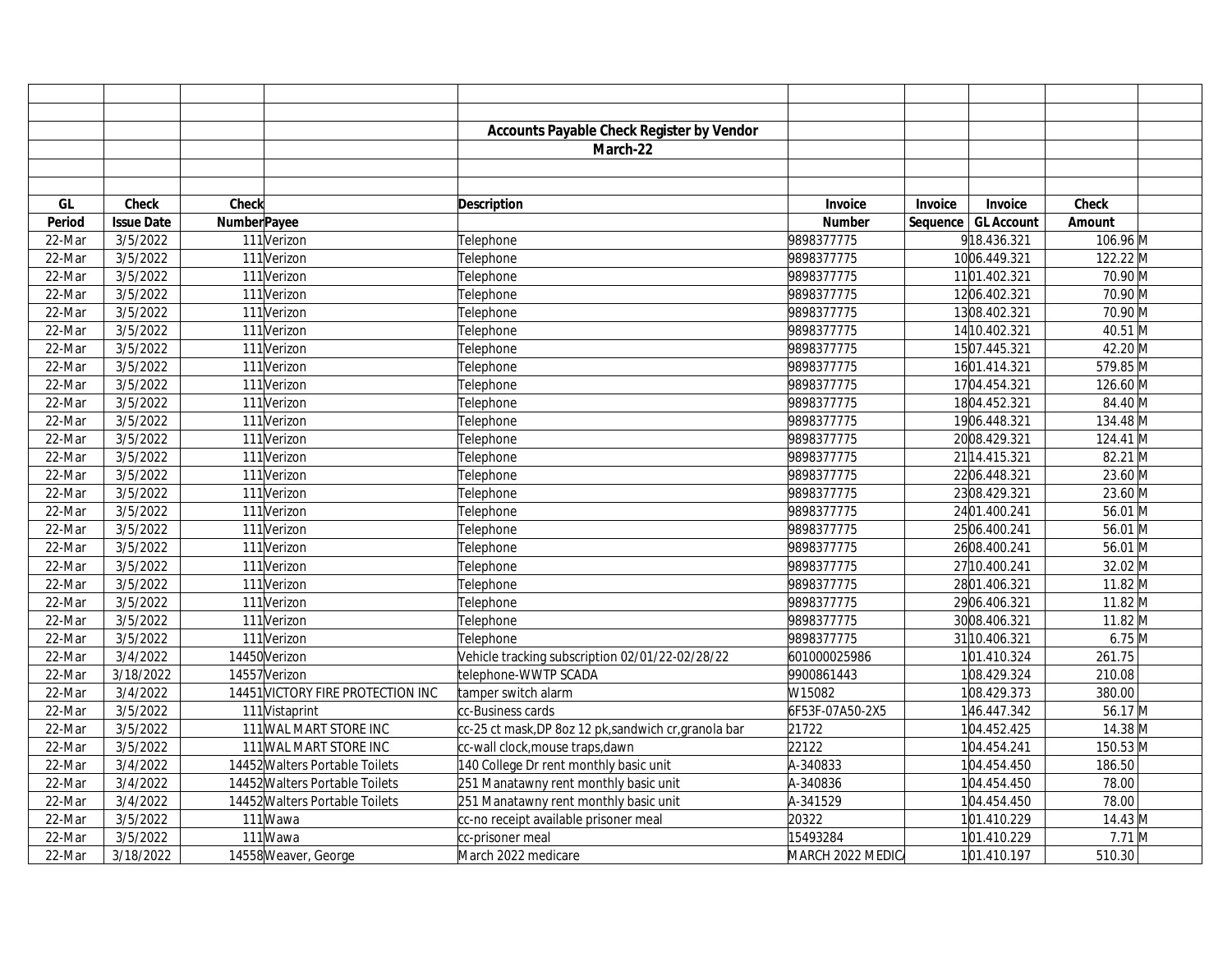|        |                   |                    |                                   | <b>Accounts Payable Check Register by Vendor</b>      |                   |          |                   |              |  |
|--------|-------------------|--------------------|-----------------------------------|-------------------------------------------------------|-------------------|----------|-------------------|--------------|--|
|        |                   |                    |                                   | March-22                                              |                   |          |                   |              |  |
|        |                   |                    |                                   |                                                       |                   |          |                   |              |  |
|        |                   |                    |                                   |                                                       |                   |          |                   |              |  |
| GL     | Check             | Check              |                                   | <b>Description</b>                                    | Invoice           | Invoice  | Invoice           | <b>Check</b> |  |
| Period | <b>Issue Date</b> | <b>NumberPayee</b> |                                   |                                                       | <b>Number</b>     | Sequence | <b>GL Account</b> | Amount       |  |
| 22-Mar | 3/5/2022          |                    | 111Verizon                        | Telephone                                             | 9898377775        |          | 918.436.321       | 106.96 M     |  |
| 22-Mar | 3/5/2022          |                    | 111Verizon                        | Telephone                                             | 9898377775        |          | 1006.449.321      | 122.22 M     |  |
| 22-Mar | 3/5/2022          |                    | 111Verizon                        | Telephone                                             | 9898377775        |          | 1101.402.321      | 70.90 M      |  |
| 22-Mar | 3/5/2022          |                    | 111 Verizon                       | Telephone                                             | 9898377775        |          | 1206.402.321      | 70.90 M      |  |
| 22-Mar | 3/5/2022          |                    | 111 Verizon                       | Telephone                                             | 9898377775        |          | 1308.402.321      | 70.90 M      |  |
| 22-Mar | 3/5/2022          |                    | 111Verizon                        | Telephone                                             | 9898377775        |          | 14 10.402.321     | 40.51 M      |  |
| 22-Mar | 3/5/2022          |                    | 111 Verizon                       | Telephone                                             | 9898377775        |          | 1507.445.321      | 42.20 M      |  |
| 22-Mar | 3/5/2022          |                    | 111Verizon                        | Telephone                                             | 9898377775        |          | 1601.414.321      | 579.85 M     |  |
| 22-Mar | 3/5/2022          |                    | 111 Verizon                       | Telephone                                             | 9898377775        |          | 1704.454.321      | 126.60 M     |  |
| 22-Mar | 3/5/2022          |                    | 111Verizon                        | Telephone                                             | 9898377775        |          | 1804.452.321      | 84.40 M      |  |
| 22-Mar | 3/5/2022          |                    | 111 Verizon                       | Telephone                                             | 9898377775        |          | 1906.448.321      | 134.48 M     |  |
| 22-Mar | 3/5/2022          |                    | 111Verizon                        | Telephone                                             | 9898377775        |          | 2008.429.321      | 124.41 M     |  |
| 22-Mar | 3/5/2022          |                    | 111 Verizon                       | Telephone                                             | 9898377775        |          | 21 14.415.321     | 82.21 M      |  |
| 22-Mar | 3/5/2022          |                    | 111Verizon                        | Telephone                                             | 9898377775        |          | 2206.448.321      | 23.60 M      |  |
| 22-Mar | 3/5/2022          |                    | 111Verizon                        | Telephone                                             | 9898377775        |          | 2308.429.321      | 23.60 M      |  |
| 22-Mar | 3/5/2022          |                    | 111Verizon                        | Telephone                                             | 9898377775        |          | 2401.400.241      | 56.01 M      |  |
| 22-Mar | 3/5/2022          |                    | 111 Verizon                       | Telephone                                             | 9898377775        |          | 2506.400.241      | 56.01 M      |  |
| 22-Mar | 3/5/2022          |                    | 111Verizon                        | Telephone                                             | 9898377775        |          | 2608.400.241      | 56.01 M      |  |
| 22-Mar | 3/5/2022          |                    | 111 Verizon                       | Telephone                                             | 9898377775        |          | 27 10.400.241     | 32.02 M      |  |
| 22-Mar | 3/5/2022          |                    | 111Verizon                        | Telephone                                             | 9898377775        |          | 2801.406.321      | $11.82$ M    |  |
| 22-Mar | 3/5/2022          |                    | 111 Verizon                       | Telephone                                             | 9898377775        |          | 2906.406.321      | $11.82 \, M$ |  |
| 22-Mar | 3/5/2022          |                    | 111Verizon                        | Telephone                                             | 9898377775        |          | 3008.406.321      | $11.82$ M    |  |
| 22-Mar | 3/5/2022          |                    | 111Verizon                        | Telephone                                             | 9898377775        |          | 31 10.406.321     | $6.75$ M     |  |
| 22-Mar | 3/4/2022          |                    | 14450 Verizon                     | Vehicle tracking subscription 02/01/22-02/28/22       | 601000025986      |          | 101.410.324       | 261.75       |  |
| 22-Mar | 3/18/2022         |                    | 14557 Verizon                     | telephone-WWTP SCADA                                  | 9900861443        |          | 108.429.324       | 210.08       |  |
| 22-Mar | 3/4/2022          |                    | 14451 VICTORY FIRE PROTECTION INC | tamper switch alarm                                   | W15082            |          | 108.429.373       | 380.00       |  |
| 22-Mar | 3/5/2022          |                    | 111 Vistaprint                    | cc-Business cards                                     | 6F53F-07A50-2X5   |          | 146.447.342       | 56.17 M      |  |
| 22-Mar | 3/5/2022          |                    | 111 WAL MART STORE INC            | cc-25 ct mask, DP 8oz 12 pk, sandwich cr, granola bar | 21722             |          | 104.452.425       | $14.38$ M    |  |
| 22-Mar | 3/5/2022          |                    | 111 WAL MART STORE INC            | cc-wall clock, mouse traps, dawn                      | 22122             |          | 104.454.241       | 150.53 M     |  |
| 22-Mar | 3/4/2022          |                    | 14452 Walters Portable Toilets    | 140 College Dr rent monthly basic unit                | A-340833          |          | 104.454.450       | 186.50       |  |
| 22-Mar | 3/4/2022          |                    | 14452 Walters Portable Toilets    | 251 Manatawny rent monthly basic unit                 | A-340836          |          | 104.454.450       | 78.00        |  |
| 22-Mar | 3/4/2022          |                    | 14452 Walters Portable Toilets    | 251 Manatawny rent monthly basic unit                 | A-341529          |          | 104.454.450       | 78.00        |  |
| 22-Mar | 3/5/2022          |                    | 111 Wawa                          | cc-no receipt available prisoner meal                 | 20322             |          | 101.410.229       | $14.43 \, M$ |  |
| 22-Mar | 3/5/2022          |                    | 111 Wawa                          | cc-prisoner meal                                      | 15493284          |          | 101.410.229       | $7.71$ M     |  |
| 22-Mar | 3/18/2022         |                    | 14558 Weaver, George              | March 2022 medicare                                   | MARCH 2022 MEDIC. |          | 101.410.197       | 510.30       |  |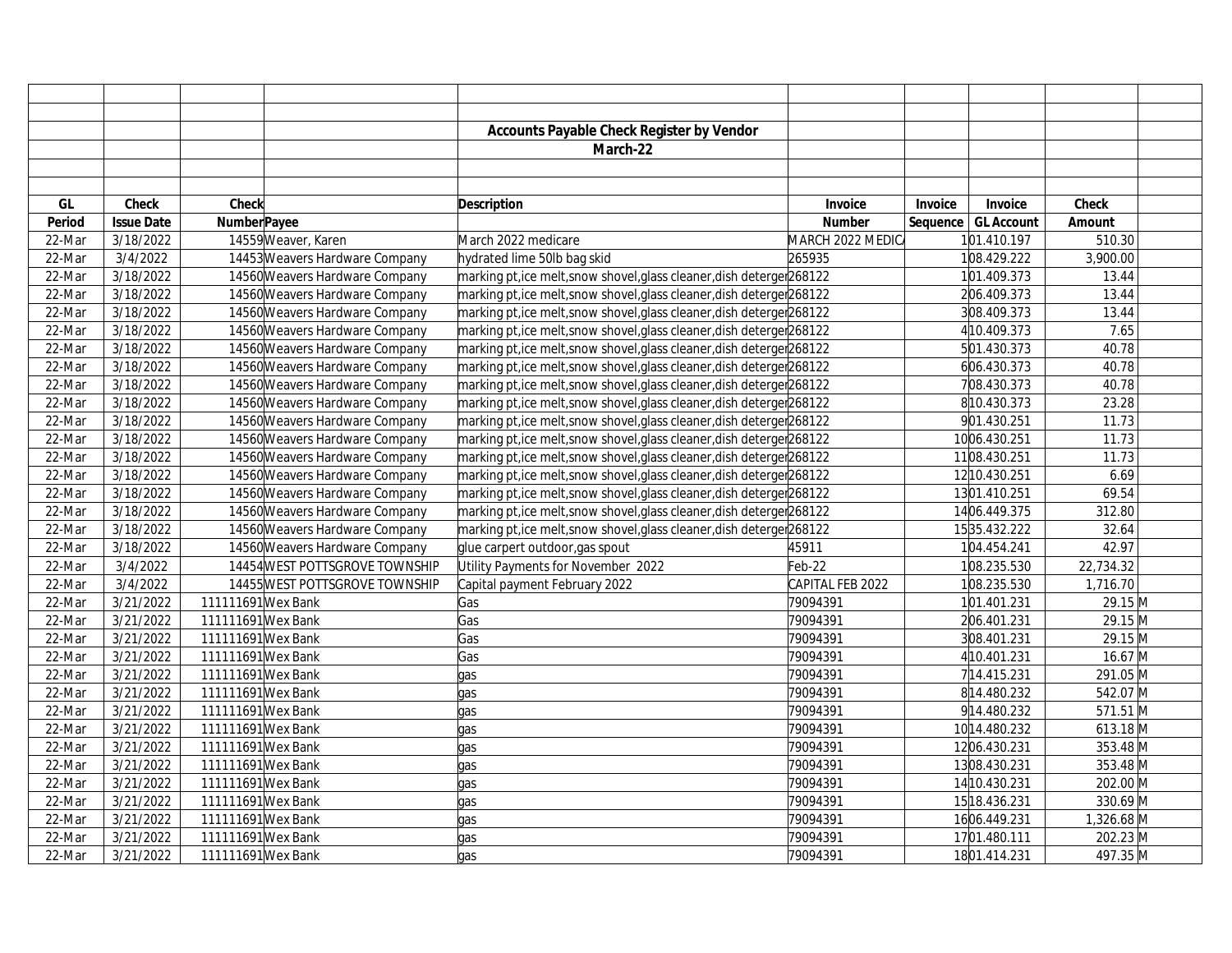|        |                   |                                | Accounts Payable Check Register by Vendor                              |                  |         |                     |            |  |
|--------|-------------------|--------------------------------|------------------------------------------------------------------------|------------------|---------|---------------------|------------|--|
|        |                   |                                | March-22                                                               |                  |         |                     |            |  |
|        |                   |                                |                                                                        |                  |         |                     |            |  |
|        |                   |                                |                                                                        |                  |         |                     |            |  |
| GL     | Check             | Check                          | <b>Description</b>                                                     | Invoice          | Invoice | Invoice             | Check      |  |
| Period | <b>Issue Date</b> | Number Payee                   |                                                                        | <b>Number</b>    |         | Sequence GL Account | Amount     |  |
| 22-Mar | 3/18/2022         | 14559 Weaver, Karen            | March 2022 medicare                                                    | MARCH 2022 MEDIC |         | 101.410.197         | 510.30     |  |
| 22-Mar | 3/4/2022          | 14453 Weavers Hardware Company | hydrated lime 50lb bag skid                                            | 265935           |         | 108.429.222         | 3,900.00   |  |
| 22-Mar | 3/18/2022         | 14560 Weavers Hardware Company | marking pt,ice melt, snow shovel, glass cleaner, dish deterger 268122  |                  |         | 101.409.373         | 13.44      |  |
| 22-Mar | 3/18/2022         | 14560 Weavers Hardware Company | marking pt, ice melt, snow shovel, glass cleaner, dish deterger 268122 |                  |         | 206.409.373         | 13.44      |  |
| 22-Mar | 3/18/2022         | 14560 Weavers Hardware Company | marking pt, ice melt, snow shovel, glass cleaner, dish deterger 268122 |                  |         | 308.409.373         | 13.44      |  |
| 22-Mar | 3/18/2022         | 14560 Weavers Hardware Company | marking pt,ice melt, snow shovel, glass cleaner, dish deterger 268122  |                  |         | 410.409.373         | 7.65       |  |
| 22-Mar | 3/18/2022         | 14560 Weavers Hardware Company | marking pt,ice melt, snow shovel, glass cleaner, dish deterger 268122  |                  |         | 501.430.373         | 40.78      |  |
| 22-Mar | 3/18/2022         | 14560 Weavers Hardware Company | marking pt, ice melt, snow shovel, glass cleaner, dish deterger 268122 |                  |         | 606.430.373         | 40.78      |  |
| 22-Mar | 3/18/2022         | 14560 Weavers Hardware Company | marking pt,ice melt, snow shovel, glass cleaner, dish deterger 268122  |                  |         | 708.430.373         | 40.78      |  |
| 22-Mar | 3/18/2022         | 14560 Weavers Hardware Company | marking pt,ice melt, snow shovel, glass cleaner, dish deterger 268122  |                  |         | 810.430.373         | 23.28      |  |
| 22-Mar | 3/18/2022         | 14560 Weavers Hardware Company | marking pt,ice melt, snow shovel, glass cleaner, dish deterger 268122  |                  |         | 901.430.251         | 11.73      |  |
| 22-Mar | 3/18/2022         | 14560 Weavers Hardware Company | marking pt, ice melt, snow shovel, glass cleaner, dish deterger 268122 |                  |         | 1006.430.251        | 11.73      |  |
| 22-Mar | 3/18/2022         | 14560 Weavers Hardware Company | marking pt,ice melt, snow shovel, glass cleaner, dish deterger 268122  |                  |         | 1108.430.251        | 11.73      |  |
| 22-Mar | 3/18/2022         | 14560 Weavers Hardware Company | marking pt, ice melt, snow shovel, glass cleaner, dish deterger 268122 |                  |         | 12 10.430.251       | 6.69       |  |
| 22-Mar | 3/18/2022         | 14560 Weavers Hardware Company | marking pt, ice melt, snow shovel, glass cleaner, dish deterger 268122 |                  |         | 1301.410.251        | 69.54      |  |
| 22-Mar | 3/18/2022         | 14560 Weavers Hardware Company | marking pt,ice melt, snow shovel, glass cleaner, dish deterger 268122  |                  |         | 1406.449.375        | 312.80     |  |
| 22-Mar | 3/18/2022         | 14560 Weavers Hardware Company | marking pt, ice melt, snow shovel, glass cleaner, dish deterger 268122 |                  |         | 1535.432.222        | 32.64      |  |
| 22-Mar | 3/18/2022         | 14560 Weavers Hardware Company | glue carpert outdoor, gas spout                                        | 45911            |         | 104.454.241         | 42.97      |  |
| 22-Mar | 3/4/2022          | 14454 WEST POTTSGROVE TOWNSHIP | Utility Payments for November 2022                                     | Feb-22           |         | 108.235.530         | 22,734.32  |  |
| 22-Mar | 3/4/2022          | 14455 WEST POTTSGROVE TOWNSHIP | Capital payment February 2022                                          | CAPITAL FEB 2022 |         | 108.235.530         | 1,716.70   |  |
| 22-Mar | 3/21/2022         | 111111691 Wex Bank             | Gas                                                                    | 79094391         |         | 101.401.231         | 29.15 M    |  |
| 22-Mar | 3/21/2022         | 111111691 Wex Bank             | Gas                                                                    | 79094391         |         | 206.401.231         | 29.15 M    |  |
| 22-Mar | 3/21/2022         | 111111691 Wex Bank             | Gas                                                                    | 79094391         |         | 308.401.231         | 29.15 M    |  |
| 22-Mar | 3/21/2022         | 111111691 Wex Bank             | Gas                                                                    | 79094391         |         | 410.401.231         | $16.67$ M  |  |
| 22-Mar | 3/21/2022         | 111111691 Wex Bank             | qas                                                                    | 79094391         |         | 714.415.231         | 291.05 M   |  |
| 22-Mar | 3/21/2022         | 111111691 Wex Bank             | qas                                                                    | 79094391         |         | 814.480.232         | 542.07 M   |  |
| 22-Mar | 3/21/2022         | 111111691 Wex Bank             | gas                                                                    | 79094391         |         | 914.480.232         | 571.51 M   |  |
| 22-Mar | 3/21/2022         | 111111691 Wex Bank             | gas                                                                    | 79094391         |         | 10 14.480.232       | 613.18 M   |  |
| 22-Mar | 3/21/2022         | 111111691 Wex Bank             | qas                                                                    | 79094391         |         | 1206.430.231        | 353.48 M   |  |
| 22-Mar | 3/21/2022         | 111111691 Wex Bank             | qas                                                                    | 79094391         |         | 1308.430.231        | 353.48 M   |  |
| 22-Mar | 3/21/2022         | 111111691 Wex Bank             | qas                                                                    | 79094391         |         | 14 10.430.231       | 202.00 M   |  |
| 22-Mar | 3/21/2022         | 111111691 Wex Bank             | qas                                                                    | 79094391         |         | 15 18.436.231       | 330.69 M   |  |
| 22-Mar | 3/21/2022         | 111111691 Wex Bank             | qas                                                                    | 79094391         |         | 1606.449.231        | 1,326.68 M |  |
| 22-Mar | 3/21/2022         | 111111691 Wex Bank             | qas                                                                    | 79094391         |         | 1701.480.111        | 202.23 M   |  |
| 22-Mar | 3/21/2022         | 111111691 Wex Bank             | qas                                                                    | 79094391         |         | 1801.414.231        | 497.35 M   |  |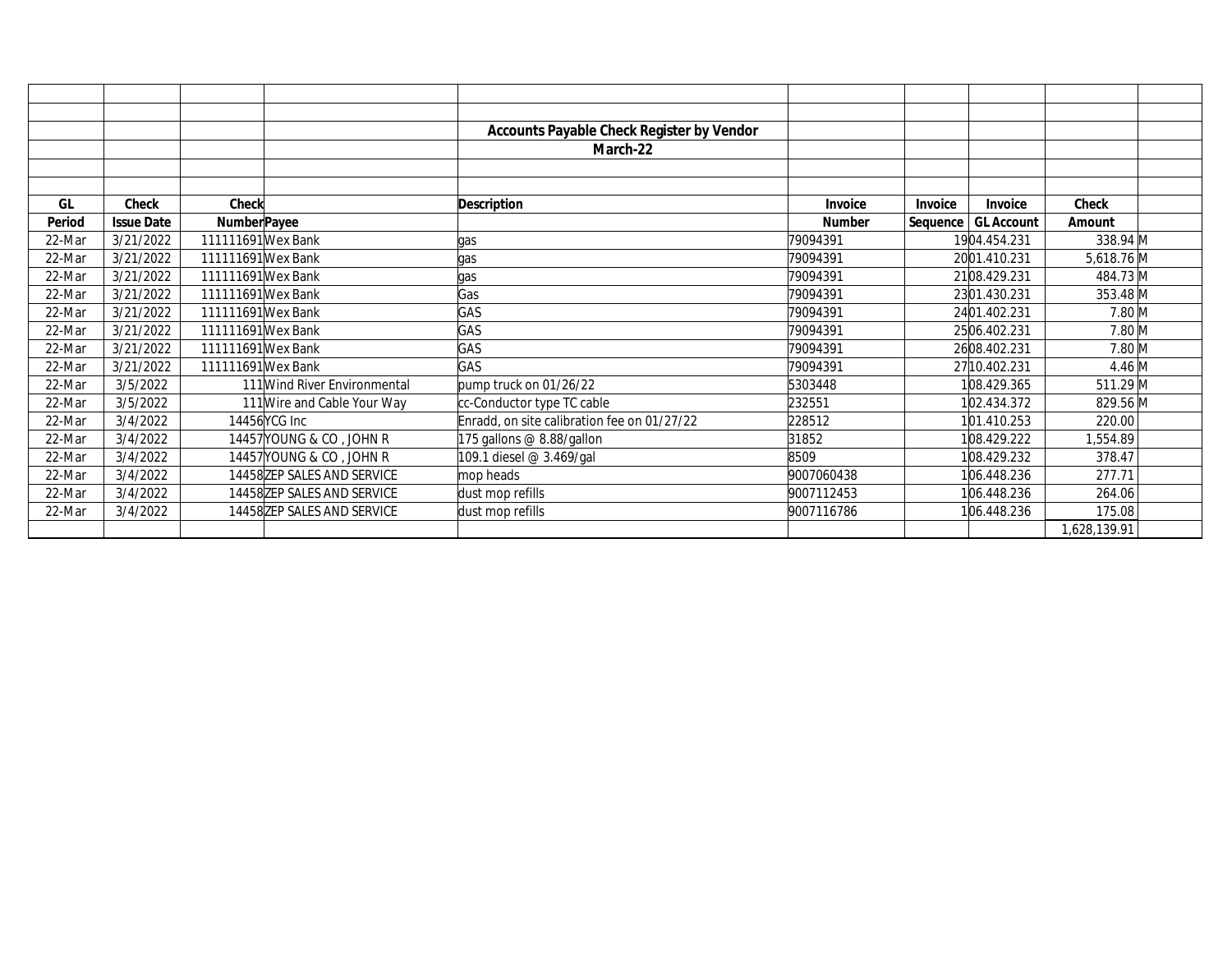|        |                   |                    |                              | Accounts Payable Check Register by Vendor   |            |          |                   |              |  |
|--------|-------------------|--------------------|------------------------------|---------------------------------------------|------------|----------|-------------------|--------------|--|
|        |                   |                    |                              | March-22                                    |            |          |                   |              |  |
|        |                   |                    |                              |                                             |            |          |                   |              |  |
|        |                   |                    |                              |                                             |            |          |                   |              |  |
| GL     | <b>Check</b>      | Check              |                              | <b>Description</b>                          | Invoice    | Invoice  | Invoice           | Check        |  |
| Period | <b>Issue Date</b> | <b>NumberPayee</b> |                              |                                             | Number     | Sequence | <b>GL Account</b> | Amount       |  |
| 22-Mar | 3/21/2022         | 111111691 Wex Bank |                              | gas                                         | 79094391   |          | 1904.454.231      | 338.94 M     |  |
| 22-Mar | 3/21/2022         | 111111691 Wex Bank |                              | gas                                         | 79094391   |          | 2001.410.231      | 5,618.76 M   |  |
| 22-Mar | 3/21/2022         | 111111691 Wex Bank |                              | gas                                         | 79094391   |          | 2108.429.231      | 484.73 M     |  |
| 22-Mar | 3/21/2022         | 111111691 Wex Bank |                              | Gas                                         | 79094391   |          | 2301.430.231      | 353.48 M     |  |
| 22-Mar | 3/21/2022         | 111111691 Wex Bank |                              | GAS                                         | 79094391   |          | 2401.402.231      | 7.80 M       |  |
| 22-Mar | 3/21/2022         | 111111691 Wex Bank |                              | GAS                                         | 79094391   |          | 2506.402.231      | $7.80$ M     |  |
| 22-Mar | 3/21/2022         | 111111691 Wex Bank |                              | GAS                                         | 79094391   |          | 2608.402.231      | $7.80$ M     |  |
| 22-Mar | 3/21/2022         | 111111691 Wex Bank |                              | <b>GAS</b>                                  | 79094391   |          | 27 10.402.231     | 4.46 M       |  |
| 22-Mar | 3/5/2022          |                    | 111 Wind River Environmental | pump truck on 01/26/22                      | 5303448    |          | 108.429.365       | 511.29 M     |  |
| 22-Mar | 3/5/2022          |                    | 111 Wire and Cable Your Way  | cc-Conductor type TC cable                  | 232551     |          | 102.434.372       | 829.56 M     |  |
| 22-Mar | 3/4/2022          |                    | 14456 YCG Inc                | Enradd, on site calibration fee on 01/27/22 | 228512     |          | 101.410.253       | 220.00       |  |
| 22-Mar | 3/4/2022          |                    | 14457 YOUNG & CO, JOHN R     | 175 gallons $@$ 8.88/gallon                 | 31852      |          | 108.429.222       | 1,554.89     |  |
| 22-Mar | 3/4/2022          |                    | 14457 YOUNG & CO, JOHN R     | 109.1 diesel @ 3.469/gal                    | 8509       |          | 108.429.232       | 378.47       |  |
| 22-Mar | 3/4/2022          |                    | 14458 ZEP SALES AND SERVICE  | mop heads                                   | 9007060438 |          | 106.448.236       | 277.71       |  |
| 22-Mar | 3/4/2022          |                    | 14458 ZEP SALES AND SERVICE  | dust mop refills                            | 9007112453 |          | 106.448.236       | 264.06       |  |
| 22-Mar | 3/4/2022          |                    | 14458 ZEP SALES AND SERVICE  | dust mop refills                            | 9007116786 |          | 106.448.236       | 175.08       |  |
|        |                   |                    |                              |                                             |            |          |                   | 1,628,139.91 |  |